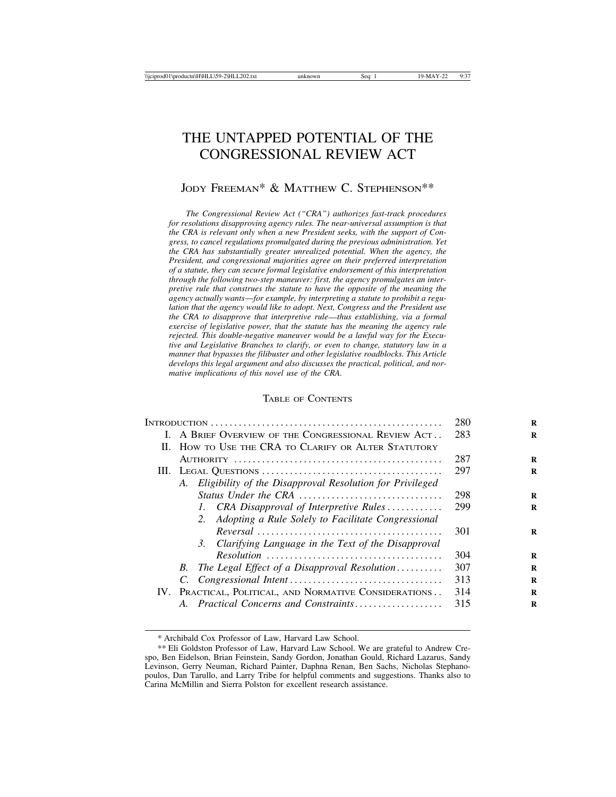# THE UNTAPPED POTENTIAL OF THE CONGRESSIONAL REVIEW ACT

# JODY FREEMAN\* & MATTHEW C. STEPHENSON\*\*

*The Congressional Review Act ("CRA") authorizes fast-track procedures for resolutions disapproving agency rules. The near-universal assumption is that the CRA is relevant only when a new President seeks, with the support of Congress, to cancel regulations promulgated during the previous administration. Yet the CRA has substantially greater unrealized potential. When the agency, the President, and congressional majorities agree on their preferred interpretation of a statute, they can secure formal legislative endorsement of this interpretation through the following two-step maneuver: first, the agency promulgates an interpretive rule that construes the statute to have the opposite of the meaning the agency actually wants*—*for example, by interpreting a statute to prohibit a regulation that the agency would like to adopt. Next, Congress and the President use the CRA to disapprove that interpretive rule*—*thus establishing, via a formal exercise of legislative power, that the statute has the meaning the agency rule rejected. This double-negative maneuver would be a lawful way for the Executive and Legislative Branches to clarify, or even to change, statutory law in a manner that bypasses the filibuster and other legislative roadblocks. This Article develops this legal argument and also discusses the practical, political, and normative implications of this novel use of the CRA.*

### TABLE OF CONTENTS

|  | 280                                                         |     |
|--|-------------------------------------------------------------|-----|
|  | I. A BRIEF OVERVIEW OF THE CONGRESSIONAL REVIEW ACT         | 283 |
|  | II. HOW TO USE THE CRA TO CLARIFY OR ALTER STATUTORY        |     |
|  |                                                             | 287 |
|  |                                                             | 297 |
|  | A. Eligibility of the Disapproval Resolution for Privileged |     |
|  | Status Under the CRA                                        | 298 |
|  | 1. CRA Disapproval of Interpretive Rules                    | 299 |
|  | 2. Adopting a Rule Solely to Facilitate Congressional       |     |
|  |                                                             | 301 |
|  | 3. Clarifying Language in the Text of the Disapproval       |     |
|  |                                                             | 304 |
|  | B. The Legal Effect of a Disapproval Resolution             | 307 |
|  |                                                             | 313 |
|  | IV. PRACTICAL, POLITICAL, AND NORMATIVE CONSIDERATIONS      | 314 |
|  | A. Practical Concerns and Constraints                       | 315 |
|  |                                                             |     |

<sup>\*</sup> Archibald Cox Professor of Law, Harvard Law School.

<sup>\*\*</sup> Eli Goldston Professor of Law, Harvard Law School. We are grateful to Andrew Crespo, Ben Eidelson, Brian Feinstein, Sandy Gordon, Jonathan Gould, Richard Lazarus, Sandy Levinson, Gerry Neuman, Richard Painter, Daphna Renan, Ben Sachs, Nicholas Stephanopoulos, Dan Tarullo, and Larry Tribe for helpful comments and suggestions. Thanks also to Carina McMillin and Sierra Polston for excellent research assistance.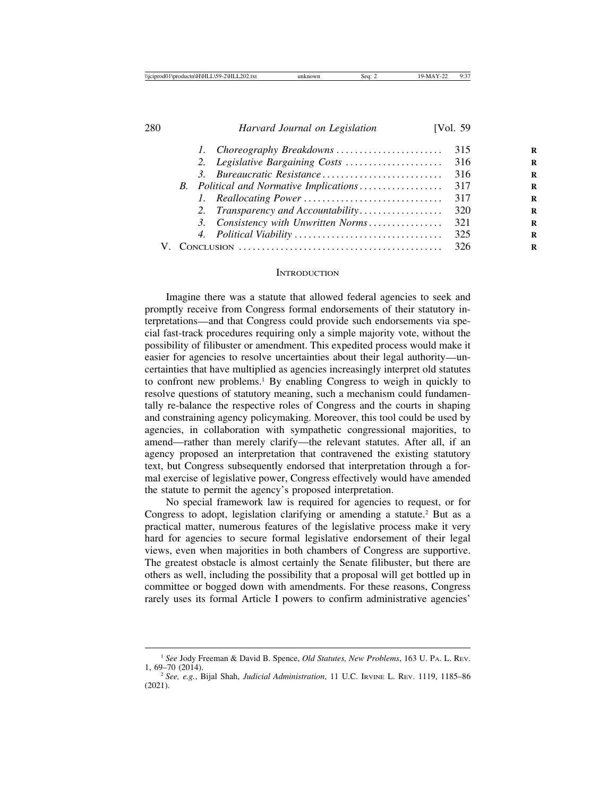|  |                                     | 316   |
|--|-------------------------------------|-------|
|  |                                     |       |
|  |                                     |       |
|  | 2. Transparency and Accountability  | 320   |
|  | 3. Consistency with Unwritten Norms | 321   |
|  |                                     | 325   |
|  |                                     | - 326 |

#### **INTRODUCTION**

Imagine there was a statute that allowed federal agencies to seek and promptly receive from Congress formal endorsements of their statutory interpretations—and that Congress could provide such endorsements via special fast-track procedures requiring only a simple majority vote, without the possibility of filibuster or amendment. This expedited process would make it easier for agencies to resolve uncertainties about their legal authority—uncertainties that have multiplied as agencies increasingly interpret old statutes to confront new problems.<sup>1</sup> By enabling Congress to weigh in quickly to resolve questions of statutory meaning, such a mechanism could fundamentally re-balance the respective roles of Congress and the courts in shaping and constraining agency policymaking. Moreover, this tool could be used by agencies, in collaboration with sympathetic congressional majorities, to amend—rather than merely clarify—the relevant statutes. After all, if an agency proposed an interpretation that contravened the existing statutory text, but Congress subsequently endorsed that interpretation through a formal exercise of legislative power, Congress effectively would have amended the statute to permit the agency's proposed interpretation.

No special framework law is required for agencies to request, or for Congress to adopt, legislation clarifying or amending a statute.<sup>2</sup> But as a practical matter, numerous features of the legislative process make it very hard for agencies to secure formal legislative endorsement of their legal views, even when majorities in both chambers of Congress are supportive. The greatest obstacle is almost certainly the Senate filibuster, but there are others as well, including the possibility that a proposal will get bottled up in committee or bogged down with amendments. For these reasons, Congress rarely uses its formal Article I powers to confirm administrative agencies'

<sup>1</sup> *See* Jody Freeman & David B. Spence, *Old Statutes, New Problems*, 163 U. PA. L. REV. 1, 69–70 (2014). <sup>2</sup> *See, e.g.*, Bijal Shah, *Judicial Administration*, 11 U.C. IRVINE L. REV. 1119, 1185–<sup>86</sup>

<sup>(2021).</sup>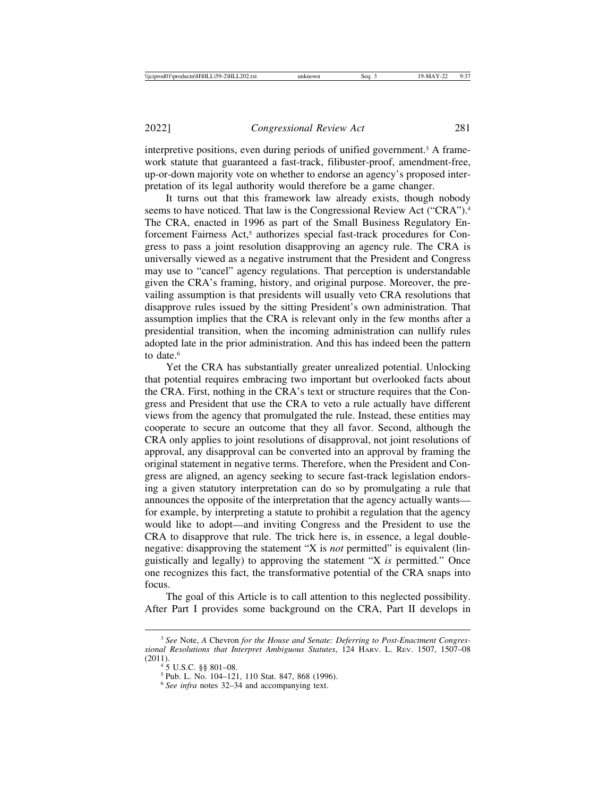interpretive positions, even during periods of unified government.3 A framework statute that guaranteed a fast-track, filibuster-proof, amendment-free, up-or-down majority vote on whether to endorse an agency's proposed interpretation of its legal authority would therefore be a game changer.

It turns out that this framework law already exists, though nobody seems to have noticed. That law is the Congressional Review Act ("CRA").<sup>4</sup> The CRA, enacted in 1996 as part of the Small Business Regulatory Enforcement Fairness Act,<sup>5</sup> authorizes special fast-track procedures for Congress to pass a joint resolution disapproving an agency rule. The CRA is universally viewed as a negative instrument that the President and Congress may use to "cancel" agency regulations. That perception is understandable given the CRA's framing, history, and original purpose. Moreover, the prevailing assumption is that presidents will usually veto CRA resolutions that disapprove rules issued by the sitting President's own administration. That assumption implies that the CRA is relevant only in the few months after a presidential transition, when the incoming administration can nullify rules adopted late in the prior administration. And this has indeed been the pattern to date<sup>6</sup>

Yet the CRA has substantially greater unrealized potential. Unlocking that potential requires embracing two important but overlooked facts about the CRA. First, nothing in the CRA's text or structure requires that the Congress and President that use the CRA to veto a rule actually have different views from the agency that promulgated the rule. Instead, these entities may cooperate to secure an outcome that they all favor. Second, although the CRA only applies to joint resolutions of disapproval, not joint resolutions of approval, any disapproval can be converted into an approval by framing the original statement in negative terms. Therefore, when the President and Congress are aligned, an agency seeking to secure fast-track legislation endorsing a given statutory interpretation can do so by promulgating a rule that announces the opposite of the interpretation that the agency actually wants for example, by interpreting a statute to prohibit a regulation that the agency would like to adopt—and inviting Congress and the President to use the CRA to disapprove that rule. The trick here is, in essence, a legal doublenegative: disapproving the statement "X is *not* permitted" is equivalent (linguistically and legally) to approving the statement "X *is* permitted." Once one recognizes this fact, the transformative potential of the CRA snaps into focus.

The goal of this Article is to call attention to this neglected possibility. After Part I provides some background on the CRA, Part II develops in

<sup>3</sup> *See* Note, *A* Chevron *for the House and Senate: Deferring to Post-Enactment Congressional Resolutions that Interpret Ambiguous Statutes*, 124 HARV. L. REV. 1507, 1507–08

<sup>(2011). 4 5</sup> U.S.C. §§ 801–08.<br><sup>5</sup> Pub. L. No. 104–121, 110 Stat. 847, 868 (1996). <sup>6</sup> *See infra* notes 32–34 and accompanying text.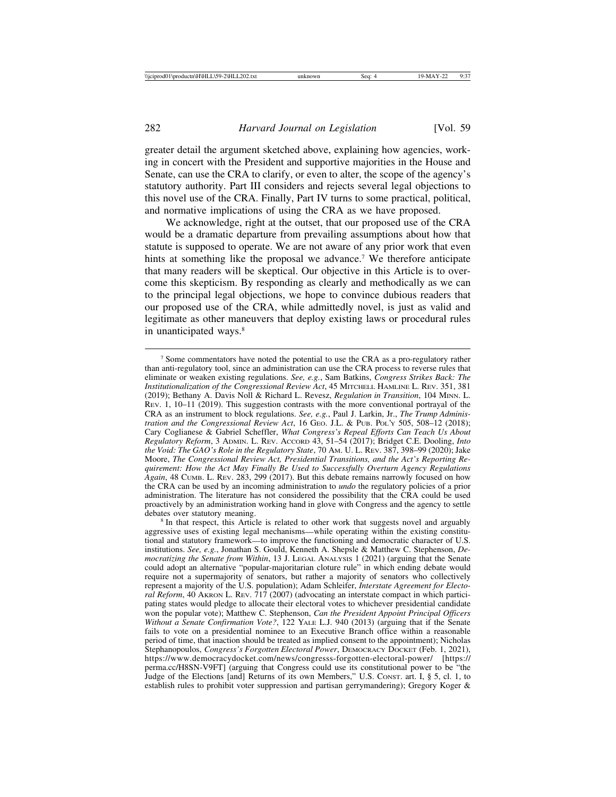greater detail the argument sketched above, explaining how agencies, working in concert with the President and supportive majorities in the House and Senate, can use the CRA to clarify, or even to alter, the scope of the agency's statutory authority. Part III considers and rejects several legal objections to this novel use of the CRA. Finally, Part IV turns to some practical, political, and normative implications of using the CRA as we have proposed.

We acknowledge, right at the outset, that our proposed use of the CRA would be a dramatic departure from prevailing assumptions about how that statute is supposed to operate. We are not aware of any prior work that even hints at something like the proposal we advance.<sup>7</sup> We therefore anticipate that many readers will be skeptical. Our objective in this Article is to overcome this skepticism. By responding as clearly and methodically as we can to the principal legal objections, we hope to convince dubious readers that our proposed use of the CRA, while admittedly novel, is just as valid and legitimate as other maneuvers that deploy existing laws or procedural rules in unanticipated ways.<sup>8</sup>

<sup>7</sup> Some commentators have noted the potential to use the CRA as a pro-regulatory rather than anti-regulatory tool, since an administration can use the CRA process to reverse rules that eliminate or weaken existing regulations. *See, e.g.*, Sam Batkins, *Congress Strikes Back: The Institutionalization of the Congressional Review Act*, 45 MITCHELL HAMLINE L. REV. 351, 381 (2019); Bethany A. Davis Noll & Richard L. Revesz, *Regulation in Transition*, 104 MINN. L. REV. 1, 10–11 (2019). This suggestion contrasts with the more conventional portrayal of the CRA as an instrument to block regulations. *See, e.g.*, Paul J. Larkin, Jr., *The Trump Administration and the Congressional Review Act*, 16 GEO. J.L. & PUB. POL'Y 505, 508-12 (2018); Cary Coglianese & Gabriel Scheffler, *What Congress's Repeal Efforts Can Teach Us About Regulatory Reform*, 3 ADMIN. L. REV. ACCORD 43, 51–54 (2017); Bridget C.E. Dooling, *Into the Void: The GAO's Role in the Regulatory State*, 70 AM. U. L. REV. 387, 398–99 (2020); Jake Moore, *The Congressional Review Act, Presidential Transitions, and the Act's Reporting Requirement: How the Act May Finally Be Used to Successfully Overturn Agency Regulations Again*, 48 CUMB. L. REV. 283, 299 (2017). But this debate remains narrowly focused on how the CRA can be used by an incoming administration to *undo* the regulatory policies of a prior administration. The literature has not considered the possibility that the CRA could be used proactively by an administration working hand in glove with Congress and the agency to settle

<sup>&</sup>lt;sup>8</sup> In that respect, this Article is related to other work that suggests novel and arguably aggressive uses of existing legal mechanisms—while operating within the existing constitutional and statutory framework—to improve the functioning and democratic character of U.S. institutions. *See, e.g.*, Jonathan S. Gould, Kenneth A. Shepsle & Matthew C. Stephenson, *Democratizing the Senate from Within*, 13 J. LEGAL ANALYSIS 1 (2021) (arguing that the Senate could adopt an alternative "popular-majoritarian cloture rule" in which ending debate would require not a supermajority of senators, but rather a majority of senators who collectively represent a majority of the U.S. population); Adam Schleifer, *Interstate Agreement for Electoral Reform*, 40 AKRON L. REV. 717 (2007) (advocating an interstate compact in which participating states would pledge to allocate their electoral votes to whichever presidential candidate won the popular vote); Matthew C. Stephenson, *Can the President Appoint Principal Officers Without a Senate Confirmation Vote?*, 122 YALE L.J. 940 (2013) (arguing that if the Senate fails to vote on a presidential nominee to an Executive Branch office within a reasonable period of time, that inaction should be treated as implied consent to the appointment); Nicholas Stephanopoulos, *Congress's Forgotten Electoral Power*, DEMOCRACY DOCKET (Feb. 1, 2021), https://www.democracydocket.com/news/congresss-forgotten-electoral-power/ [https:// perma.cc/H8SN-V9FT] (arguing that Congress could use its constitutional power to be "the Judge of the Elections [and] Returns of its own Members," U.S. CONST. art. I, § 5, cl. 1, to establish rules to prohibit voter suppression and partisan gerrymandering); Gregory Koger &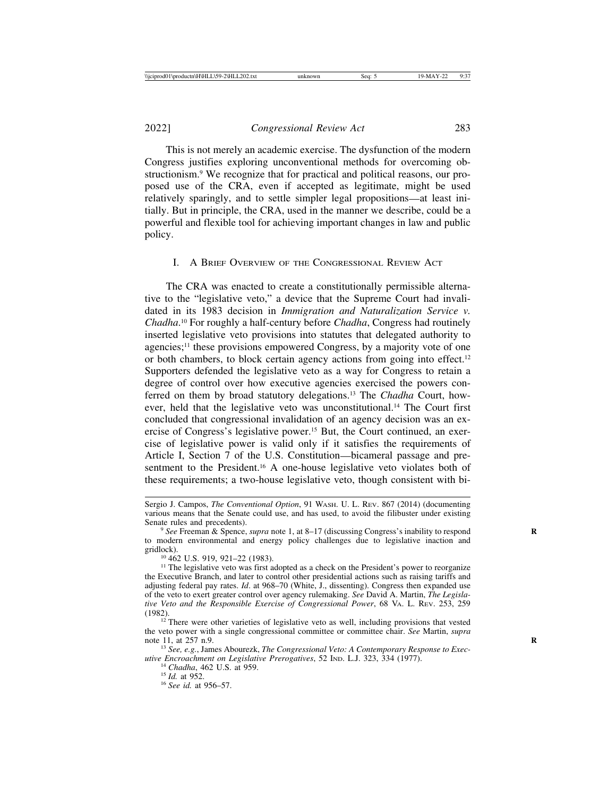This is not merely an academic exercise. The dysfunction of the modern Congress justifies exploring unconventional methods for overcoming obstructionism.9 We recognize that for practical and political reasons, our proposed use of the CRA, even if accepted as legitimate, might be used relatively sparingly, and to settle simpler legal propositions—at least initially. But in principle, the CRA, used in the manner we describe, could be a powerful and flexible tool for achieving important changes in law and public policy.

#### I. A BRIEF OVERVIEW OF THE CONGRESSIONAL REVIEW ACT

The CRA was enacted to create a constitutionally permissible alternative to the "legislative veto," a device that the Supreme Court had invalidated in its 1983 decision in *Immigration and Naturalization Service v. Chadha*. 10 For roughly a half-century before *Chadha*, Congress had routinely inserted legislative veto provisions into statutes that delegated authority to agencies;<sup>11</sup> these provisions empowered Congress, by a majority vote of one or both chambers, to block certain agency actions from going into effect.12 Supporters defended the legislative veto as a way for Congress to retain a degree of control over how executive agencies exercised the powers conferred on them by broad statutory delegations.13 The *Chadha* Court, however, held that the legislative veto was unconstitutional.14 The Court first concluded that congressional invalidation of an agency decision was an exercise of Congress's legislative power.15 But, the Court continued, an exercise of legislative power is valid only if it satisfies the requirements of Article I, Section 7 of the U.S. Constitution—bicameral passage and presentment to the President.<sup>16</sup> A one-house legislative veto violates both of these requirements; a two-house legislative veto, though consistent with bi-

Sergio J. Campos, *The Conventional Option*, 91 WASH. U. L. REV. 867 (2014) (documenting various means that the Senate could use, and has used, to avoid the filibuster under existing

<sup>&</sup>lt;sup>9</sup> *See* Freeman & Spence, *supra* note 1, at 8–17 (discussing Congress's inability to respond to modern environmental and energy policy challenges due to legislative inaction and gridlock).<br><sup>10</sup> 462 U.S. 919, 921–22 (1983).<br><sup>11</sup> The legislative veto was first adopted as a check on the President's power to reorganize

the Executive Branch, and later to control other presidential actions such as raising tariffs and adjusting federal pay rates. *Id*. at 968–70 (White, J., dissenting). Congress then expanded use of the veto to exert greater control over agency rulemaking. *See* David A. Martin, *The Legislative Veto and the Responsible Exercise of Congressional Power*, 68 VA. L. REV. 253, 259 (1982). <sup>12</sup> There were other varieties of legislative veto as well, including provisions that vested

the veto power with a single congressional committee or committee chair. *See* Martin, *supra*

<sup>&</sup>lt;sup>13</sup> See, e.g., James Abourezk, *The Congressional Veto: A Contemporary Response to Executive Encroachment on Legislative Prerogatives*, 52 IND. L.J. 323, 334 (1977).<br><sup>14</sup> *Chadha*, 462 U.S. at 959.<br><sup>15</sup> *Id.* at 952.<br><sup>16</sup> *See id.* at 956–57.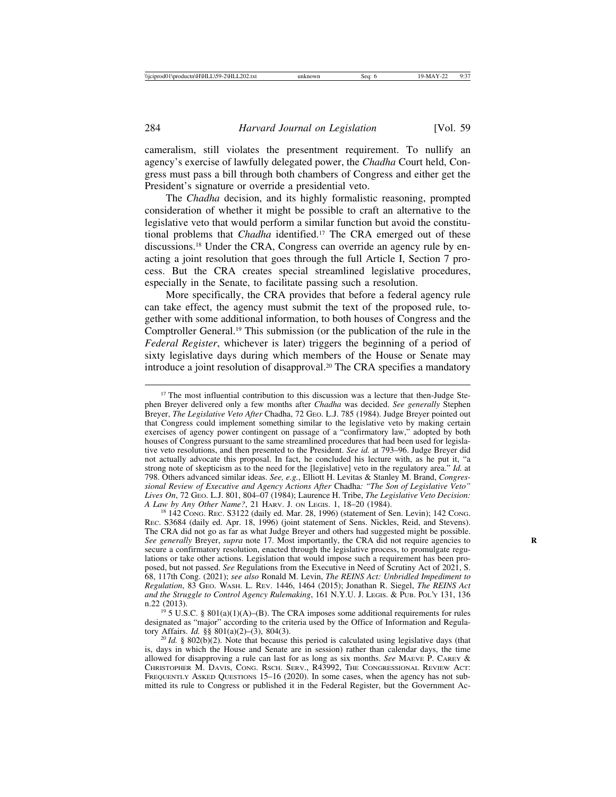cameralism, still violates the presentment requirement. To nullify an agency's exercise of lawfully delegated power, the *Chadha* Court held, Congress must pass a bill through both chambers of Congress and either get the President's signature or override a presidential veto.

The *Chadha* decision, and its highly formalistic reasoning, prompted consideration of whether it might be possible to craft an alternative to the legislative veto that would perform a similar function but avoid the constitutional problems that *Chadha* identified.17 The CRA emerged out of these discussions.18 Under the CRA, Congress can override an agency rule by enacting a joint resolution that goes through the full Article I, Section 7 process. But the CRA creates special streamlined legislative procedures, especially in the Senate, to facilitate passing such a resolution.

More specifically, the CRA provides that before a federal agency rule can take effect, the agency must submit the text of the proposed rule, together with some additional information, to both houses of Congress and the Comptroller General.19 This submission (or the publication of the rule in the *Federal Register*, whichever is later) triggers the beginning of a period of sixty legislative days during which members of the House or Senate may introduce a joint resolution of disapproval.20 The CRA specifies a mandatory

<sup>&</sup>lt;sup>17</sup> The most influential contribution to this discussion was a lecture that then-Judge Stephen Breyer delivered only a few months after *Chadha* was decided. *See generally* Stephen Breyer, *The Legislative Veto After* Chadha, 72 GEO. L.J. 785 (1984). Judge Breyer pointed out that Congress could implement something similar to the legislative veto by making certain exercises of agency power contingent on passage of a "confirmatory law," adopted by both houses of Congress pursuant to the same streamlined procedures that had been used for legislative veto resolutions, and then presented to the President. *See id.* at 793–96. Judge Breyer did not actually advocate this proposal. In fact, he concluded his lecture with, as he put it, "a strong note of skepticism as to the need for the [legislative] veto in the regulatory area." *Id.* at 798. Others advanced similar ideas. *See, e.g.*, Elliott H. Levitas & Stanley M. Brand, *Congressional Review of Executive and Agency Actions After* Chadha*: "The Son of Legislative Veto" Lives On*, 72 GEO. L.J. 801, 804–07 (1984); Laurence H. Tribe, *The Legislative Veto Decision:*

<sup>&</sup>lt;sup>18</sup> 142 Cong. Rec. S3122 (daily ed. Mar. 28, 1996) (statement of Sen. Levin); 142 Cong. REC. S3684 (daily ed. Apr. 18, 1996) (joint statement of Sens. Nickles, Reid, and Stevens). The CRA did not go as far as what Judge Breyer and others had suggested might be possible. *See generally* Breyer, *supra* note 17. Most importantly, the CRA did not require agencies to **R** secure a confirmatory resolution, enacted through the legislative process, to promulgate regulations or take other actions. Legislation that would impose such a requirement has been proposed, but not passed. *See* Regulations from the Executive in Need of Scrutiny Act of 2021, S. 68, 117th Cong. (2021); *see also* Ronald M. Levin, *The REINS Act: Unbridled Impediment to Regulation*, 83 GEO. WASH. L. REV. 1446, 1464 (2015); Jonathan R. Siegel, *The REINS Act and the Struggle to Control Agency Rulemaking*, 161 N.Y.U. J. LEGIS. & PUB. POL'Y 131, 136 n.22 (2013).<br><sup>19</sup> 5 U.S.C. § 801(a)(1)(A)–(B). The CRA imposes some additional requirements for rules

designated as "major" according to the criteria used by the Office of Information and Regula-<br>tory Affairs. *Id.* §§ 801(a)(2)–(3), 804(3).

 $20$  *Id.* § 802(b)(2). Note that because this period is calculated using legislative days (that is, days in which the House and Senate are in session) rather than calendar days, the time allowed for disapproving a rule can last for as long as six months. *See* MAEVE P. CAREY & CHRISTOPHER M. DAVIS, CONG. RSCH. SERV., R43992, THE CONGRESSIONAL REVIEW ACT: FREQUENTLY ASKED QUESTIONS 15–16 (2020). In some cases, when the agency has not submitted its rule to Congress or published it in the Federal Register, but the Government Ac-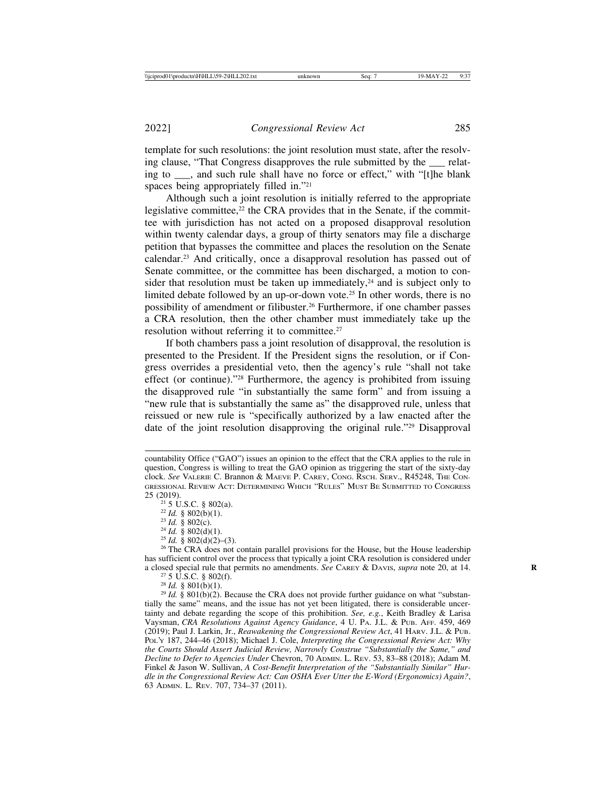template for such resolutions: the joint resolution must state, after the resolving clause, "That Congress disapproves the rule submitted by the relating to , and such rule shall have no force or effect," with "[t]he blank spaces being appropriately filled in."21

Although such a joint resolution is initially referred to the appropriate legislative committee, $2<sup>2</sup>$  the CRA provides that in the Senate, if the committee with jurisdiction has not acted on a proposed disapproval resolution within twenty calendar days, a group of thirty senators may file a discharge petition that bypasses the committee and places the resolution on the Senate calendar.23 And critically, once a disapproval resolution has passed out of Senate committee, or the committee has been discharged, a motion to consider that resolution must be taken up immediately,<sup>24</sup> and is subject only to limited debate followed by an up-or-down vote.<sup>25</sup> In other words, there is no possibility of amendment or filibuster.26 Furthermore, if one chamber passes a CRA resolution, then the other chamber must immediately take up the resolution without referring it to committee.<sup>27</sup>

If both chambers pass a joint resolution of disapproval, the resolution is presented to the President. If the President signs the resolution, or if Congress overrides a presidential veto, then the agency's rule "shall not take effect (or continue)."28 Furthermore, the agency is prohibited from issuing the disapproved rule "in substantially the same form" and from issuing a "new rule that is substantially the same as" the disapproved rule, unless that reissued or new rule is "specifically authorized by a law enacted after the date of the joint resolution disapproving the original rule."29 Disapproval

- 
- 

countability Office ("GAO") issues an opinion to the effect that the CRA applies to the rule in question, Congress is willing to treat the GAO opinion as triggering the start of the sixty-day clock. *See* VALERIE C. Brannon & MAEVE P. CAREY, CONG. RSCH. SERV., R45248, THE CON-GRESSIONAL REVIEW ACT: DETERMINING WHICH "RULES" MUST BE SUBMITTED TO CONGRESS 25 (2019).

<sup>&</sup>lt;sup>21</sup> 5 U.S.C. § 802(a).<br><sup>22</sup> *Id.* § 802(b)(1).<br><sup>23</sup> *Id.* § 802(d)(1).<br><sup>25</sup> *Id.* § 802(d)(2)–(3).<br><sup>26</sup> The CRA does not contain parallel provisions for the House, but the House leadership has sufficient control over the process that typically a joint CRA resolution is considered under a closed special rule that permits no amendments. *See* CAREY & DAVIS, *supra* note 20, at 14.<br><sup>27</sup> 5 U.S.C. § 802(f).<br><sup>28</sup> Id. § 801(b)(1).<br><sup>29</sup> Id. § 801(b)(2). Because the CRA does not provide further guidance on what

tially the same" means, and the issue has not yet been litigated, there is considerable uncertainty and debate regarding the scope of this prohibition. *See, e.g.*, Keith Bradley & Larisa Vaysman, *CRA Resolutions Against Agency Guidance*, 4 U. PA. J.L. & PUB. AFF. 459, 469 (2019); Paul J. Larkin, Jr., *Reawakening the Congressional Review Act*, 41 HARV. J.L. & PUB. POL'Y 187, 244–46 (2018); Michael J. Cole, *Interpreting the Congressional Review Act: Why the Courts Should Assert Judicial Review, Narrowly Construe "Substantially the Same," and Decline to Defer to Agencies Under* Chevron, 70 ADMIN. L. REV. 53, 83–88 (2018); Adam M. Finkel & Jason W. Sullivan, *A Cost-Benefit Interpretation of the "Substantially Similar" Hurdle in the Congressional Review Act: Can OSHA Ever Utter the E-Word (Ergonomics) Again?*, 63 ADMIN. L. REV. 707, 734–37 (2011).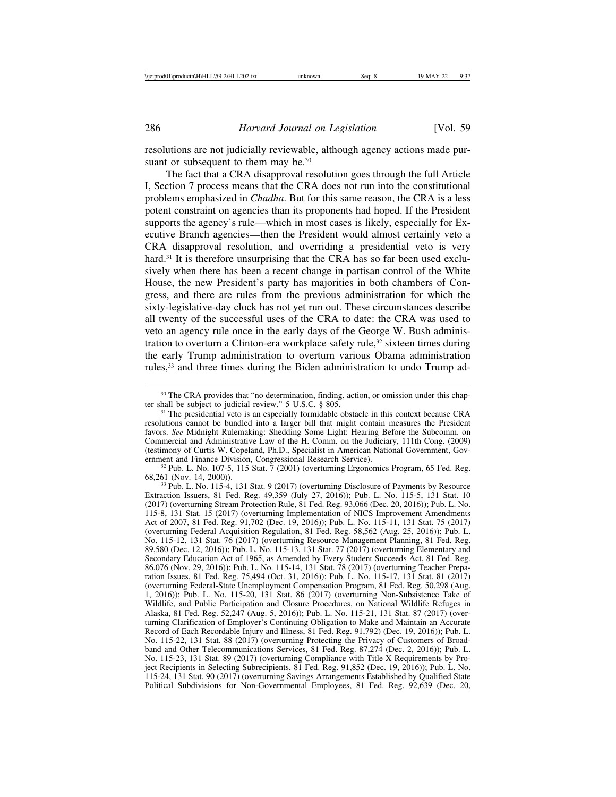resolutions are not judicially reviewable, although agency actions made pursuant or subsequent to them may be.<sup>30</sup>

The fact that a CRA disapproval resolution goes through the full Article I, Section 7 process means that the CRA does not run into the constitutional problems emphasized in *Chadha*. But for this same reason, the CRA is a less potent constraint on agencies than its proponents had hoped. If the President supports the agency's rule—which in most cases is likely, especially for Executive Branch agencies—then the President would almost certainly veto a CRA disapproval resolution, and overriding a presidential veto is very hard.<sup>31</sup> It is therefore unsurprising that the CRA has so far been used exclusively when there has been a recent change in partisan control of the White House, the new President's party has majorities in both chambers of Congress, and there are rules from the previous administration for which the sixty-legislative-day clock has not yet run out. These circumstances describe all twenty of the successful uses of the CRA to date: the CRA was used to veto an agency rule once in the early days of the George W. Bush administration to overturn a Clinton-era workplace safety rule,<sup>32</sup> sixteen times during the early Trump administration to overturn various Obama administration rules,<sup>33</sup> and three times during the Biden administration to undo Trump ad-

 $32$  Pub. L. No. 107-5, 115 Stat. 7 (2001) (overturning Ergonomics Program, 65 Fed. Reg. 68,261 (Nov. 14, 2000)). <sup>33</sup> Pub. L. No. 115-4, 131 Stat. 9 (2017) (overturning Disclosure of Payments by Resource

<sup>&</sup>lt;sup>30</sup> The CRA provides that "no determination, finding, action, or omission under this chap-<br>ter shall be subject to judicial review." 5 U.S.C. § 805.

<sup>&</sup>lt;sup>31</sup> The presidential veto is an especially formidable obstacle in this context because CRA resolutions cannot be bundled into a larger bill that might contain measures the President favors. *See* Midnight Rulemaking: Shedding Some Light: Hearing Before the Subcomm. on Commercial and Administrative Law of the H. Comm. on the Judiciary, 111th Cong. (2009) (testimony of Curtis W. Copeland, Ph.D., Specialist in American National Government, Gov-

Extraction Issuers, 81 Fed. Reg. 49,359 (July 27, 2016)); Pub. L. No. 115-5, 131 Stat. 10 (2017) (overturning Stream Protection Rule, 81 Fed. Reg. 93,066 (Dec. 20, 2016)); Pub. L. No. 115-8, 131 Stat. 15 (2017) (overturning Implementation of NICS Improvement Amendments Act of 2007, 81 Fed. Reg. 91,702 (Dec. 19, 2016)); Pub. L. No. 115-11, 131 Stat. 75 (2017) (overturning Federal Acquisition Regulation, 81 Fed. Reg. 58,562 (Aug. 25, 2016)); Pub. L. No. 115-12, 131 Stat. 76 (2017) (overturning Resource Management Planning, 81 Fed. Reg. 89,580 (Dec. 12, 2016)); Pub. L. No. 115-13, 131 Stat. 77 (2017) (overturning Elementary and Secondary Education Act of 1965, as Amended by Every Student Succeeds Act, 81 Fed. Reg. 86,076 (Nov. 29, 2016)); Pub. L. No. 115-14, 131 Stat. 78 (2017) (overturning Teacher Preparation Issues, 81 Fed. Reg. 75,494 (Oct. 31, 2016)); Pub. L. No. 115-17, 131 Stat. 81 (2017) (overturning Federal-State Unemployment Compensation Program, 81 Fed. Reg. 50,298 (Aug. 1, 2016)); Pub. L. No. 115-20, 131 Stat. 86 (2017) (overturning Non-Subsistence Take of Wildlife, and Public Participation and Closure Procedures, on National Wildlife Refuges in Alaska, 81 Fed. Reg. 52,247 (Aug. 5, 2016)); Pub. L. No. 115-21, 131 Stat. 87 (2017) (overturning Clarification of Employer's Continuing Obligation to Make and Maintain an Accurate Record of Each Recordable Injury and Illness, 81 Fed. Reg. 91,792) (Dec. 19, 2016)); Pub. L. No. 115-22, 131 Stat. 88 (2017) (overturning Protecting the Privacy of Customers of Broadband and Other Telecommunications Services, 81 Fed. Reg. 87,274 (Dec. 2, 2016)); Pub. L. No. 115-23, 131 Stat. 89 (2017) (overturning Compliance with Title X Requirements by Project Recipients in Selecting Subrecipients, 81 Fed. Reg. 91,852 (Dec. 19, 2016)); Pub. L. No. 115-24, 131 Stat. 90 (2017) (overturning Savings Arrangements Established by Qualified State Political Subdivisions for Non-Governmental Employees, 81 Fed. Reg. 92,639 (Dec. 20,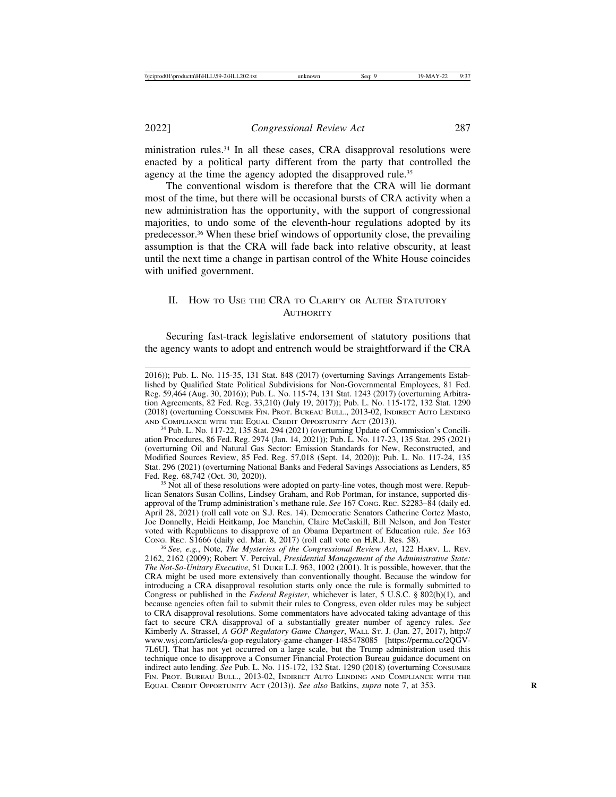ministration rules.34 In all these cases, CRA disapproval resolutions were enacted by a political party different from the party that controlled the agency at the time the agency adopted the disapproved rule.<sup>35</sup>

The conventional wisdom is therefore that the CRA will lie dormant most of the time, but there will be occasional bursts of CRA activity when a new administration has the opportunity, with the support of congressional majorities, to undo some of the eleventh-hour regulations adopted by its predecessor.36 When these brief windows of opportunity close, the prevailing assumption is that the CRA will fade back into relative obscurity, at least until the next time a change in partisan control of the White House coincides with unified government.

## II. HOW TO USE THE CRA TO CLARIFY OR ALTER STATUTORY **AUTHORITY**

Securing fast-track legislative endorsement of statutory positions that the agency wants to adopt and entrench would be straightforward if the CRA

ation Procedures, 86 Fed. Reg. 2974 (Jan. 14, 2021)); Pub. L. No. 117-23, 135 Stat. 295 (2021) (overturning Oil and Natural Gas Sector: Emission Standards for New, Reconstructed, and Modified Sources Review, 85 Fed. Reg. 57,018 (Sept. 14, 2020)); Pub. L. No. 117-24, 135 Stat. 296 (2021) (overturning National Banks and Federal Savings Associations as Lenders, 85 Fed. Reg. 68,742 (Oct. 30, 2020)).

 $35$  Not all of these resolutions were adopted on party-line votes, though most were. Republican Senators Susan Collins, Lindsey Graham, and Rob Portman, for instance, supported disapproval of the Trump administration's methane rule. *See* 167 CONG. REC. S2283–84 (daily ed. April 28, 2021) (roll call vote on S.J. Res. 14). Democratic Senators Catherine Cortez Masto, Joe Donnelly, Heidi Heitkamp, Joe Manchin, Claire McCaskill, Bill Nelson, and Jon Tester voted with Republicans to disapprove of an Obama Department of Education rule. *See* 163

<sup>36</sup> See, e.g., Note, *The Mysteries of the Congressional Review Act*, 122 HARV. L. REV. 2162, 2162 (2009); Robert V. Percival, *Presidential Management of the Administrative State: The Not-So-Unitary Executive*, 51 DUKE L.J. 963, 1002 (2001). It is possible, however, that the CRA might be used more extensively than conventionally thought. Because the window for introducing a CRA disapproval resolution starts only once the rule is formally submitted to Congress or published in the *Federal Register*, whichever is later, 5 U.S.C. § 802(b)(1), and because agencies often fail to submit their rules to Congress, even older rules may be subject to CRA disapproval resolutions. Some commentators have advocated taking advantage of this fact to secure CRA disapproval of a substantially greater number of agency rules. *See* Kimberly A. Strassel, *A GOP Regulatory Game Changer*, WALL ST. J. (Jan. 27, 2017), http:// www.wsj.com/articles/a-gop-regulatory-game-changer-1485478085 [https://perma.cc/2QGV-7L6U]. That has not yet occurred on a large scale, but the Trump administration used this technique once to disapprove a Consumer Financial Protection Bureau guidance document on indirect auto lending. *See* Pub. L. No. 115-172, 132 Stat. 1290 (2018) (overturning CONSUMER FIN. PROT. BUREAU BULL., 2013-02, INDIRECT AUTO LENDING AND COMPLIANCE WITH THE EQUAL CREDIT OPPORTUNITY ACT (2013)). *See also* Batkins, *supra* note 7, at 353. **R**

<sup>2016));</sup> Pub. L. No. 115-35, 131 Stat. 848 (2017) (overturning Savings Arrangements Established by Qualified State Political Subdivisions for Non-Governmental Employees, 81 Fed. Reg. 59,464 (Aug. 30, 2016)); Pub. L. No. 115-74, 131 Stat. 1243 (2017) (overturning Arbitration Agreements, 82 Fed. Reg. 33,210) (July 19, 2017)); Pub. L. No. 115-172, 132 Stat. 1290 (2018) (overturning CONSUMER FIN. PROT. BUREAU BULL., 2013-02, INDIRECT AUTO LENDING AND COMPLIANCE WITH THE EQUAL CREDIT OPPORTUNITY ACT (2013)). <sup>34</sup> Pub. L. No. 117-22, 135 Stat. 294 (2021) (overturning Update of Commission's Concili-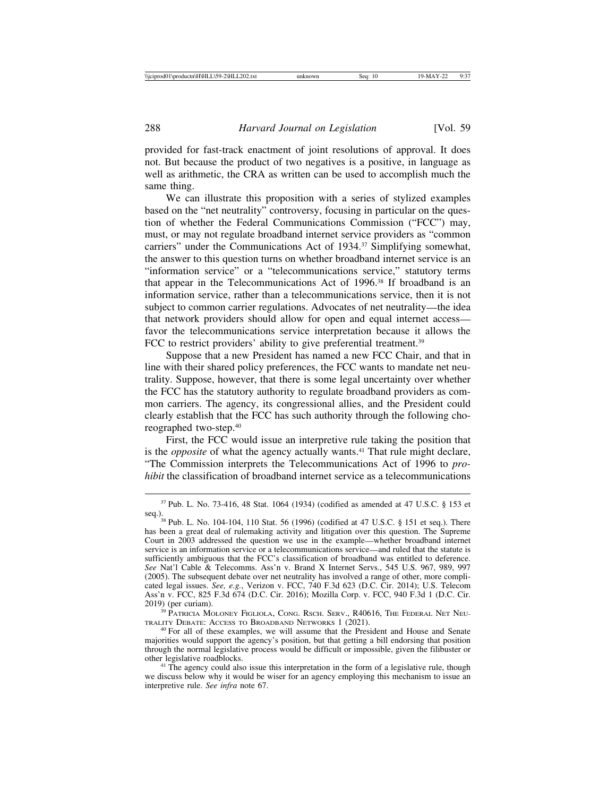provided for fast-track enactment of joint resolutions of approval. It does not. But because the product of two negatives is a positive, in language as well as arithmetic, the CRA as written can be used to accomplish much the same thing.

We can illustrate this proposition with a series of stylized examples based on the "net neutrality" controversy, focusing in particular on the question of whether the Federal Communications Commission ("FCC") may, must, or may not regulate broadband internet service providers as "common carriers" under the Communications Act of 1934.<sup>37</sup> Simplifying somewhat, the answer to this question turns on whether broadband internet service is an "information service" or a "telecommunications service," statutory terms that appear in the Telecommunications Act of 1996.38 If broadband is an information service, rather than a telecommunications service, then it is not subject to common carrier regulations. Advocates of net neutrality—the idea that network providers should allow for open and equal internet access favor the telecommunications service interpretation because it allows the FCC to restrict providers' ability to give preferential treatment.<sup>39</sup>

Suppose that a new President has named a new FCC Chair, and that in line with their shared policy preferences, the FCC wants to mandate net neutrality. Suppose, however, that there is some legal uncertainty over whether the FCC has the statutory authority to regulate broadband providers as common carriers. The agency, its congressional allies, and the President could clearly establish that the FCC has such authority through the following choreographed two-step.40

First, the FCC would issue an interpretive rule taking the position that is the *opposite* of what the agency actually wants.<sup>41</sup> That rule might declare, "The Commission interprets the Telecommunications Act of 1996 to *prohibit* the classification of broadband internet service as a telecommunications

 $37$  Pub. L. No. 73-416, 48 Stat. 1064 (1934) (codified as amended at 47 U.S.C. § 153 et seq.).

TRALITY DEBATE: ACCESS TO BROADBAND NETWORKS 1 (2021).

<sup>40</sup> For all of these examples, we will assume that the President and House and Senate majorities would support the agency's position, but that getting a bill endorsing that position through the normal legislative process would be difficult or impossible, given the filibuster or other legislative roadblocks. <sup>41</sup> The agency could also issue this interpretation in the form of a legislative rule, though

we discuss below why it would be wiser for an agency employing this mechanism to issue an interpretive rule. *See infra* note 67.

<sup>&</sup>lt;sup>38</sup> Pub. L. No. 104-104, 110 Stat. 56 (1996) (codified at 47 U.S.C. § 151 et seq.). There has been a great deal of rulemaking activity and litigation over this question. The Supreme Court in 2003 addressed the question we use in the example—whether broadband internet service is an information service or a telecommunications service—and ruled that the statute is sufficiently ambiguous that the FCC's classification of broadband was entitled to deference. *See* Nat'l Cable & Telecomms. Ass'n v. Brand X Internet Servs., 545 U.S. 967, 989, 997 (2005). The subsequent debate over net neutrality has involved a range of other, more complicated legal issues. *See, e.g.*, Verizon v. FCC, 740 F.3d 623 (D.C. Cir. 2014); U.S. Telecom Ass'n v. FCC, 825 F.3d 674 (D.C. Cir. 2016); Mozilla Corp. v. FCC, 940 F.3d 1 (D.C. Cir. 2019) (per curiam).<br><sup>39</sup> PATRICIA MOLONEY FIGLIOLA, CONG. RSCH. SERV., R40616, THE FEDERAL NET NEU-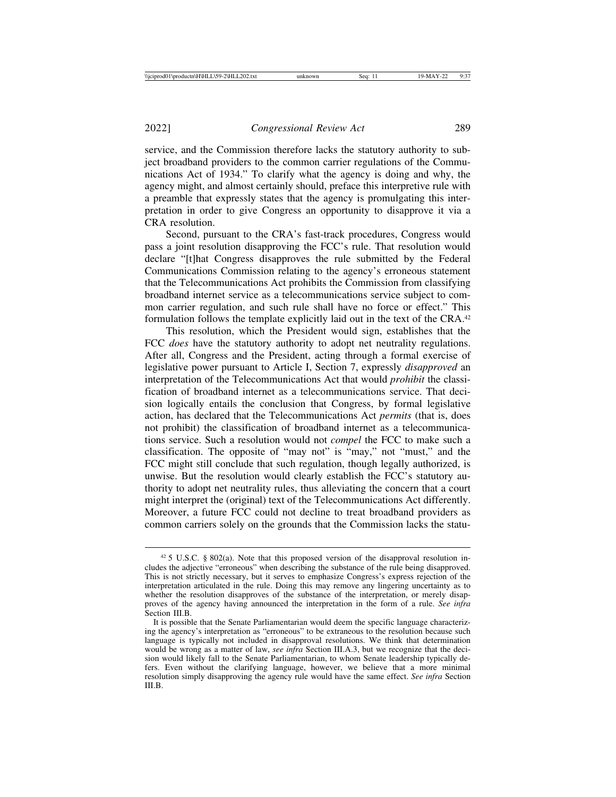service, and the Commission therefore lacks the statutory authority to subject broadband providers to the common carrier regulations of the Communications Act of 1934." To clarify what the agency is doing and why, the agency might, and almost certainly should, preface this interpretive rule with a preamble that expressly states that the agency is promulgating this interpretation in order to give Congress an opportunity to disapprove it via a CRA resolution.

Second, pursuant to the CRA's fast-track procedures, Congress would pass a joint resolution disapproving the FCC's rule. That resolution would declare "[t]hat Congress disapproves the rule submitted by the Federal Communications Commission relating to the agency's erroneous statement that the Telecommunications Act prohibits the Commission from classifying broadband internet service as a telecommunications service subject to common carrier regulation, and such rule shall have no force or effect." This formulation follows the template explicitly laid out in the text of the CRA.<sup>42</sup>

This resolution, which the President would sign, establishes that the FCC *does* have the statutory authority to adopt net neutrality regulations. After all, Congress and the President, acting through a formal exercise of legislative power pursuant to Article I, Section 7, expressly *disapproved* an interpretation of the Telecommunications Act that would *prohibit* the classification of broadband internet as a telecommunications service. That decision logically entails the conclusion that Congress, by formal legislative action, has declared that the Telecommunications Act *permits* (that is, does not prohibit) the classification of broadband internet as a telecommunications service. Such a resolution would not *compel* the FCC to make such a classification. The opposite of "may not" is "may," not "must," and the FCC might still conclude that such regulation, though legally authorized, is unwise. But the resolution would clearly establish the FCC's statutory authority to adopt net neutrality rules, thus alleviating the concern that a court might interpret the (original) text of the Telecommunications Act differently. Moreover, a future FCC could not decline to treat broadband providers as common carriers solely on the grounds that the Commission lacks the statu-

 $425$  U.S.C. § 802(a). Note that this proposed version of the disapproval resolution includes the adjective "erroneous" when describing the substance of the rule being disapproved. This is not strictly necessary, but it serves to emphasize Congress's express rejection of the interpretation articulated in the rule. Doing this may remove any lingering uncertainty as to whether the resolution disapproves of the substance of the interpretation, or merely disapproves of the agency having announced the interpretation in the form of a rule. *See infra* Section III.B.

It is possible that the Senate Parliamentarian would deem the specific language characterizing the agency's interpretation as "erroneous" to be extraneous to the resolution because such language is typically not included in disapproval resolutions. We think that determination would be wrong as a matter of law, *see infra* Section III.A.3, but we recognize that the decision would likely fall to the Senate Parliamentarian, to whom Senate leadership typically defers. Even without the clarifying language, however, we believe that a more minimal resolution simply disapproving the agency rule would have the same effect. *See infra* Section III.B.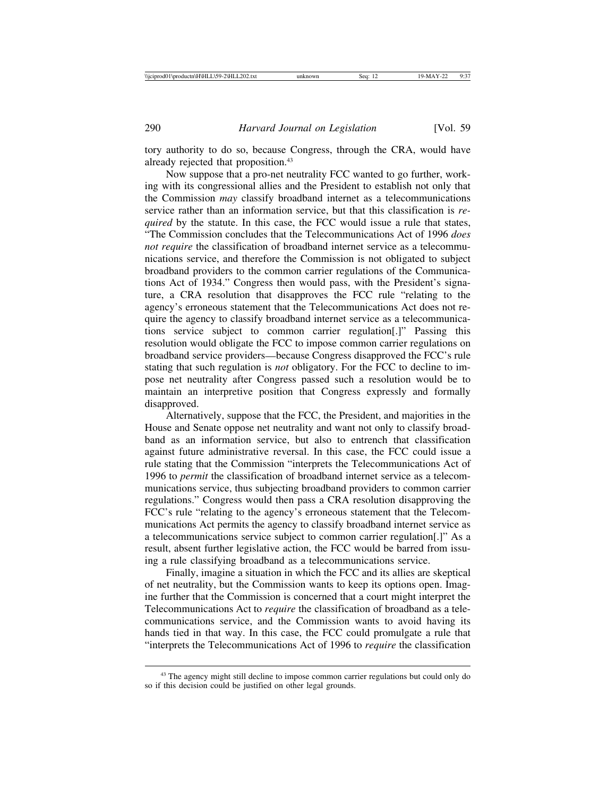tory authority to do so, because Congress, through the CRA, would have already rejected that proposition.43

Now suppose that a pro-net neutrality FCC wanted to go further, working with its congressional allies and the President to establish not only that the Commission *may* classify broadband internet as a telecommunications service rather than an information service, but that this classification is *required* by the statute. In this case, the FCC would issue a rule that states, "The Commission concludes that the Telecommunications Act of 1996 *does not require* the classification of broadband internet service as a telecommunications service, and therefore the Commission is not obligated to subject broadband providers to the common carrier regulations of the Communications Act of 1934." Congress then would pass, with the President's signature, a CRA resolution that disapproves the FCC rule "relating to the agency's erroneous statement that the Telecommunications Act does not require the agency to classify broadband internet service as a telecommunications service subject to common carrier regulation[.]" Passing this resolution would obligate the FCC to impose common carrier regulations on broadband service providers—because Congress disapproved the FCC's rule stating that such regulation is *not* obligatory. For the FCC to decline to impose net neutrality after Congress passed such a resolution would be to maintain an interpretive position that Congress expressly and formally disapproved.

Alternatively, suppose that the FCC, the President, and majorities in the House and Senate oppose net neutrality and want not only to classify broadband as an information service, but also to entrench that classification against future administrative reversal. In this case, the FCC could issue a rule stating that the Commission "interprets the Telecommunications Act of 1996 to *permit* the classification of broadband internet service as a telecommunications service, thus subjecting broadband providers to common carrier regulations." Congress would then pass a CRA resolution disapproving the FCC's rule "relating to the agency's erroneous statement that the Telecommunications Act permits the agency to classify broadband internet service as a telecommunications service subject to common carrier regulation[.]" As a result, absent further legislative action, the FCC would be barred from issuing a rule classifying broadband as a telecommunications service.

Finally, imagine a situation in which the FCC and its allies are skeptical of net neutrality, but the Commission wants to keep its options open. Imagine further that the Commission is concerned that a court might interpret the Telecommunications Act to *require* the classification of broadband as a telecommunications service, and the Commission wants to avoid having its hands tied in that way. In this case, the FCC could promulgate a rule that "interprets the Telecommunications Act of 1996 to *require* the classification

<sup>&</sup>lt;sup>43</sup> The agency might still decline to impose common carrier regulations but could only do so if this decision could be justified on other legal grounds.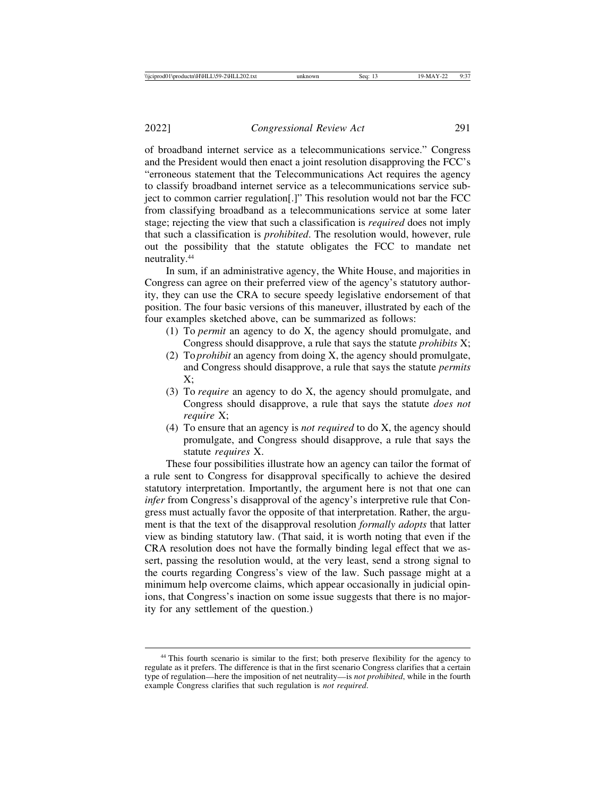of broadband internet service as a telecommunications service." Congress and the President would then enact a joint resolution disapproving the FCC's "erroneous statement that the Telecommunications Act requires the agency to classify broadband internet service as a telecommunications service subject to common carrier regulation[.]" This resolution would not bar the FCC from classifying broadband as a telecommunications service at some later stage; rejecting the view that such a classification is *required* does not imply that such a classification is *prohibited*. The resolution would, however, rule out the possibility that the statute obligates the FCC to mandate net neutrality.44

In sum, if an administrative agency, the White House, and majorities in Congress can agree on their preferred view of the agency's statutory authority, they can use the CRA to secure speedy legislative endorsement of that position. The four basic versions of this maneuver, illustrated by each of the four examples sketched above, can be summarized as follows:

- (1) To *permit* an agency to do X, the agency should promulgate, and Congress should disapprove, a rule that says the statute *prohibits* X;
- (2) To *prohibit* an agency from doing X, the agency should promulgate, and Congress should disapprove, a rule that says the statute *permits*  $X$ :
- (3) To *require* an agency to do X, the agency should promulgate, and Congress should disapprove, a rule that says the statute *does not require* X;
- (4) To ensure that an agency is *not required* to do X, the agency should promulgate, and Congress should disapprove, a rule that says the statute *requires* X.

These four possibilities illustrate how an agency can tailor the format of a rule sent to Congress for disapproval specifically to achieve the desired statutory interpretation. Importantly, the argument here is not that one can *infer* from Congress's disapproval of the agency's interpretive rule that Congress must actually favor the opposite of that interpretation. Rather, the argument is that the text of the disapproval resolution *formally adopts* that latter view as binding statutory law. (That said, it is worth noting that even if the CRA resolution does not have the formally binding legal effect that we assert, passing the resolution would, at the very least, send a strong signal to the courts regarding Congress's view of the law. Such passage might at a minimum help overcome claims, which appear occasionally in judicial opinions, that Congress's inaction on some issue suggests that there is no majority for any settlement of the question.)

<sup>&</sup>lt;sup>44</sup> This fourth scenario is similar to the first; both preserve flexibility for the agency to regulate as it prefers. The difference is that in the first scenario Congress clarifies that a certain type of regulation—here the imposition of net neutrality—is *not prohibited*, while in the fourth example Congress clarifies that such regulation is *not required*.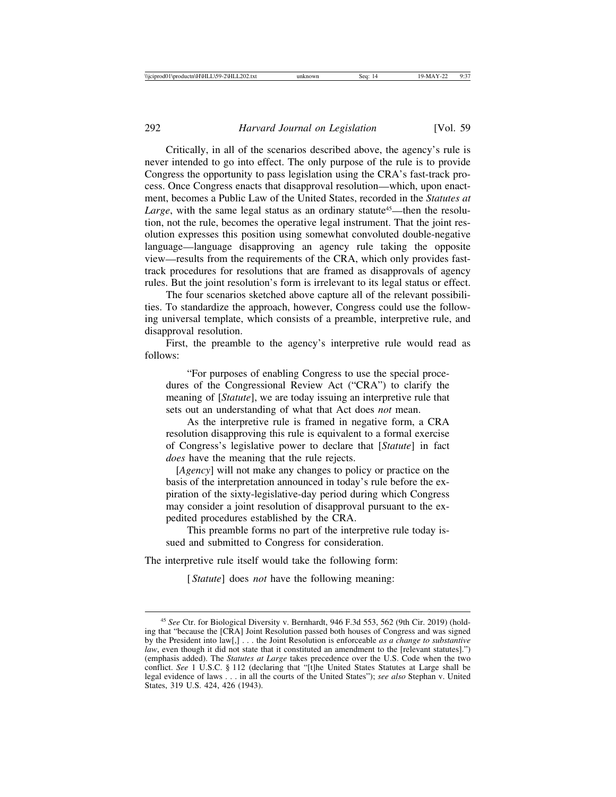Critically, in all of the scenarios described above, the agency's rule is never intended to go into effect. The only purpose of the rule is to provide Congress the opportunity to pass legislation using the CRA's fast-track process. Once Congress enacts that disapproval resolution—which, upon enactment, becomes a Public Law of the United States, recorded in the *Statutes at Large*, with the same legal status as an ordinary statute<sup>45</sup>—then the resolution, not the rule, becomes the operative legal instrument. That the joint resolution expresses this position using somewhat convoluted double-negative language—language disapproving an agency rule taking the opposite view—results from the requirements of the CRA, which only provides fasttrack procedures for resolutions that are framed as disapprovals of agency rules. But the joint resolution's form is irrelevant to its legal status or effect.

The four scenarios sketched above capture all of the relevant possibilities. To standardize the approach, however, Congress could use the following universal template, which consists of a preamble, interpretive rule, and disapproval resolution.

First, the preamble to the agency's interpretive rule would read as follows:

"For purposes of enabling Congress to use the special procedures of the Congressional Review Act ("CRA") to clarify the meaning of [*Statute*], we are today issuing an interpretive rule that sets out an understanding of what that Act does *not* mean.

As the interpretive rule is framed in negative form, a CRA resolution disapproving this rule is equivalent to a formal exercise of Congress's legislative power to declare that [*Statute*] in fact *does* have the meaning that the rule rejects.

 [*Agency*] will not make any changes to policy or practice on the basis of the interpretation announced in today's rule before the expiration of the sixty-legislative-day period during which Congress may consider a joint resolution of disapproval pursuant to the expedited procedures established by the CRA.

This preamble forms no part of the interpretive rule today issued and submitted to Congress for consideration.

The interpretive rule itself would take the following form:

[*Statute*] does *not* have the following meaning:

<sup>45</sup> *See* Ctr. for Biological Diversity v. Bernhardt, 946 F.3d 553, 562 (9th Cir. 2019) (holding that "because the [CRA] Joint Resolution passed both houses of Congress and was signed by the President into law[,] . . . the Joint Resolution is enforceable *as a change to substantive law*, even though it did not state that it constituted an amendment to the [relevant statutes].") (emphasis added). The *Statutes at Large* takes precedence over the U.S. Code when the two conflict. *See* 1 U.S.C. § 112 (declaring that "[t]he United States Statutes at Large shall be legal evidence of laws . . . in all the courts of the United States"); *see also* Stephan v. United States, 319 U.S. 424, 426 (1943).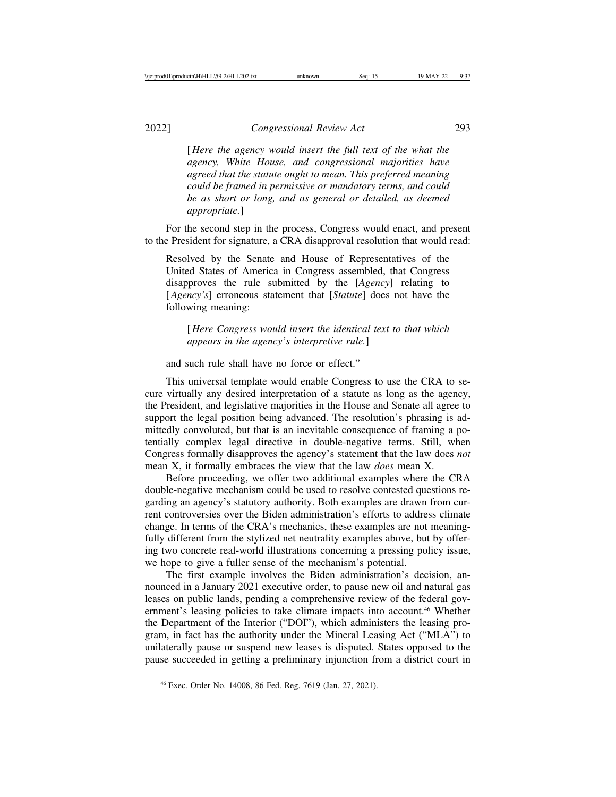[ *Here the agency would insert the full text of the what the agency, White House, and congressional majorities have agreed that the statute ought to mean. This preferred meaning could be framed in permissive or mandatory terms, and could be as short or long, and as general or detailed, as deemed appropriate.*]

For the second step in the process, Congress would enact, and present to the President for signature, a CRA disapproval resolution that would read:

Resolved by the Senate and House of Representatives of the United States of America in Congress assembled, that Congress disapproves the rule submitted by the [*Agency*] relating to [*Agency's*] erroneous statement that [*Statute*] does not have the following meaning:

[ *Here Congress would insert the identical text to that which appears in the agency's interpretive rule.*]

and such rule shall have no force or effect."

This universal template would enable Congress to use the CRA to secure virtually any desired interpretation of a statute as long as the agency, the President, and legislative majorities in the House and Senate all agree to support the legal position being advanced. The resolution's phrasing is admittedly convoluted, but that is an inevitable consequence of framing a potentially complex legal directive in double-negative terms. Still, when Congress formally disapproves the agency's statement that the law does *not* mean X, it formally embraces the view that the law *does* mean X.

Before proceeding, we offer two additional examples where the CRA double-negative mechanism could be used to resolve contested questions regarding an agency's statutory authority. Both examples are drawn from current controversies over the Biden administration's efforts to address climate change. In terms of the CRA's mechanics, these examples are not meaningfully different from the stylized net neutrality examples above, but by offering two concrete real-world illustrations concerning a pressing policy issue, we hope to give a fuller sense of the mechanism's potential.

The first example involves the Biden administration's decision, announced in a January 2021 executive order, to pause new oil and natural gas leases on public lands, pending a comprehensive review of the federal government's leasing policies to take climate impacts into account.<sup>46</sup> Whether the Department of the Interior ("DOI"), which administers the leasing program, in fact has the authority under the Mineral Leasing Act ("MLA") to unilaterally pause or suspend new leases is disputed. States opposed to the pause succeeded in getting a preliminary injunction from a district court in

<sup>46</sup> Exec. Order No. 14008, 86 Fed. Reg. 7619 (Jan. 27, 2021).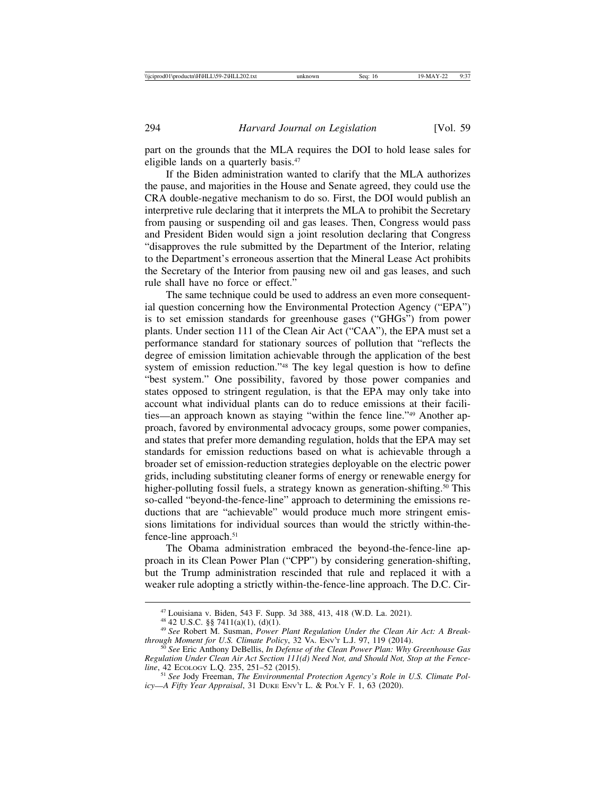part on the grounds that the MLA requires the DOI to hold lease sales for eligible lands on a quarterly basis.<sup>47</sup>

If the Biden administration wanted to clarify that the MLA authorizes the pause, and majorities in the House and Senate agreed, they could use the CRA double-negative mechanism to do so. First, the DOI would publish an interpretive rule declaring that it interprets the MLA to prohibit the Secretary from pausing or suspending oil and gas leases. Then, Congress would pass and President Biden would sign a joint resolution declaring that Congress "disapproves the rule submitted by the Department of the Interior, relating to the Department's erroneous assertion that the Mineral Lease Act prohibits the Secretary of the Interior from pausing new oil and gas leases, and such rule shall have no force or effect."

The same technique could be used to address an even more consequential question concerning how the Environmental Protection Agency ("EPA") is to set emission standards for greenhouse gases ("GHGs") from power plants. Under section 111 of the Clean Air Act ("CAA"), the EPA must set a performance standard for stationary sources of pollution that "reflects the degree of emission limitation achievable through the application of the best system of emission reduction."48 The key legal question is how to define "best system." One possibility, favored by those power companies and states opposed to stringent regulation, is that the EPA may only take into account what individual plants can do to reduce emissions at their facilities—an approach known as staying "within the fence line."49 Another approach, favored by environmental advocacy groups, some power companies, and states that prefer more demanding regulation, holds that the EPA may set standards for emission reductions based on what is achievable through a broader set of emission-reduction strategies deployable on the electric power grids, including substituting cleaner forms of energy or renewable energy for higher-polluting fossil fuels, a strategy known as generation-shifting.<sup>50</sup> This so-called "beyond-the-fence-line" approach to determining the emissions reductions that are "achievable" would produce much more stringent emissions limitations for individual sources than would the strictly within-thefence-line approach.<sup>51</sup>

The Obama administration embraced the beyond-the-fence-line approach in its Clean Power Plan ("CPP") by considering generation-shifting, but the Trump administration rescinded that rule and replaced it with a weaker rule adopting a strictly within-the-fence-line approach. The D.C. Cir-

<sup>&</sup>lt;sup>47</sup> Louisiana v. Biden, 543 F. Supp. 3d 388, 413, 418 (W.D. La. 2021).<br><sup>48</sup> 42 U.S.C. §§ 7411(a)(1), (d)(1).<br><sup>49</sup> *See* Robert M. Susman, *Power Plant Regulation Under the Clean Air Act: A Break-<br><i>through Moment for U.S.* 

<sup>&</sup>lt;sup>50</sup> See Eric Anthony DeBellis, *In Defense of the Clean Power Plan: Why Greenhouse Gas Regulation Under Clean Air Act Section 111(d) Need Not, and Should Not, Stop at the Fence-*

<sup>&</sup>lt;sup>51</sup> See Jody Freeman, *The Environmental Protection Agency's Role in U.S. Climate Policy*—*A Fifty Year Appraisal*, 31 DUKE ENV'T L. & POL'Y F. 1, 63 (2020).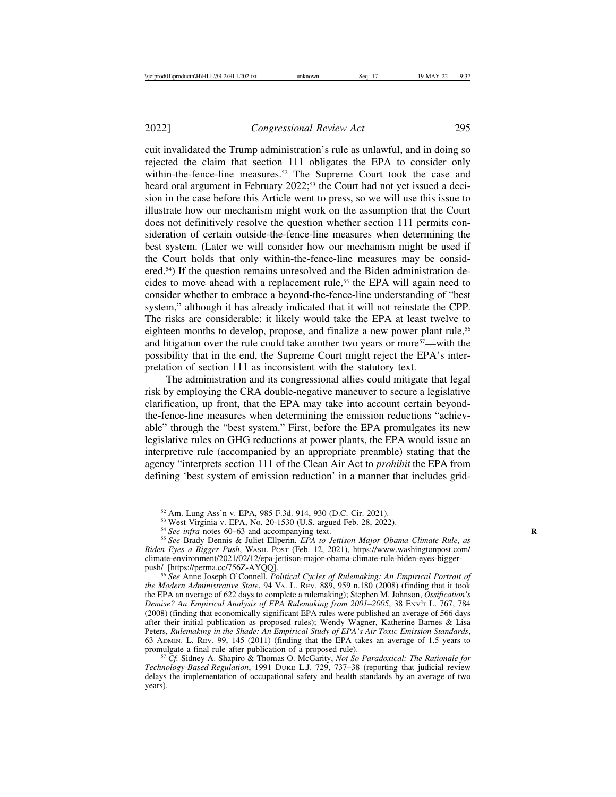cuit invalidated the Trump administration's rule as unlawful, and in doing so rejected the claim that section 111 obligates the EPA to consider only within-the-fence-line measures.<sup>52</sup> The Supreme Court took the case and heard oral argument in February 2022;<sup>53</sup> the Court had not yet issued a decision in the case before this Article went to press, so we will use this issue to illustrate how our mechanism might work on the assumption that the Court does not definitively resolve the question whether section 111 permits consideration of certain outside-the-fence-line measures when determining the best system. (Later we will consider how our mechanism might be used if the Court holds that only within-the-fence-line measures may be considered.54) If the question remains unresolved and the Biden administration decides to move ahead with a replacement rule,<sup>55</sup> the EPA will again need to consider whether to embrace a beyond-the-fence-line understanding of "best system," although it has already indicated that it will not reinstate the CPP. The risks are considerable: it likely would take the EPA at least twelve to eighteen months to develop, propose, and finalize a new power plant rule,<sup>56</sup> and litigation over the rule could take another two years or more57—with the possibility that in the end, the Supreme Court might reject the EPA's interpretation of section 111 as inconsistent with the statutory text.

The administration and its congressional allies could mitigate that legal risk by employing the CRA double-negative maneuver to secure a legislative clarification, up front, that the EPA may take into account certain beyondthe-fence-line measures when determining the emission reductions "achievable" through the "best system." First, before the EPA promulgates its new legislative rules on GHG reductions at power plants, the EPA would issue an interpretive rule (accompanied by an appropriate preamble) stating that the agency "interprets section 111 of the Clean Air Act to *prohibit* the EPA from defining 'best system of emission reduction' in a manner that includes grid-

<sup>&</sup>lt;sup>52</sup> Am. Lung Ass'n v. EPA, 985 F.3d. 914, 930 (D.C. Cir. 2021).<br><sup>53</sup> West Virginia v. EPA, No. 20-1530 (U.S. argued Feb. 28, 2022).<br><sup>54</sup> See infra notes 60–63 and accompanying text.<br><sup>55</sup> See Brady Dennis & Juliet Ellperi *Biden Eyes a Bigger Push*, WASH. POST (Feb. 12, 2021), https://www.washingtonpost.com/ climate-environment/2021/02/12/epa-jettison-major-obama-climate-rule-biden-eyes-bigger-

<sup>&</sup>lt;sup>56</sup> See Anne Joseph O'Connell, *Political Cycles of Rulemaking: An Empirical Portrait of the Modern Administrative State*, 94 VA. L. REV. 889, 959 n.180 (2008) (finding that it took the EPA an average of 622 days to complete a rulemaking); Stephen M. Johnson, *Ossification's Demise? An Empirical Analysis of EPA Rulemaking from 2001–2005, 38 ENV'T L. 767, 784* (2008) (finding that economically significant EPA rules were published an average of 566 days after their initial publication as proposed rules); Wendy Wagner, Katherine Barnes & Lisa Peters, *Rulemaking in the Shade: An Empirical Study of EPA's Air Toxic Emission Standards*, 63 ADMIN. L. REV. 99, 145 (2011) (finding that the EPA takes an average of 1.5 years to

<sup>&</sup>lt;sup>57</sup> *Cf.* Sidney A. Shapiro & Thomas O. McGarity, *Not So Paradoxical: The Rationale for Technology-Based Regulation*, 1991 DUKE L.J. 729, 737–38 (reporting that judicial review delays the implementation of occupational safety and health standards by an average of two years).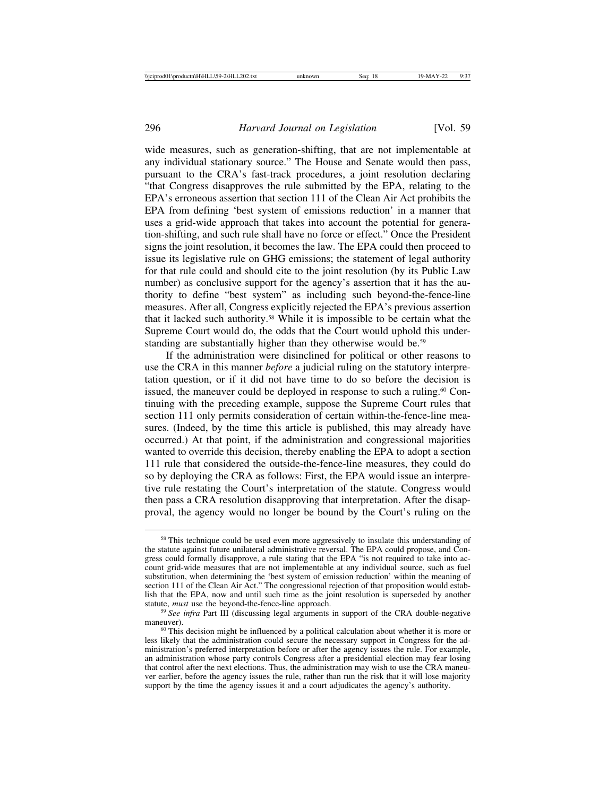wide measures, such as generation-shifting, that are not implementable at any individual stationary source." The House and Senate would then pass, pursuant to the CRA's fast-track procedures, a joint resolution declaring "that Congress disapproves the rule submitted by the EPA, relating to the EPA's erroneous assertion that section 111 of the Clean Air Act prohibits the EPA from defining 'best system of emissions reduction' in a manner that uses a grid-wide approach that takes into account the potential for generation-shifting, and such rule shall have no force or effect." Once the President signs the joint resolution, it becomes the law. The EPA could then proceed to issue its legislative rule on GHG emissions; the statement of legal authority for that rule could and should cite to the joint resolution (by its Public Law number) as conclusive support for the agency's assertion that it has the authority to define "best system" as including such beyond-the-fence-line measures. After all, Congress explicitly rejected the EPA's previous assertion that it lacked such authority.58 While it is impossible to be certain what the Supreme Court would do, the odds that the Court would uphold this understanding are substantially higher than they otherwise would be.<sup>59</sup>

If the administration were disinclined for political or other reasons to use the CRA in this manner *before* a judicial ruling on the statutory interpretation question, or if it did not have time to do so before the decision is issued, the maneuver could be deployed in response to such a ruling.<sup>60</sup> Continuing with the preceding example, suppose the Supreme Court rules that section 111 only permits consideration of certain within-the-fence-line measures. (Indeed, by the time this article is published, this may already have occurred.) At that point, if the administration and congressional majorities wanted to override this decision, thereby enabling the EPA to adopt a section 111 rule that considered the outside-the-fence-line measures, they could do so by deploying the CRA as follows: First, the EPA would issue an interpretive rule restating the Court's interpretation of the statute. Congress would then pass a CRA resolution disapproving that interpretation. After the disapproval, the agency would no longer be bound by the Court's ruling on the

<sup>&</sup>lt;sup>58</sup> This technique could be used even more aggressively to insulate this understanding of the statute against future unilateral administrative reversal. The EPA could propose, and Congress could formally disapprove, a rule stating that the EPA "is not required to take into account grid-wide measures that are not implementable at any individual source, such as fuel substitution, when determining the 'best system of emission reduction' within the meaning of section 111 of the Clean Air Act." The congressional rejection of that proposition would establish that the EPA, now and until such time as the joint resolution is superseded by another statute, *must* use the beyond-the-fence-line approach.

<sup>&</sup>lt;sup>59</sup> See infra Part III (discussing legal arguments in support of the CRA double-negative maneuver).<br><sup>60</sup> This decision might be influenced by a political calculation about whether it is more or

less likely that the administration could secure the necessary support in Congress for the administration's preferred interpretation before or after the agency issues the rule. For example, an administration whose party controls Congress after a presidential election may fear losing that control after the next elections. Thus, the administration may wish to use the CRA maneuver earlier, before the agency issues the rule, rather than run the risk that it will lose majority support by the time the agency issues it and a court adjudicates the agency's authority.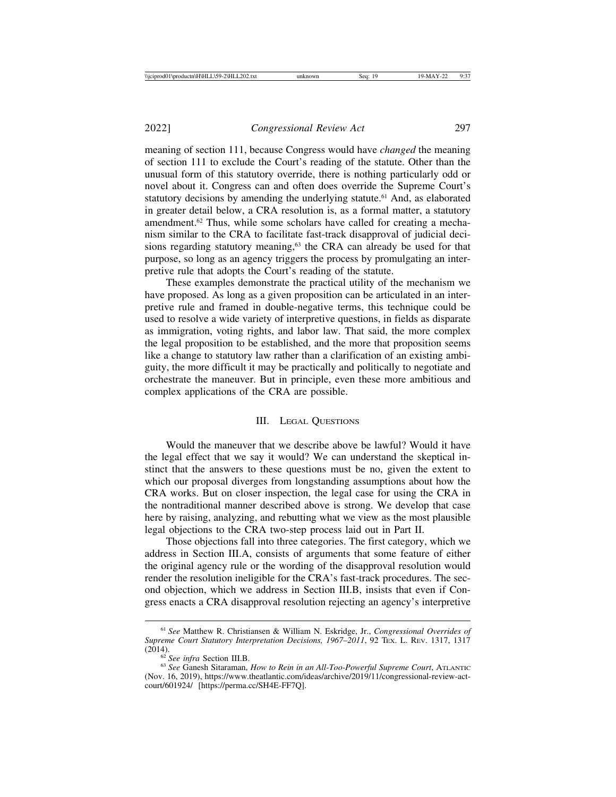meaning of section 111, because Congress would have *changed* the meaning of section 111 to exclude the Court's reading of the statute. Other than the unusual form of this statutory override, there is nothing particularly odd or novel about it. Congress can and often does override the Supreme Court's statutory decisions by amending the underlying statute.<sup>61</sup> And, as elaborated in greater detail below, a CRA resolution is, as a formal matter, a statutory amendment.62 Thus, while some scholars have called for creating a mechanism similar to the CRA to facilitate fast-track disapproval of judicial decisions regarding statutory meaning,<sup>63</sup> the CRA can already be used for that purpose, so long as an agency triggers the process by promulgating an interpretive rule that adopts the Court's reading of the statute.

These examples demonstrate the practical utility of the mechanism we have proposed. As long as a given proposition can be articulated in an interpretive rule and framed in double-negative terms, this technique could be used to resolve a wide variety of interpretive questions, in fields as disparate as immigration, voting rights, and labor law. That said, the more complex the legal proposition to be established, and the more that proposition seems like a change to statutory law rather than a clarification of an existing ambiguity, the more difficult it may be practically and politically to negotiate and orchestrate the maneuver. But in principle, even these more ambitious and complex applications of the CRA are possible.

#### III. LEGAL QUESTIONS

Would the maneuver that we describe above be lawful? Would it have the legal effect that we say it would? We can understand the skeptical instinct that the answers to these questions must be no, given the extent to which our proposal diverges from longstanding assumptions about how the CRA works. But on closer inspection, the legal case for using the CRA in the nontraditional manner described above is strong. We develop that case here by raising, analyzing, and rebutting what we view as the most plausible legal objections to the CRA two-step process laid out in Part II.

Those objections fall into three categories. The first category, which we address in Section III.A, consists of arguments that some feature of either the original agency rule or the wording of the disapproval resolution would render the resolution ineligible for the CRA's fast-track procedures. The second objection, which we address in Section III.B, insists that even if Congress enacts a CRA disapproval resolution rejecting an agency's interpretive

<sup>61</sup> *See* Matthew R. Christiansen & William N. Eskridge, Jr., *Congressional Overrides of Supreme Court Statutory Interpretation Decisions, 1967–2011, 92 Tex. L. Rev. 1317, 1317* (2014).

<sup>&</sup>lt;sup>62</sup> See infra Section III.B.<br><sup>63</sup> See Ganesh Sitaraman, *How to Rein in an All-Too-Powerful Supreme Court*, ATLANTIC (Nov. 16, 2019), https://www.theatlantic.com/ideas/archive/2019/11/congressional-review-actcourt/601924/ [https://perma.cc/SH4E-FF7Q].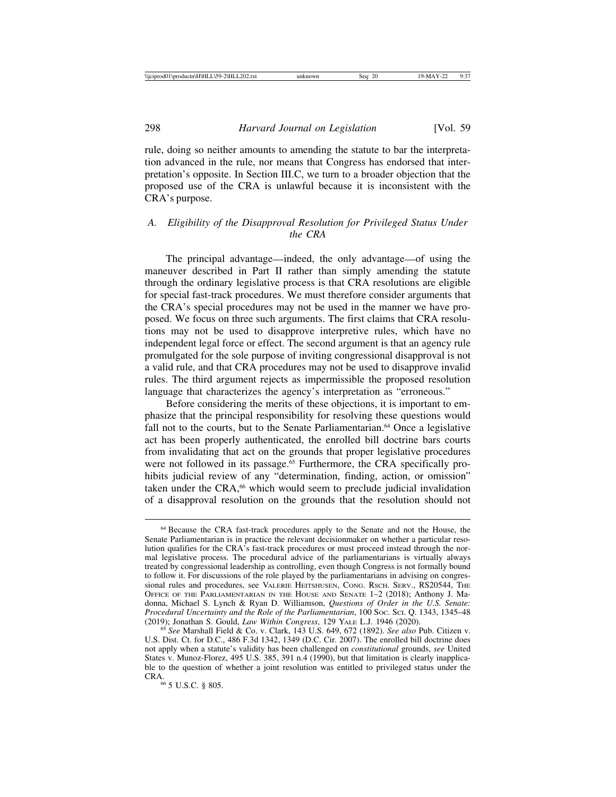rule, doing so neither amounts to amending the statute to bar the interpretation advanced in the rule, nor means that Congress has endorsed that interpretation's opposite. In Section III.C, we turn to a broader objection that the proposed use of the CRA is unlawful because it is inconsistent with the CRA's purpose.

## *A. Eligibility of the Disapproval Resolution for Privileged Status Under the CRA*

The principal advantage—indeed, the only advantage—of using the maneuver described in Part II rather than simply amending the statute through the ordinary legislative process is that CRA resolutions are eligible for special fast-track procedures. We must therefore consider arguments that the CRA's special procedures may not be used in the manner we have proposed. We focus on three such arguments. The first claims that CRA resolutions may not be used to disapprove interpretive rules, which have no independent legal force or effect. The second argument is that an agency rule promulgated for the sole purpose of inviting congressional disapproval is not a valid rule, and that CRA procedures may not be used to disapprove invalid rules. The third argument rejects as impermissible the proposed resolution language that characterizes the agency's interpretation as "erroneous."

Before considering the merits of these objections, it is important to emphasize that the principal responsibility for resolving these questions would fall not to the courts, but to the Senate Parliamentarian.<sup>64</sup> Once a legislative act has been properly authenticated, the enrolled bill doctrine bars courts from invalidating that act on the grounds that proper legislative procedures were not followed in its passage.<sup>65</sup> Furthermore, the CRA specifically prohibits judicial review of any "determination, finding, action, or omission" taken under the CRA,<sup>66</sup> which would seem to preclude judicial invalidation of a disapproval resolution on the grounds that the resolution should not

<sup>64</sup> Because the CRA fast-track procedures apply to the Senate and not the House, the Senate Parliamentarian is in practice the relevant decisionmaker on whether a particular resolution qualifies for the CRA's fast-track procedures or must proceed instead through the normal legislative process. The procedural advice of the parliamentarians is virtually always treated by congressional leadership as controlling, even though Congress is not formally bound to follow it. For discussions of the role played by the parliamentarians in advising on congressional rules and procedures, see VALERIE HEITSHUSEN, CONG. RSCH. SERV., RS20544, THE OFFICE OF THE PARLIAMENTARIAN IN THE HOUSE AND SENATE 1–2 (2018); Anthony J. Madonna, Michael S. Lynch & Ryan D. Williamson, *Questions of Order in the U.S. Senate: Procedural Uncertainty and the Role of the Parliamentarian*, 100 Soc. Sci. Q. 1343, 1345–48 (2019); Jonathan S. Gould, *Law Within Congress*, 129 YALE L.J. 1946 (2020).

<sup>&</sup>lt;sup>65</sup> See Marshall Field & Co. v. Clark, 143 U.S. 649, 672 (1892). *See also* Pub. Citizen v. U.S. Dist. Ct. for D.C., 486 F.3d 1342, 1349 (D.C. Cir. 2007). The enrolled bill doctrine does not apply when a statute's validity has been challenged on *constitutional* grounds, *see* United States v. Munoz-Florez, 495 U.S. 385, 391 n.4 (1990), but that limitation is clearly inapplicable to the question of whether a joint resolution was entitled to privileged status under the CRA.66 5 U.S.C. § 805.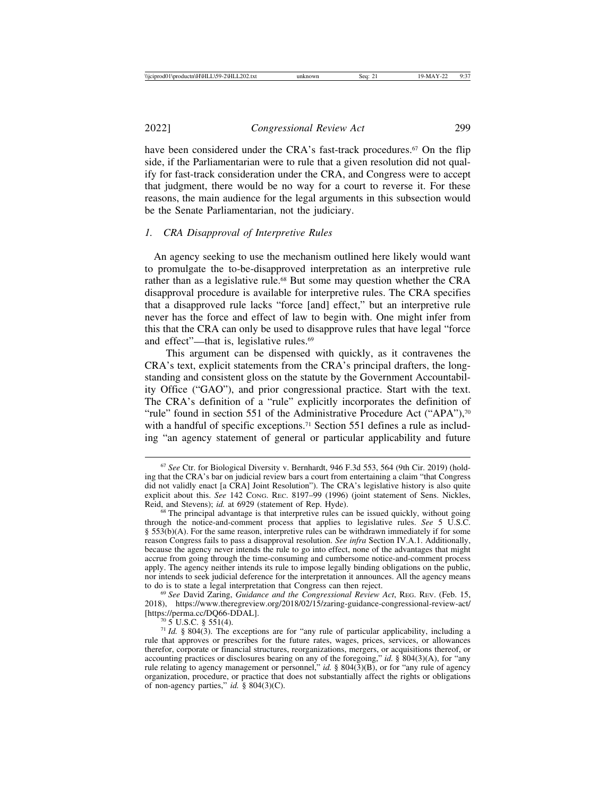2022] *Congressional Review Act* 299

have been considered under the CRA's fast-track procedures.<sup>67</sup> On the flip side, if the Parliamentarian were to rule that a given resolution did not qualify for fast-track consideration under the CRA, and Congress were to accept that judgment, there would be no way for a court to reverse it. For these reasons, the main audience for the legal arguments in this subsection would be the Senate Parliamentarian, not the judiciary.

## *1. CRA Disapproval of Interpretive Rules*

 An agency seeking to use the mechanism outlined here likely would want to promulgate the to-be-disapproved interpretation as an interpretive rule rather than as a legislative rule.<sup>68</sup> But some may question whether the CRA disapproval procedure is available for interpretive rules. The CRA specifies that a disapproved rule lacks "force [and] effect," but an interpretive rule never has the force and effect of law to begin with. One might infer from this that the CRA can only be used to disapprove rules that have legal "force and effect"—that is, legislative rules.<sup>69</sup>

This argument can be dispensed with quickly, as it contravenes the CRA's text, explicit statements from the CRA's principal drafters, the longstanding and consistent gloss on the statute by the Government Accountability Office ("GAO"), and prior congressional practice. Start with the text. The CRA's definition of a "rule" explicitly incorporates the definition of "rule" found in section 551 of the Administrative Procedure Act ("APA"), $\frac{70}{3}$ with a handful of specific exceptions.<sup>71</sup> Section 551 defines a rule as including "an agency statement of general or particular applicability and future

<sup>67</sup> *See* Ctr. for Biological Diversity v. Bernhardt, 946 F.3d 553, 564 (9th Cir. 2019) (holding that the CRA's bar on judicial review bars a court from entertaining a claim "that Congress did not validly enact [a CRA] Joint Resolution"). The CRA's legislative history is also quite explicit about this. *See* 142 Cong. Rec. 8197–99 (1996) (joint statement of Sens. Nickles, Reid, and Stevens); *id.* at 6929 (statement of Rep. Hyde).

<sup>&</sup>lt;sup>68</sup> The principal advantage is that interpretive rules can be issued quickly, without going through the notice-and-comment process that applies to legislative rules. *See* 5 U.S.C. § 553(b)(A). For the same reason, interpretive rules can be withdrawn immediately if for some reason Congress fails to pass a disapproval resolution. *See infra* Section IV.A.1. Additionally, because the agency never intends the rule to go into effect, none of the advantages that might accrue from going through the time-consuming and cumbersome notice-and-comment process apply. The agency neither intends its rule to impose legally binding obligations on the public, nor intends to seek judicial deference for the interpretation it announces. All the agency means to do is to state a legal interpretation that Congress can then reject.

<sup>&</sup>lt;sup>69</sup> See David Zaring, *Guidance and the Congressional Review Act*, REG. REV. (Feb. 15, 2018), https://www.theregreview.org/2018/02/15/zaring-guidance-congressional-review-act/

<sup>&</sup>lt;sup>70</sup> 5 U.S.C. § 551(4). *To SOCC* is set for "any rule of particular applicability, including a <sup>71</sup> *Id.* § 804(3). The exceptions are for "any rule of particular applicability, including a rule that approves or prescribes for the future rates, wages, prices, services, or allowances therefor, corporate or financial structures, reorganizations, mergers, or acquisitions thereof, or accounting practices or disclosures bearing on any of the foregoing," *id.* § 804(3)(A), for "any rule relating to agency management or personnel," *id.* § 804(3)(B), or for "any rule of agency organization, procedure, or practice that does not substantially affect the rights or obligations of non-agency parties," *id.* § 804(3)(C).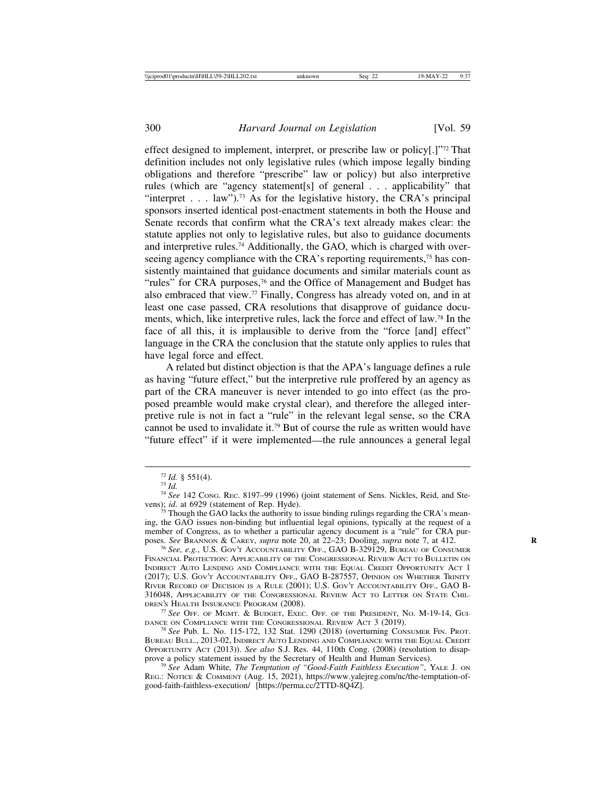effect designed to implement, interpret, or prescribe law or policy[.]"72 That definition includes not only legislative rules (which impose legally binding obligations and therefore "prescribe" law or policy) but also interpretive rules (which are "agency statement[s] of general . . . applicability" that "interpret  $\ldots$  law").<sup>73</sup> As for the legislative history, the CRA's principal sponsors inserted identical post-enactment statements in both the House and Senate records that confirm what the CRA's text already makes clear: the statute applies not only to legislative rules, but also to guidance documents and interpretive rules.74 Additionally, the GAO, which is charged with overseeing agency compliance with the CRA's reporting requirements,<sup>75</sup> has consistently maintained that guidance documents and similar materials count as "rules" for CRA purposes, $\frac{76}{6}$  and the Office of Management and Budget has also embraced that view.77 Finally, Congress has already voted on, and in at least one case passed, CRA resolutions that disapprove of guidance documents, which, like interpretive rules, lack the force and effect of law.78 In the face of all this, it is implausible to derive from the "force [and] effect" language in the CRA the conclusion that the statute only applies to rules that have legal force and effect.

A related but distinct objection is that the APA's language defines a rule as having "future effect," but the interpretive rule proffered by an agency as part of the CRA maneuver is never intended to go into effect (as the proposed preamble would make crystal clear), and therefore the alleged interpretive rule is not in fact a "rule" in the relevant legal sense, so the CRA cannot be used to invalidate it.79 But of course the rule as written would have "future effect" if it were implemented—the rule announces a general legal

<sup>&</sup>lt;sup>72</sup> *Id.* § 551(4).<br><sup>73</sup> *Id.*  $^{74}$  *See* 142 Cong. REC. 8197–99 (1996) (joint statement of Sens. Nickles, Reid, and Ste-<br>vens); *id.* at 6929 (statement of Rep. Hyde).

<sup>&</sup>lt;sup>75</sup> Though the GAO lacks the authority to issue binding rulings regarding the CRA's meaning, the GAO issues non-binding but influential legal opinions, typically at the request of a member of Congress, as to whether a particular agency document is a "rule" for CRA purposes. *See* BRANNON & CAREY, *supra* note 20, at 22–23; Dooling, *supra* note 7, at 412. <sup>76</sup> *See, e.g.*, U.S. Gov't Accountability Off., GAO B-329129, BUREAU OF CONSUMER

FINANCIAL PROTECTION: APPLICABILITY OF THE CONGRESSIONAL REVIEW ACT TO BULLETIN ON INDIRECT AUTO LENDING AND COMPLIANCE WITH THE EQUAL CREDIT OPPORTUNITY ACT 1 (2017); U.S. GOV'T ACCOUNTABILITY OFF., GAO B-287557, OPINION ON WHETHER TRINITY RIVER RECORD OF DECISION IS A RULE (2001); U.S. GOV'T ACCOUNTABILITY OFF., GAO B-316048, APPLICABILITY OF THE CONGRESSIONAL REVIEW ACT TO LETTER ON STATE CHIL-DREN'S HEALTH INSURANCE PROGRAM (2008).

<sup>&</sup>lt;sup>77</sup> See Off. of MGMT. & BUDGET, EXEC. OFF. OF THE PRESIDENT, No. M-19-14, GUIDANCE ON COMPLIANCE WITH THE CONGRESSIONAL REVIEW ACT 3 (2019).

<sup>&</sup>lt;sup>78</sup> See Pub. L. No. 115-172, 132 Stat. 1290 (2018) (overturning CONSUMER FIN. PROT. BUREAU BULL., 2013-02, INDIRECT AUTO LENDING AND COMPLIANCE WITH THE EQUAL CREDIT OPPORTUNITY ACT (2013)). *See also* S.J. Res. 44, 110th Cong. (2008) (resolution to disap-

<sup>&</sup>lt;sup>79</sup> See Adam White, *The Temptation of "Good-Faith Faithless Execution"*, YALE J. ON REG.: NOTICE & COMMENT (Aug. 15, 2021), https://www.yalejreg.com/nc/the-temptation-ofgood-faith-faithless-execution/ [https://perma.cc/2TTD-8Q4Z].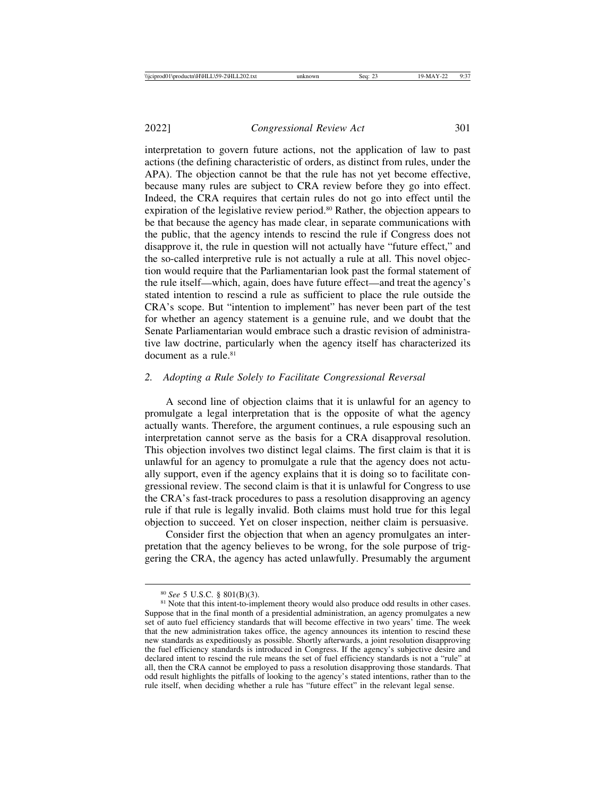interpretation to govern future actions, not the application of law to past actions (the defining characteristic of orders, as distinct from rules, under the APA). The objection cannot be that the rule has not yet become effective, because many rules are subject to CRA review before they go into effect. Indeed, the CRA requires that certain rules do not go into effect until the expiration of the legislative review period.<sup>80</sup> Rather, the objection appears to be that because the agency has made clear, in separate communications with the public, that the agency intends to rescind the rule if Congress does not disapprove it, the rule in question will not actually have "future effect," and the so-called interpretive rule is not actually a rule at all. This novel objection would require that the Parliamentarian look past the formal statement of the rule itself—which, again, does have future effect—and treat the agency's stated intention to rescind a rule as sufficient to place the rule outside the CRA's scope. But "intention to implement" has never been part of the test for whether an agency statement is a genuine rule, and we doubt that the Senate Parliamentarian would embrace such a drastic revision of administrative law doctrine, particularly when the agency itself has characterized its document as a rule  $81$ 

#### *2. Adopting a Rule Solely to Facilitate Congressional Reversal*

A second line of objection claims that it is unlawful for an agency to promulgate a legal interpretation that is the opposite of what the agency actually wants. Therefore, the argument continues, a rule espousing such an interpretation cannot serve as the basis for a CRA disapproval resolution. This objection involves two distinct legal claims. The first claim is that it is unlawful for an agency to promulgate a rule that the agency does not actually support, even if the agency explains that it is doing so to facilitate congressional review. The second claim is that it is unlawful for Congress to use the CRA's fast-track procedures to pass a resolution disapproving an agency rule if that rule is legally invalid. Both claims must hold true for this legal objection to succeed. Yet on closer inspection, neither claim is persuasive.

Consider first the objection that when an agency promulgates an interpretation that the agency believes to be wrong, for the sole purpose of triggering the CRA, the agency has acted unlawfully. Presumably the argument

<sup>&</sup>lt;sup>80</sup> *See* 5 U.S.C. § 801(B)(3). 81 Note that this intent-to-implement theory would also produce odd results in other cases. Suppose that in the final month of a presidential administration, an agency promulgates a new set of auto fuel efficiency standards that will become effective in two years' time. The week that the new administration takes office, the agency announces its intention to rescind these new standards as expeditiously as possible. Shortly afterwards, a joint resolution disapproving the fuel efficiency standards is introduced in Congress. If the agency's subjective desire and declared intent to rescind the rule means the set of fuel efficiency standards is not a "rule" at all, then the CRA cannot be employed to pass a resolution disapproving those standards. That odd result highlights the pitfalls of looking to the agency's stated intentions, rather than to the rule itself, when deciding whether a rule has "future effect" in the relevant legal sense.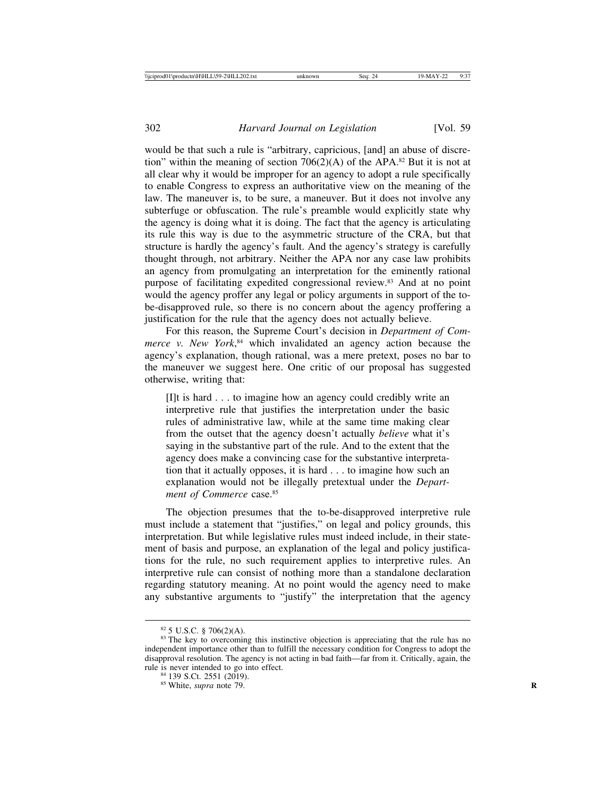would be that such a rule is "arbitrary, capricious, [and] an abuse of discretion" within the meaning of section  $706(2)(A)$  of the APA.<sup>82</sup> But it is not at all clear why it would be improper for an agency to adopt a rule specifically to enable Congress to express an authoritative view on the meaning of the law. The maneuver is, to be sure, a maneuver. But it does not involve any subterfuge or obfuscation. The rule's preamble would explicitly state why the agency is doing what it is doing. The fact that the agency is articulating its rule this way is due to the asymmetric structure of the CRA, but that structure is hardly the agency's fault. And the agency's strategy is carefully thought through, not arbitrary. Neither the APA nor any case law prohibits an agency from promulgating an interpretation for the eminently rational purpose of facilitating expedited congressional review.83 And at no point would the agency proffer any legal or policy arguments in support of the tobe-disapproved rule, so there is no concern about the agency proffering a justification for the rule that the agency does not actually believe.

For this reason, the Supreme Court's decision in *Department of Commerce v. New York*, 84 which invalidated an agency action because the agency's explanation, though rational, was a mere pretext, poses no bar to the maneuver we suggest here. One critic of our proposal has suggested otherwise, writing that:

[I]t is hard . . . to imagine how an agency could credibly write an interpretive rule that justifies the interpretation under the basic rules of administrative law, while at the same time making clear from the outset that the agency doesn't actually *believe* what it's saying in the substantive part of the rule. And to the extent that the agency does make a convincing case for the substantive interpretation that it actually opposes, it is hard . . . to imagine how such an explanation would not be illegally pretextual under the *Department of Commerce* case.<sup>85</sup>

The objection presumes that the to-be-disapproved interpretive rule must include a statement that "justifies," on legal and policy grounds, this interpretation. But while legislative rules must indeed include, in their statement of basis and purpose, an explanation of the legal and policy justifications for the rule, no such requirement applies to interpretive rules. An interpretive rule can consist of nothing more than a standalone declaration regarding statutory meaning. At no point would the agency need to make any substantive arguments to "justify" the interpretation that the agency

<sup>&</sup>lt;sup>82</sup> 5 U.S.C. § 706(2)(A). <sup>83</sup> The key to overcoming this instinctive objection is appreciating that the rule has no independent importance other than to fulfill the necessary condition for Congress to adopt the disapproval resolution. The agency is not acting in bad faith—far from it. Critically, again, the rule is never intended to go into effect. rule is never intended to go into effect.<br><sup>84</sup> 139 S.Ct. 2551 (2019).<br><sup>85</sup> White, *supra* note 79.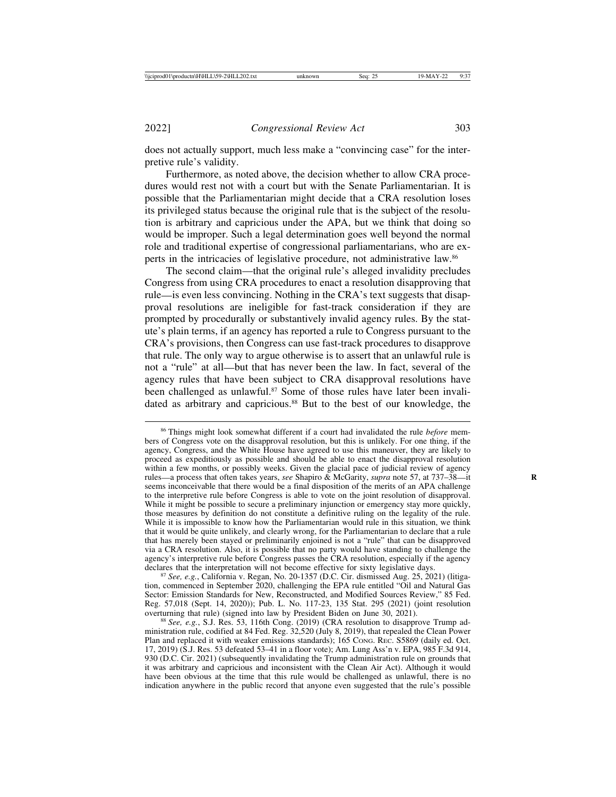does not actually support, much less make a "convincing case" for the interpretive rule's validity.

Furthermore, as noted above, the decision whether to allow CRA procedures would rest not with a court but with the Senate Parliamentarian. It is possible that the Parliamentarian might decide that a CRA resolution loses its privileged status because the original rule that is the subject of the resolution is arbitrary and capricious under the APA, but we think that doing so would be improper. Such a legal determination goes well beyond the normal role and traditional expertise of congressional parliamentarians, who are experts in the intricacies of legislative procedure, not administrative law.86

The second claim—that the original rule's alleged invalidity precludes Congress from using CRA procedures to enact a resolution disapproving that rule—is even less convincing. Nothing in the CRA's text suggests that disapproval resolutions are ineligible for fast-track consideration if they are prompted by procedurally or substantively invalid agency rules. By the statute's plain terms, if an agency has reported a rule to Congress pursuant to the CRA's provisions, then Congress can use fast-track procedures to disapprove that rule. The only way to argue otherwise is to assert that an unlawful rule is not a "rule" at all—but that has never been the law. In fact, several of the agency rules that have been subject to CRA disapproval resolutions have been challenged as unlawful.<sup>87</sup> Some of those rules have later been invalidated as arbitrary and capricious.<sup>88</sup> But to the best of our knowledge, the

<sup>87</sup> See, e.g., California v. Regan, No. 20-1357 (D.C. Cir. dismissed Aug. 25, 2021) (litigation, commenced in September 2020, challenging the EPA rule entitled "Oil and Natural Gas Sector: Emission Standards for New, Reconstructed, and Modified Sources Review," 85 Fed. Reg. 57,018 (Sept. 14, 2020)); Pub. L. No. 117-23, 135 Stat. 295 (2021) (joint resolution

<sup>86</sup> Things might look somewhat different if a court had invalidated the rule *before* members of Congress vote on the disapproval resolution, but this is unlikely. For one thing, if the agency, Congress, and the White House have agreed to use this maneuver, they are likely to proceed as expeditiously as possible and should be able to enact the disapproval resolution within a few months, or possibly weeks. Given the glacial pace of judicial review of agency rules—a process that often takes years, *see* Shapiro & McGarity, *supra* note 57, at 737–38—it **R** seems inconceivable that there would be a final disposition of the merits of an APA challenge to the interpretive rule before Congress is able to vote on the joint resolution of disapproval. While it might be possible to secure a preliminary injunction or emergency stay more quickly, those measures by definition do not constitute a definitive ruling on the legality of the rule. While it is impossible to know how the Parliamentarian would rule in this situation, we think that it would be quite unlikely, and clearly wrong, for the Parliamentarian to declare that a rule that has merely been stayed or preliminarily enjoined is not a "rule" that can be disapproved via a CRA resolution. Also, it is possible that no party would have standing to challenge the agency's interpretive rule before Congress passes the CRA resolution, especially if the agency declares that the interpretation will not become effective for sixty legislative days.

<sup>&</sup>lt;sup>88</sup> See, e.g., S.J. Res. 53, 116th Cong. (2019) (CRA resolution to disapprove Trump administration rule, codified at 84 Fed. Reg. 32,520 (July 8, 2019), that repealed the Clean Power Plan and replaced it with weaker emissions standards); 165 CONG. REC. S5869 (daily ed. Oct. 17, 2019) (S.J. Res. 53 defeated 53–41 in a floor vote); Am. Lung Ass'n v. EPA, 985 F.3d 914, 930 (D.C. Cir. 2021) (subsequently invalidating the Trump administration rule on grounds that it was arbitrary and capricious and inconsistent with the Clean Air Act). Although it would have been obvious at the time that this rule would be challenged as unlawful, there is no indication anywhere in the public record that anyone even suggested that the rule's possible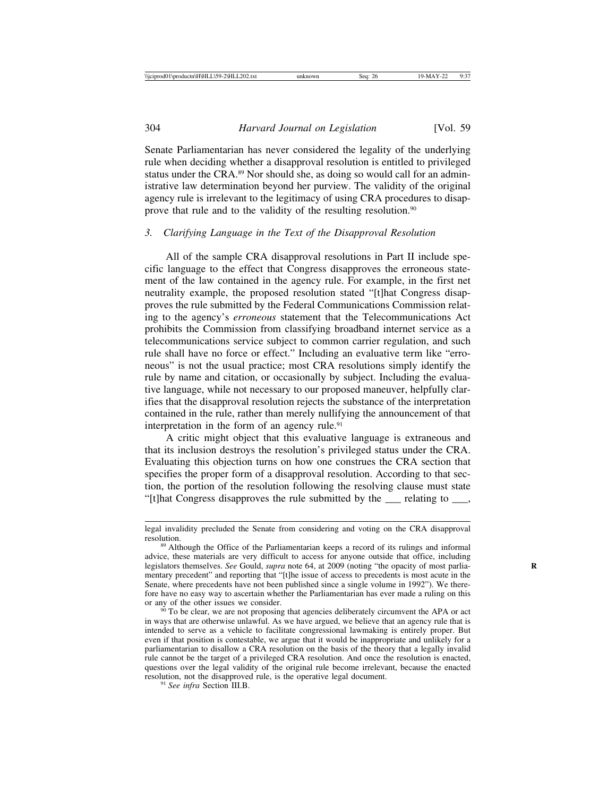Senate Parliamentarian has never considered the legality of the underlying rule when deciding whether a disapproval resolution is entitled to privileged status under the CRA.<sup>89</sup> Nor should she, as doing so would call for an administrative law determination beyond her purview. The validity of the original agency rule is irrelevant to the legitimacy of using CRA procedures to disapprove that rule and to the validity of the resulting resolution.90

### *3. Clarifying Language in the Text of the Disapproval Resolution*

All of the sample CRA disapproval resolutions in Part II include specific language to the effect that Congress disapproves the erroneous statement of the law contained in the agency rule. For example, in the first net neutrality example, the proposed resolution stated "[t]hat Congress disapproves the rule submitted by the Federal Communications Commission relating to the agency's *erroneous* statement that the Telecommunications Act prohibits the Commission from classifying broadband internet service as a telecommunications service subject to common carrier regulation, and such rule shall have no force or effect." Including an evaluative term like "erroneous" is not the usual practice; most CRA resolutions simply identify the rule by name and citation, or occasionally by subject. Including the evaluative language, while not necessary to our proposed maneuver, helpfully clarifies that the disapproval resolution rejects the substance of the interpretation contained in the rule, rather than merely nullifying the announcement of that interpretation in the form of an agency rule.<sup>91</sup>

A critic might object that this evaluative language is extraneous and that its inclusion destroys the resolution's privileged status under the CRA. Evaluating this objection turns on how one construes the CRA section that specifies the proper form of a disapproval resolution. According to that section, the portion of the resolution following the resolving clause must state "[t]hat Congress disapproves the rule submitted by the \_\_\_ relating to \_\_\_,

legal invalidity precluded the Senate from considering and voting on the CRA disapproval

<sup>&</sup>lt;sup>89</sup> Although the Office of the Parliamentarian keeps a record of its rulings and informal advice, these materials are very difficult to access for anyone outside that office, including legislators themselves. *See* Gould, *supra* note 64, at 2009 (noting "the opacity of most parliamentary precedent" and reporting that "[t]he issue of access to precedents is most acute in the Senate, where precedents have not been published since a single volume in 1992"). We therefore have no easy way to ascertain whether the Parliamentarian has ever made a ruling on this or any of the other issues we consider.

 $\frac{90}{90}$  To be clear, we are not proposing that agencies deliberately circumvent the APA or act in ways that are otherwise unlawful. As we have argued, we believe that an agency rule that is intended to serve as a vehicle to facilitate congressional lawmaking is entirely proper. But even if that position is contestable, we argue that it would be inappropriate and unlikely for a parliamentarian to disallow a CRA resolution on the basis of the theory that a legally invalid rule cannot be the target of a privileged CRA resolution. And once the resolution is enacted, questions over the legal validity of the original rule become irrelevant, because the enacted resolution, not the disapproved rule, is the operative legal document. <sup>91</sup> *See infra* Section III.B.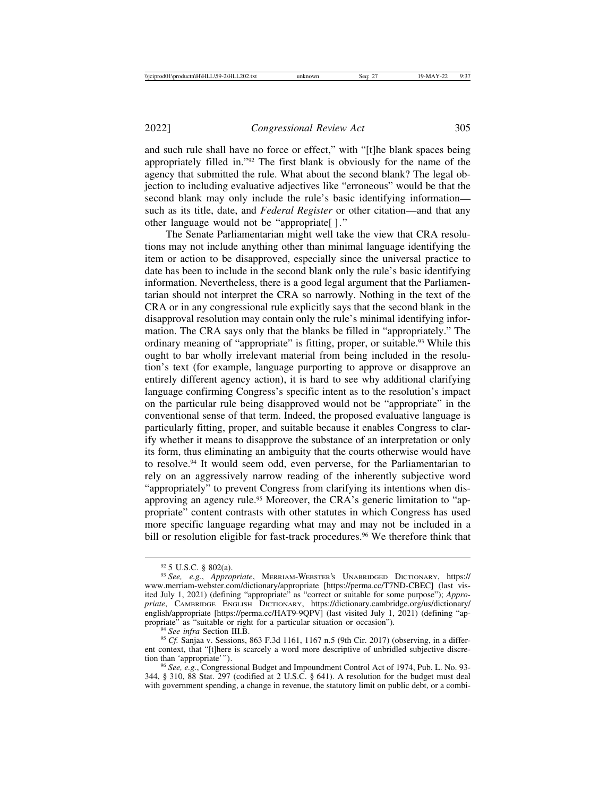and such rule shall have no force or effect," with "[t]he blank spaces being appropriately filled in."92 The first blank is obviously for the name of the agency that submitted the rule. What about the second blank? The legal objection to including evaluative adjectives like "erroneous" would be that the second blank may only include the rule's basic identifying information such as its title, date, and *Federal Register* or other citation—and that any other language would not be "appropriate[ ]."

The Senate Parliamentarian might well take the view that CRA resolutions may not include anything other than minimal language identifying the item or action to be disapproved, especially since the universal practice to date has been to include in the second blank only the rule's basic identifying information. Nevertheless, there is a good legal argument that the Parliamentarian should not interpret the CRA so narrowly. Nothing in the text of the CRA or in any congressional rule explicitly says that the second blank in the disapproval resolution may contain only the rule's minimal identifying information. The CRA says only that the blanks be filled in "appropriately." The ordinary meaning of "appropriate" is fitting, proper, or suitable.93 While this ought to bar wholly irrelevant material from being included in the resolution's text (for example, language purporting to approve or disapprove an entirely different agency action), it is hard to see why additional clarifying language confirming Congress's specific intent as to the resolution's impact on the particular rule being disapproved would not be "appropriate" in the conventional sense of that term. Indeed, the proposed evaluative language is particularly fitting, proper, and suitable because it enables Congress to clarify whether it means to disapprove the substance of an interpretation or only its form, thus eliminating an ambiguity that the courts otherwise would have to resolve.94 It would seem odd, even perverse, for the Parliamentarian to rely on an aggressively narrow reading of the inherently subjective word "appropriately" to prevent Congress from clarifying its intentions when disapproving an agency rule.<sup>95</sup> Moreover, the CRA's generic limitation to "appropriate" content contrasts with other statutes in which Congress has used more specific language regarding what may and may not be included in a bill or resolution eligible for fast-track procedures.<sup>96</sup> We therefore think that

<sup>92</sup> 5 U.S.C. § 802(a). <sup>93</sup> *See, e.g.*, *Appropriate*, MERRIAM-WEBSTER'S UNABRIDGED DICTIONARY, https:// www.merriam-webster.com/dictionary/appropriate [https://perma.cc/T7ND-CBEC] (last visited July 1, 2021) (defining "appropriate" as "correct or suitable for some purpose"); *Appropriate*, CAMBRIDGE ENGLISH DICTIONARY, https://dictionary.cambridge.org/us/dictionary/ english/appropriate [https://perma.cc/HAT9-9QPV] (last visited July 1, 2021) (defining "ap-<br>propriate" as "suitable or right for a particular situation or occasion").

<sup>&</sup>lt;sup>94</sup> *See infra* Section III.B.<br><sup>95</sup> *Cf.* Sanjaa v. Sessions, 863 F.3d 1161, 1167 n.5 (9th Cir. 2017) (observing, in a different context, that "[t]here is scarcely a word more descriptive of unbridled subjective discretion than 'appropriate'").

<sup>&</sup>lt;sup>96</sup> *See, e.g.*, Congressional Budget and Impoundment Control Act of 1974, Pub. L. No. 93-344, § 310, 88 Stat. 297 (codified at 2 U.S.C. § 641). A resolution for the budget must deal with government spending, a change in revenue, the statutory limit on public debt, or a combi-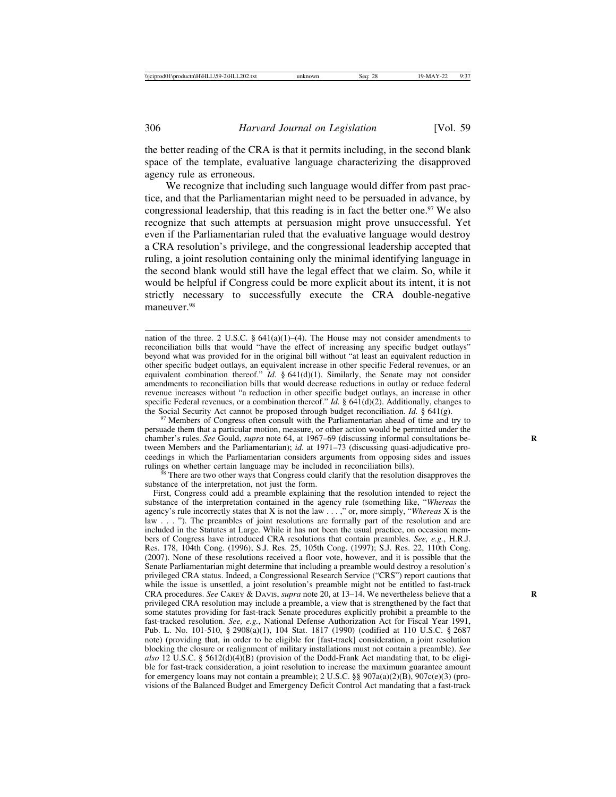the better reading of the CRA is that it permits including, in the second blank space of the template, evaluative language characterizing the disapproved agency rule as erroneous.

We recognize that including such language would differ from past practice, and that the Parliamentarian might need to be persuaded in advance, by congressional leadership, that this reading is in fact the better one.<sup>97</sup> We also recognize that such attempts at persuasion might prove unsuccessful. Yet even if the Parliamentarian ruled that the evaluative language would destroy a CRA resolution's privilege, and the congressional leadership accepted that ruling, a joint resolution containing only the minimal identifying language in the second blank would still have the legal effect that we claim. So, while it would be helpful if Congress could be more explicit about its intent, it is not strictly necessary to successfully execute the CRA double-negative maneuver.<sup>98</sup>

nation of the three. 2 U.S.C.  $\S$  641(a)(1)–(4). The House may not consider amendments to reconciliation bills that would "have the effect of increasing any specific budget outlays" beyond what was provided for in the original bill without "at least an equivalent reduction in other specific budget outlays, an equivalent increase in other specific Federal revenues, or an equivalent combination thereof."  $Id.$  § 641(d)(1). Similarly, the Senate may not consider amendments to reconciliation bills that would decrease reductions in outlay or reduce federal revenue increases without "a reduction in other specific budget outlays, an increase in other specific Federal revenues, or a combination thereof." *Id.* § 641(d)(2). Additionally, changes to the Social Security Act cannot be proposed through budget reconciliation. *Id.* § 641(g).

<sup>97</sup> Members of Congress often consult with the Parliamentarian ahead of time and try to persuade them that a particular motion, measure, or other action would be permitted under the chamber's rules. *See* Gould, *supra* note 64, at 1967–69 (discussing informal consultations be- **R** tween Members and the Parliamentarian); *id*. at 1971–73 (discussing quasi-adjudicative proceedings in which the Parliamentarian considers arguments from opposing sides and issues rulings on whether certain language may be included in reconciliation bills).

 $\frac{68}{18}$  There are two other ways that Congress could clarify that the resolution disapproves the substance of the interpretation, not just the form.

First, Congress could add a preamble explaining that the resolution intended to reject the substance of the interpretation contained in the agency rule (something like, "*Whereas* the agency's rule incorrectly states that X is not the law . . . ," or, more simply, "*Whereas* X is the law . . . "). The preambles of joint resolutions are formally part of the resolution and are included in the Statutes at Large. While it has not been the usual practice, on occasion members of Congress have introduced CRA resolutions that contain preambles. *See, e.g.*, H.R.J. Res. 178, 104th Cong. (1996); S.J. Res. 25, 105th Cong. (1997); S.J. Res. 22, 110th Cong. (2007). None of these resolutions received a floor vote, however, and it is possible that the Senate Parliamentarian might determine that including a preamble would destroy a resolution's privileged CRA status. Indeed, a Congressional Research Service ("CRS") report cautions that while the issue is unsettled, a joint resolution's preamble might not be entitled to fast-track CRA procedures. *See* CAREY & DAVIS, *supra* note 20, at 13–14. We nevertheless believe that a **R** privileged CRA resolution may include a preamble, a view that is strengthened by the fact that some statutes providing for fast-track Senate procedures explicitly prohibit a preamble to the fast-tracked resolution. *See, e.g.*, National Defense Authorization Act for Fiscal Year 1991, Pub. L. No. 101-510, § 2908(a)(1), 104 Stat. 1817 (1990) (codified at 110 U.S.C. § 2687 note) (providing that, in order to be eligible for [fast-track] consideration, a joint resolution blocking the closure or realignment of military installations must not contain a preamble). *See also* 12 U.S.C. § 5612(d)(4)(B) (provision of the Dodd-Frank Act mandating that, to be eligible for fast-track consideration, a joint resolution to increase the maximum guarantee amount for emergency loans may not contain a preamble); 2 U.S.C. §§  $907a(a)(2)(B)$ ,  $907c(e)(3)$  (provisions of the Balanced Budget and Emergency Deficit Control Act mandating that a fast-track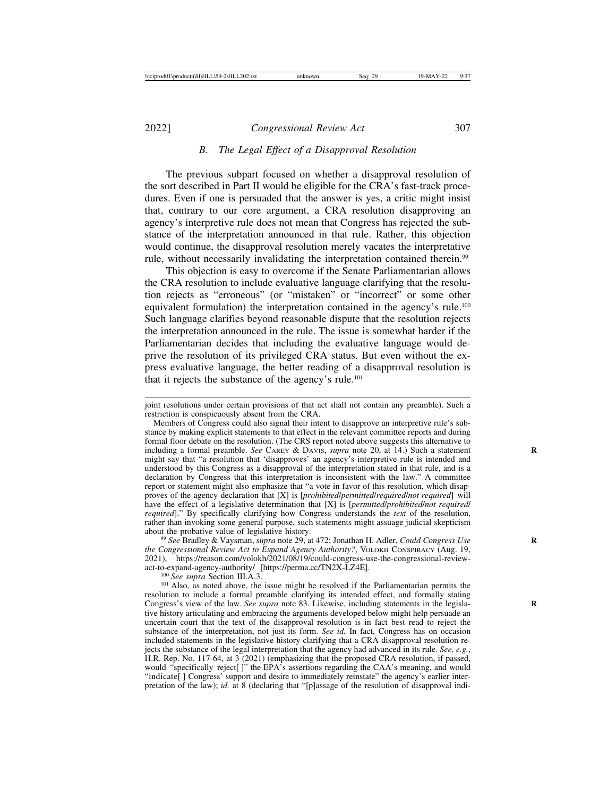#### *B. The Legal Effect of a Disapproval Resolution*

The previous subpart focused on whether a disapproval resolution of the sort described in Part II would be eligible for the CRA's fast-track procedures. Even if one is persuaded that the answer is yes, a critic might insist that, contrary to our core argument, a CRA resolution disapproving an agency's interpretive rule does not mean that Congress has rejected the substance of the interpretation announced in that rule. Rather, this objection would continue, the disapproval resolution merely vacates the interpretative rule, without necessarily invalidating the interpretation contained therein.<sup>99</sup>

This objection is easy to overcome if the Senate Parliamentarian allows the CRA resolution to include evaluative language clarifying that the resolution rejects as "erroneous" (or "mistaken" or "incorrect" or some other equivalent formulation) the interpretation contained in the agency's rule.100 Such language clarifies beyond reasonable dispute that the resolution rejects the interpretation announced in the rule. The issue is somewhat harder if the Parliamentarian decides that including the evaluative language would deprive the resolution of its privileged CRA status. But even without the express evaluative language, the better reading of a disapproval resolution is that it rejects the substance of the agency's rule.101

<sup>99</sup> See Bradley & Vaysman, *supra* note 29, at 472; Jonathan H. Adler, *Could Congress Use the Congressional Review Act to Expand Agency Authority?*, VOLOKH CONSPIRACY (Aug. 19, 2021), https://reason.com/volokh/2021/08/19/could-congress-use-the-congressional-review-<br>act-to-expand-agency-authority/ [https://perma.cc/TN2X-LZ4E].

<sup>100</sup> See supra Section III.A.3. <sup>100</sup> *See supra* Section III.A.3. <sup>101</sup> Also, as noted above, the issue might be resolved if the Parliamentarian permits the resolution to include a formal preamble clarifying its intended effect, and formally stating Congress's view of the law. *See supra* note 83. Likewise, including statements in the legislative history articulating and embracing the arguments developed below might help persuade an uncertain court that the text of the disapproval resolution is in fact best read to reject the substance of the interpretation, not just its form. *See id.* In fact, Congress has on occasion included statements in the legislative history clarifying that a CRA disapproval resolution rejects the substance of the legal interpretation that the agency had advanced in its rule. *See, e.g.*, H.R. Rep. No. 117-64, at 3 (2021) (emphasizing that the proposed CRA resolution, if passed, would "specifically reject[ ]" the EPA's assertions regarding the CAA's meaning, and would "indicate[ ] Congress' support and desire to immediately reinstate" the agency's earlier interpretation of the law); *id.* at 8 (declaring that "[p]assage of the resolution of disapproval indi-

joint resolutions under certain provisions of that act shall not contain any preamble). Such a restriction is conspicuously absent from the CRA.

Members of Congress could also signal their intent to disapprove an interpretive rule's substance by making explicit statements to that effect in the relevant committee reports and during formal floor debate on the resolution. (The CRS report noted above suggests this alternative to including a formal preamble. *See* CAREY & DAVIS, *supra* note 20, at 14.) Such a statement might say that "a resolution that 'disapproves' an agency's interpretive rule is intended and understood by this Congress as a disapproval of the interpretation stated in that rule, and is a declaration by Congress that this interpretation is inconsistent with the law." A committee report or statement might also emphasize that "a vote in favor of this resolution, which disapproves of the agency declaration that [X] is [*prohibited*/*permitted*/*required*/*not required*] will have the effect of a legislative determination that [X] is [*permitted*/*prohibited*/*not required*/ *required*]." By specifically clarifying how Congress understands the *text* of the resolution, rather than invoking some general purpose, such statements might assuage judicial skepticism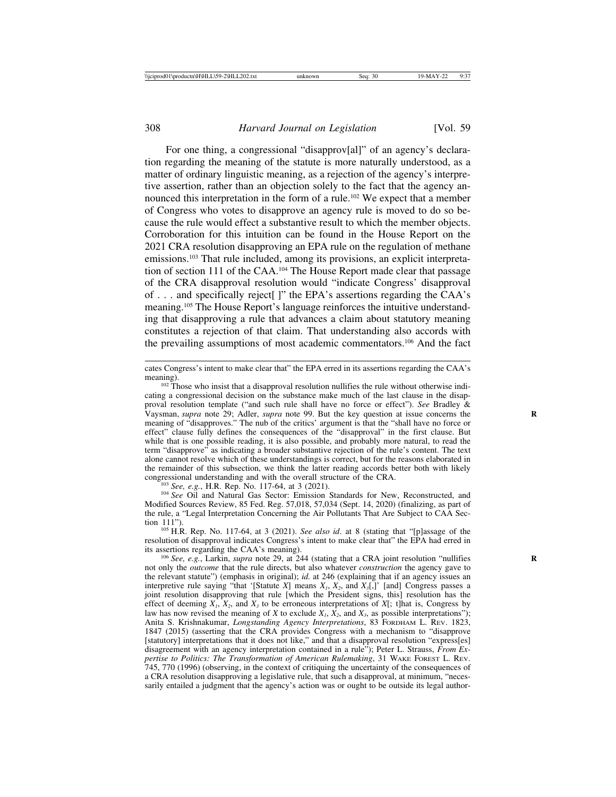For one thing, a congressional "disapprov[al]" of an agency's declaration regarding the meaning of the statute is more naturally understood, as a matter of ordinary linguistic meaning, as a rejection of the agency's interpretive assertion, rather than an objection solely to the fact that the agency announced this interpretation in the form of a rule.102 We expect that a member of Congress who votes to disapprove an agency rule is moved to do so because the rule would effect a substantive result to which the member objects. Corroboration for this intuition can be found in the House Report on the 2021 CRA resolution disapproving an EPA rule on the regulation of methane emissions.103 That rule included, among its provisions, an explicit interpretation of section 111 of the CAA.104 The House Report made clear that passage of the CRA disapproval resolution would "indicate Congress' disapproval of . . . and specifically reject[ ]" the EPA's assertions regarding the CAA's meaning.105 The House Report's language reinforces the intuitive understanding that disapproving a rule that advances a claim about statutory meaning constitutes a rejection of that claim. That understanding also accords with the prevailing assumptions of most academic commentators.106 And the fact

Modified Sources Review, 85 Fed. Reg. 57,018, 57,034 (Sept. 14, 2020) (finalizing, as part of the rule, a "Legal Interpretation Concerning the Air Pollutants That Are Subject to CAA Sec-

<sup>105</sup> H.R. Rep. No. 117-64, at 3 (2021). *See also id*. at 8 (stating that "[p]assage of the resolution of disapproval indicates Congress's intent to make clear that" the EPA had erred in its assertions regarding the CAA's meaning).<br><sup>106</sup> *See, e.g.*, Larkin, *supra* note 29, at 244 (stating that a CRA joint resolution "nullifies

not only the *outcome* that the rule directs, but also whatever *construction* the agency gave to the relevant statute") (emphasis in original); *id.* at 246 (explaining that if an agency issues an interpretive rule saying "that '[Statute *X*] means  $X_i$ ,  $X_2$ , and  $X_3$ [,]' [and] Congress passes a joint resolution disapproving that rule [which the President signs, this] resolution has the effect of deeming  $X_i$ ,  $X_2$ , and  $X_3$  to be erroneous interpretations of  $X_i$ ; t]hat is, Congress by law has now revised the meaning of *X* to exclude  $X_i$ ,  $\overline{X_2}$ , and  $X_3$ , as possible interpretations"); Anita S. Krishnakumar, *Longstanding Agency Interpretations*, 83 FORDHAM L. REV. 1823, 1847 (2015) (asserting that the CRA provides Congress with a mechanism to "disapprove [statutory] interpretations that it does not like," and that a disapproval resolution "express[es] disagreement with an agency interpretation contained in a rule"); Peter L. Strauss, *From Expertise to Politics: The Transformation of American Rulemaking*, 31 WAKE FOREST L. REV. 745, 770 (1996) (observing, in the context of critiquing the uncertainty of the consequences of a CRA resolution disapproving a legislative rule, that such a disapproval, at minimum, "necessarily entailed a judgment that the agency's action was or ought to be outside its legal author-

cates Congress's intent to make clear that" the EPA erred in its assertions regarding the CAA's

meaning).<br><sup>102</sup> Those who insist that a disapproval resolution nullifies the rule without otherwise indicating a congressional decision on the substance make much of the last clause in the disapproval resolution template ("and such rule shall have no force or effect"). *See* Bradley & Vaysman, *supra* note 29; Adler, *supra* note 99. But the key question at issue concerns the **R** meaning of "disapproves." The nub of the critics' argument is that the "shall have no force or effect" clause fully defines the consequences of the "disapproval" in the first clause. But while that is one possible reading, it is also possible, and probably more natural, to read the term "disapprove" as indicating a broader substantive rejection of the rule's content. The text alone cannot resolve which of these understandings is correct, but for the reasons elaborated in the remainder of this subsection, we think the latter reading accords better both with likely congressional understanding and with the overall structure of the CRA. <sup>103</sup> *See, e.g.*, H.R. Rep. No. 117-64, at 3 (2021). <sup>104</sup> *See* Oil and Natural Gas Sector: Emission Standards for New, Reconstructed, and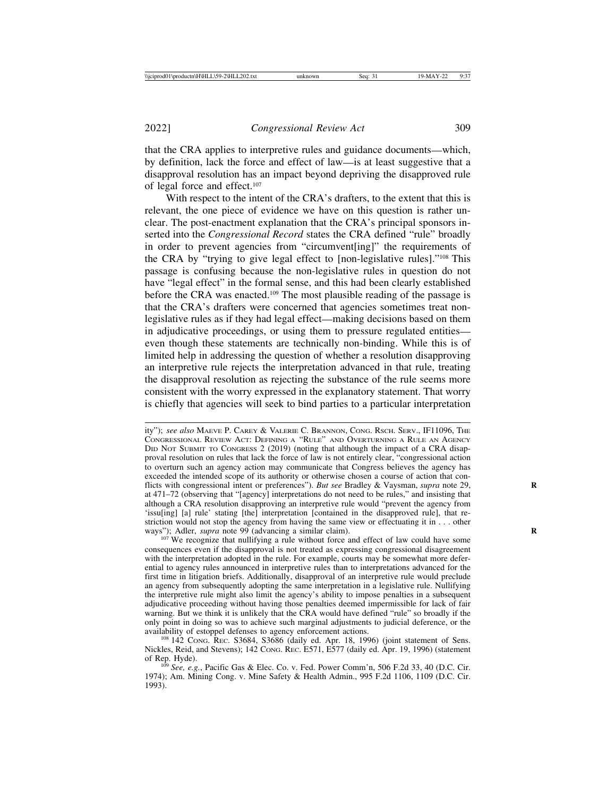that the CRA applies to interpretive rules and guidance documents—which, by definition, lack the force and effect of law—is at least suggestive that a disapproval resolution has an impact beyond depriving the disapproved rule of legal force and effect.107

With respect to the intent of the CRA's drafters, to the extent that this is relevant, the one piece of evidence we have on this question is rather unclear. The post-enactment explanation that the CRA's principal sponsors inserted into the *Congressional Record* states the CRA defined "rule" broadly in order to prevent agencies from "circumvent[ing]" the requirements of the CRA by "trying to give legal effect to [non-legislative rules]."108 This passage is confusing because the non-legislative rules in question do not have "legal effect" in the formal sense, and this had been clearly established before the CRA was enacted.109 The most plausible reading of the passage is that the CRA's drafters were concerned that agencies sometimes treat nonlegislative rules as if they had legal effect—making decisions based on them in adjudicative proceedings, or using them to pressure regulated entities even though these statements are technically non-binding. While this is of limited help in addressing the question of whether a resolution disapproving an interpretive rule rejects the interpretation advanced in that rule, treating the disapproval resolution as rejecting the substance of the rule seems more consistent with the worry expressed in the explanatory statement. That worry is chiefly that agencies will seek to bind parties to a particular interpretation

ity"); *see also* MAEVE P. CAREY & VALERIE C. BRANNON, CONG. RSCH. SERV., IF11096, THE CONGRESSIONAL REVIEW ACT: DEFINING A "RULE" AND OVERTURNING A RULE AN AGENCY DID NOT SUBMIT TO CONGRESS 2 (2019) (noting that although the impact of a CRA disapproval resolution on rules that lack the force of law is not entirely clear, "congressional action to overturn such an agency action may communicate that Congress believes the agency has exceeded the intended scope of its authority or otherwise chosen a course of action that conflicts with congressional intent or preferences"). *But see* Bradley & Vaysman, *supra* note 29, **R** at 471–72 (observing that "[agency] interpretations do not need to be rules," and insisting that although a CRA resolution disapproving an interpretive rule would "prevent the agency from 'issu[ing] [a] rule' stating [the] interpretation [contained in the disapproved rule], that restriction would not stop the agency from having the same view or effectuating it in . . . other ways"); Adler, *supra* note 99 (advancing a similar claim).

<sup>&</sup>lt;sup>107</sup> We recognize that nullifying a rule without force and effect of law could have some consequences even if the disapproval is not treated as expressing congressional disagreement with the interpretation adopted in the rule. For example, courts may be somewhat more deferential to agency rules announced in interpretive rules than to interpretations advanced for the first time in litigation briefs. Additionally, disapproval of an interpretive rule would preclude an agency from subsequently adopting the same interpretation in a legislative rule. Nullifying the interpretive rule might also limit the agency's ability to impose penalties in a subsequent adjudicative proceeding without having those penalties deemed impermissible for lack of fair warning. But we think it is unlikely that the CRA would have defined "rule" so broadly if the only point in doing so was to achieve such marginal adjustments to judicial deference, or the

<sup>&</sup>lt;sup>108</sup> 142 Cong. Rec. S3684, S3686 (daily ed. Apr. 18, 1996) (joint statement of Sens. Nickles, Reid, and Stevens); 142 CONG. REC. E571, E577 (daily ed. Apr. 19, 1996) (statement

<sup>&</sup>lt;sup>109</sup> *See, e.g.*, Pacific Gas & Elec. Co. v. Fed. Power Comm'n, 506 F.2d 33, 40 (D.C. Cir. 1974); Am. Mining Cong. v. Mine Safety & Health Admin., 995 F.2d 1106, 1109 (D.C. Cir. 1993).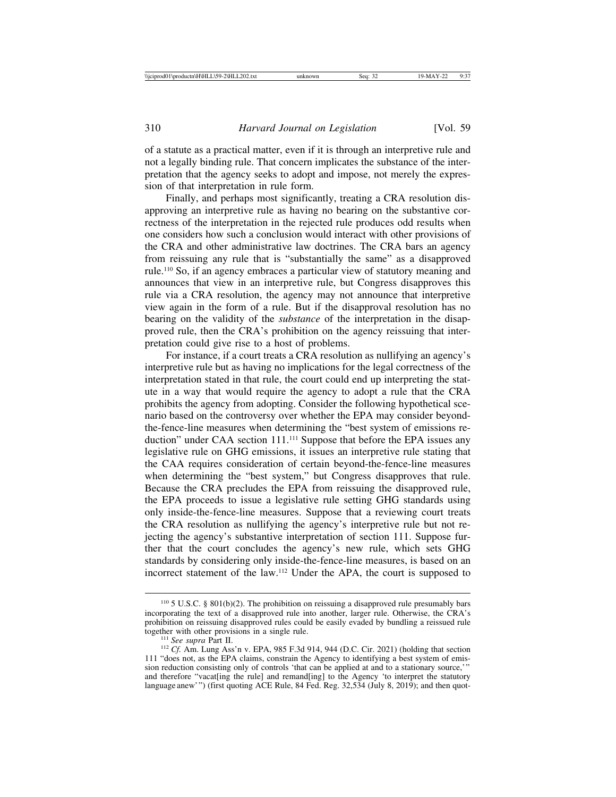of a statute as a practical matter, even if it is through an interpretive rule and not a legally binding rule. That concern implicates the substance of the interpretation that the agency seeks to adopt and impose, not merely the expression of that interpretation in rule form.

Finally, and perhaps most significantly, treating a CRA resolution disapproving an interpretive rule as having no bearing on the substantive correctness of the interpretation in the rejected rule produces odd results when one considers how such a conclusion would interact with other provisions of the CRA and other administrative law doctrines. The CRA bars an agency from reissuing any rule that is "substantially the same" as a disapproved rule.110 So, if an agency embraces a particular view of statutory meaning and announces that view in an interpretive rule, but Congress disapproves this rule via a CRA resolution, the agency may not announce that interpretive view again in the form of a rule. But if the disapproval resolution has no bearing on the validity of the *substance* of the interpretation in the disapproved rule, then the CRA's prohibition on the agency reissuing that interpretation could give rise to a host of problems.

For instance, if a court treats a CRA resolution as nullifying an agency's interpretive rule but as having no implications for the legal correctness of the interpretation stated in that rule, the court could end up interpreting the statute in a way that would require the agency to adopt a rule that the CRA prohibits the agency from adopting. Consider the following hypothetical scenario based on the controversy over whether the EPA may consider beyondthe-fence-line measures when determining the "best system of emissions reduction" under CAA section 111.<sup>111</sup> Suppose that before the EPA issues any legislative rule on GHG emissions, it issues an interpretive rule stating that the CAA requires consideration of certain beyond-the-fence-line measures when determining the "best system," but Congress disapproves that rule. Because the CRA precludes the EPA from reissuing the disapproved rule, the EPA proceeds to issue a legislative rule setting GHG standards using only inside-the-fence-line measures. Suppose that a reviewing court treats the CRA resolution as nullifying the agency's interpretive rule but not rejecting the agency's substantive interpretation of section 111. Suppose further that the court concludes the agency's new rule, which sets GHG standards by considering only inside-the-fence-line measures, is based on an incorrect statement of the law.112 Under the APA, the court is supposed to

<sup>110</sup> 5 U.S.C. § 801(b)(2). The prohibition on reissuing a disapproved rule presumably bars incorporating the text of a disapproved rule into another, larger rule. Otherwise, the CRA's prohibition on reissuing disapproved rules could be easily evaded by bundling a reissued rule

<sup>&</sup>lt;sup>111</sup> See supra Part II.  $C_1$ <sup>112</sup> *Cf.* Am. Lung Ass'n v. EPA, 985 F.3d 914, 944 (D.C. Cir. 2021) (holding that section 111 "does not, as the EPA claims, constrain the Agency to identifying a best system of emission reduction consisting only of controls 'that can be applied at and to a stationary source,'" and therefore "vacat[ing the rule] and remand[ing] to the Agency 'to interpret the statutory language anew'") (first quoting ACE Rule, 84 Fed. Reg. 32,534 (July 8, 2019); and then quot-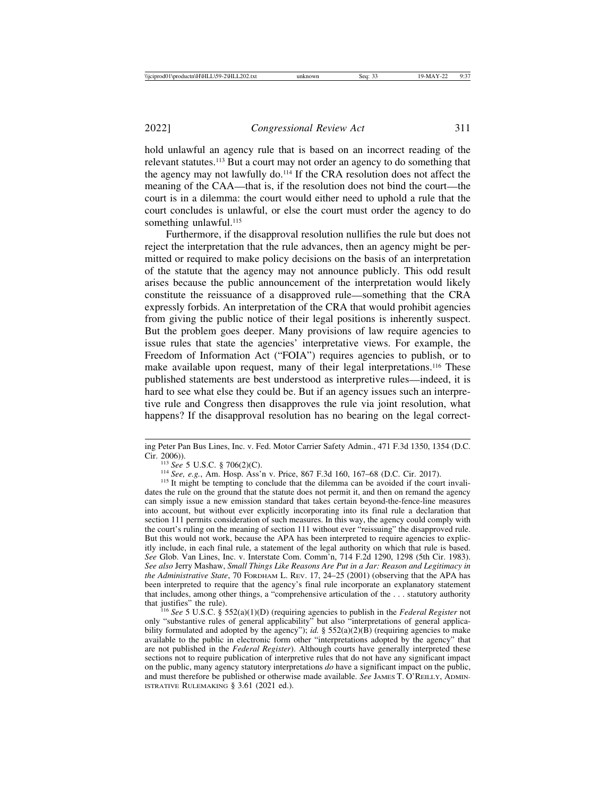hold unlawful an agency rule that is based on an incorrect reading of the relevant statutes.113 But a court may not order an agency to do something that the agency may not lawfully do.114 If the CRA resolution does not affect the meaning of the CAA—that is, if the resolution does not bind the court—the court is in a dilemma: the court would either need to uphold a rule that the court concludes is unlawful, or else the court must order the agency to do something unlawful.<sup>115</sup>

Furthermore, if the disapproval resolution nullifies the rule but does not reject the interpretation that the rule advances, then an agency might be permitted or required to make policy decisions on the basis of an interpretation of the statute that the agency may not announce publicly. This odd result arises because the public announcement of the interpretation would likely constitute the reissuance of a disapproved rule—something that the CRA expressly forbids. An interpretation of the CRA that would prohibit agencies from giving the public notice of their legal positions is inherently suspect. But the problem goes deeper. Many provisions of law require agencies to issue rules that state the agencies' interpretative views. For example, the Freedom of Information Act ("FOIA") requires agencies to publish, or to make available upon request, many of their legal interpretations.<sup>116</sup> These published statements are best understood as interpretive rules—indeed, it is hard to see what else they could be. But if an agency issues such an interpretive rule and Congress then disapproves the rule via joint resolution, what happens? If the disapproval resolution has no bearing on the legal correct-

ing Peter Pan Bus Lines, Inc. v. Fed. Motor Carrier Safety Admin., 471 F.3d 1350, 1354 (D.C. Cir. 2006)).

<sup>&</sup>lt;sup>113</sup> See 5 U.S.C. § 706(2)(C).<br><sup>114</sup> See, e.g., Am. Hosp. Ass'n v. Price, 867 F.3d 160, 167–68 (D.C. Cir. 2017).<br><sup>115</sup> It might be tempting to conclude that the dilemma can be avoided if the court invalidates the rule on the ground that the statute does not permit it, and then on remand the agency can simply issue a new emission standard that takes certain beyond-the-fence-line measures into account, but without ever explicitly incorporating into its final rule a declaration that section 111 permits consideration of such measures. In this way, the agency could comply with the court's ruling on the meaning of section 111 without ever "reissuing" the disapproved rule. But this would not work, because the APA has been interpreted to require agencies to explicitly include, in each final rule, a statement of the legal authority on which that rule is based. *See* Glob. Van Lines, Inc. v. Interstate Com. Comm'n, 714 F.2d 1290, 1298 (5th Cir. 1983). *See also* Jerry Mashaw, *Small Things Like Reasons Are Put in a Jar: Reason and Legitimacy in the Administrative State*, 70 FORDHAM L. REV. 17, 24–25 (2001) (observing that the APA has been interpreted to require that the agency's final rule incorporate an explanatory statement that includes, among other things, a "comprehensive articulation of the . . . statutory authority

 $t^{16}$  *See* 5 U.S.C. § 552(a)(1)(D) (requiring agencies to publish in the *Federal Register* not only "substantive rules of general applicability" but also "interpretations of general applicability formulated and adopted by the agency"); *id.* § 552(a)(2)(B) (requiring agencies to make available to the public in electronic form other "interpretations adopted by the agency" that are not published in the *Federal Register*). Although courts have generally interpreted these sections not to require publication of interpretive rules that do not have any significant impact on the public, many agency statutory interpretations *do* have a significant impact on the public, and must therefore be published or otherwise made available. *See* JAMES T. O'REILLY, ADMIN-ISTRATIVE RULEMAKING § 3.61 (2021 ed.).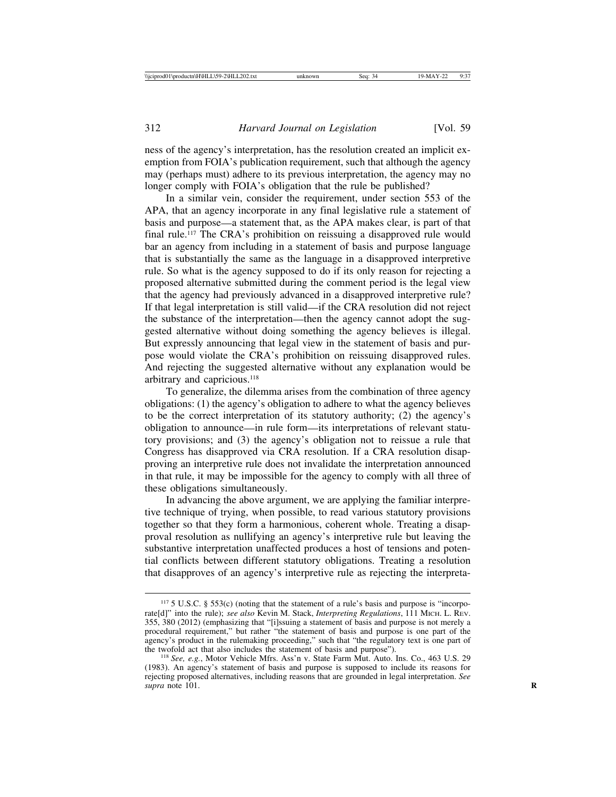ness of the agency's interpretation, has the resolution created an implicit exemption from FOIA's publication requirement, such that although the agency may (perhaps must) adhere to its previous interpretation, the agency may no longer comply with FOIA's obligation that the rule be published?

In a similar vein, consider the requirement, under section 553 of the APA, that an agency incorporate in any final legislative rule a statement of basis and purpose—a statement that, as the APA makes clear, is part of that final rule.117 The CRA's prohibition on reissuing a disapproved rule would bar an agency from including in a statement of basis and purpose language that is substantially the same as the language in a disapproved interpretive rule. So what is the agency supposed to do if its only reason for rejecting a proposed alternative submitted during the comment period is the legal view that the agency had previously advanced in a disapproved interpretive rule? If that legal interpretation is still valid—if the CRA resolution did not reject the substance of the interpretation—then the agency cannot adopt the suggested alternative without doing something the agency believes is illegal. But expressly announcing that legal view in the statement of basis and purpose would violate the CRA's prohibition on reissuing disapproved rules. And rejecting the suggested alternative without any explanation would be arbitrary and capricious.118

To generalize, the dilemma arises from the combination of three agency obligations: (1) the agency's obligation to adhere to what the agency believes to be the correct interpretation of its statutory authority; (2) the agency's obligation to announce—in rule form—its interpretations of relevant statutory provisions; and (3) the agency's obligation not to reissue a rule that Congress has disapproved via CRA resolution. If a CRA resolution disapproving an interpretive rule does not invalidate the interpretation announced in that rule, it may be impossible for the agency to comply with all three of these obligations simultaneously.

In advancing the above argument, we are applying the familiar interpretive technique of trying, when possible, to read various statutory provisions together so that they form a harmonious, coherent whole. Treating a disapproval resolution as nullifying an agency's interpretive rule but leaving the substantive interpretation unaffected produces a host of tensions and potential conflicts between different statutory obligations. Treating a resolution that disapproves of an agency's interpretive rule as rejecting the interpreta-

 $117\,5$  U.S.C. § 553(c) (noting that the statement of a rule's basis and purpose is "incorporate[d]" into the rule); *see also* Kevin M. Stack, *Interpreting Regulations*, 111 MICH. L. REV. 355, 380 (2012) (emphasizing that "[i]ssuing a statement of basis and purpose is not merely a procedural requirement," but rather "the statement of basis and purpose is one part of the agency's product in the rulemaking proceeding," such that "the regulatory text is one part of the twofold act that also includes the statement of basis and purpose").

<sup>&</sup>lt;sup>118</sup> *See, e.g.*, Motor Vehicle Mfrs. Ass'n v. State Farm Mut. Auto. Ins. Co., 463 U.S. 29 (1983). An agency's statement of basis and purpose is supposed to include its reasons for rejecting proposed alternatives, including reasons that are grounded in legal interpretation. *See supra* note 101. **R**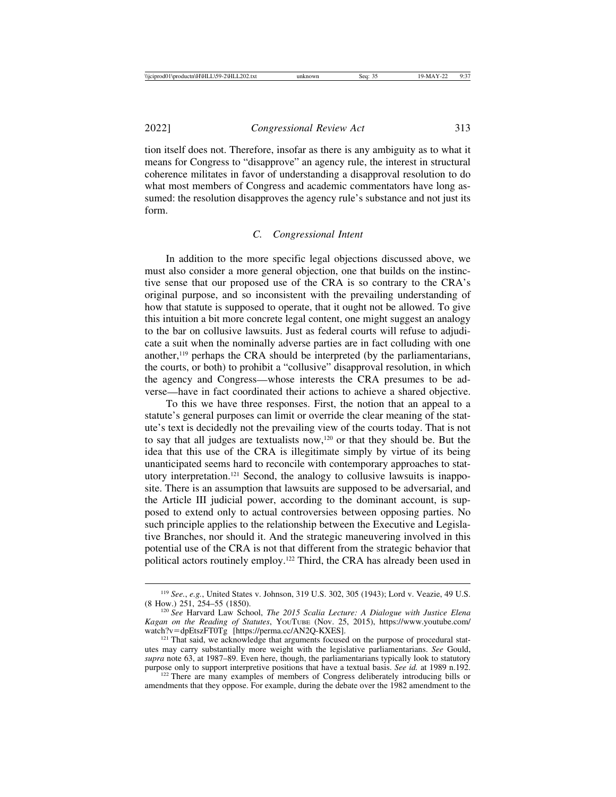tion itself does not. Therefore, insofar as there is any ambiguity as to what it means for Congress to "disapprove" an agency rule, the interest in structural coherence militates in favor of understanding a disapproval resolution to do what most members of Congress and academic commentators have long assumed: the resolution disapproves the agency rule's substance and not just its form.

#### *C. Congressional Intent*

In addition to the more specific legal objections discussed above, we must also consider a more general objection, one that builds on the instinctive sense that our proposed use of the CRA is so contrary to the CRA's original purpose, and so inconsistent with the prevailing understanding of how that statute is supposed to operate, that it ought not be allowed. To give this intuition a bit more concrete legal content, one might suggest an analogy to the bar on collusive lawsuits. Just as federal courts will refuse to adjudicate a suit when the nominally adverse parties are in fact colluding with one another, $119$  perhaps the CRA should be interpreted (by the parliamentarians, the courts, or both) to prohibit a "collusive" disapproval resolution, in which the agency and Congress—whose interests the CRA presumes to be adverse—have in fact coordinated their actions to achieve a shared objective.

To this we have three responses. First, the notion that an appeal to a statute's general purposes can limit or override the clear meaning of the statute's text is decidedly not the prevailing view of the courts today. That is not to say that all judges are textualists now,120 or that they should be. But the idea that this use of the CRA is illegitimate simply by virtue of its being unanticipated seems hard to reconcile with contemporary approaches to statutory interpretation.121 Second, the analogy to collusive lawsuits is inapposite. There is an assumption that lawsuits are supposed to be adversarial, and the Article III judicial power, according to the dominant account, is supposed to extend only to actual controversies between opposing parties. No such principle applies to the relationship between the Executive and Legislative Branches, nor should it. And the strategic maneuvering involved in this potential use of the CRA is not that different from the strategic behavior that political actors routinely employ.122 Third, the CRA has already been used in

<sup>&</sup>lt;sup>119</sup> *See.*, *e.g.*, United States v. Johnson, 319 U.S. 302, 305 (1943); Lord v. Veazie, 49 U.S. (8 How.) 251, 254–55 (1850).

<sup>&</sup>lt;sup>120</sup> See Harvard Law School, *The 2015 Scalia Lecture: A Dialogue with Justice Elena Kagan on the Reading of Statutes*, YOUTUBE (Nov. 25, 2015), https://www.youtube.com/

<sup>&</sup>lt;sup>121</sup> That said, we acknowledge that arguments focused on the purpose of procedural statutes may carry substantially more weight with the legislative parliamentarians. *See* Gould, *supra* note 63, at 1987–89. Even here, though, the parliamentarians typically look to statutory purpose only to support interpretive positions that have a textual basis. *See id.* at 1989 n.192. <sup>122</sup> There are many examples of members of Congress deliberately introducing bills or

amendments that they oppose. For example, during the debate over the 1982 amendment to the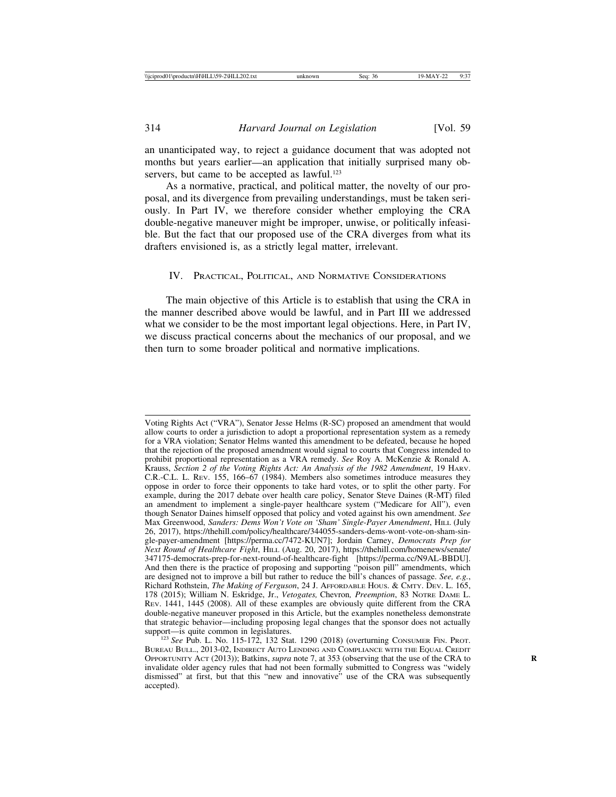an unanticipated way, to reject a guidance document that was adopted not months but years earlier—an application that initially surprised many observers, but came to be accepted as lawful.<sup>123</sup>

As a normative, practical, and political matter, the novelty of our proposal, and its divergence from prevailing understandings, must be taken seriously. In Part IV, we therefore consider whether employing the CRA double-negative maneuver might be improper, unwise, or politically infeasible. But the fact that our proposed use of the CRA diverges from what its drafters envisioned is, as a strictly legal matter, irrelevant.

#### IV. PRACTICAL, POLITICAL, AND NORMATIVE CONSIDERATIONS

The main objective of this Article is to establish that using the CRA in the manner described above would be lawful, and in Part III we addressed what we consider to be the most important legal objections. Here, in Part IV, we discuss practical concerns about the mechanics of our proposal, and we then turn to some broader political and normative implications.

Voting Rights Act ("VRA"), Senator Jesse Helms (R-SC) proposed an amendment that would allow courts to order a jurisdiction to adopt a proportional representation system as a remedy for a VRA violation; Senator Helms wanted this amendment to be defeated, because he hoped that the rejection of the proposed amendment would signal to courts that Congress intended to prohibit proportional representation as a VRA remedy. *See* Roy A. McKenzie & Ronald A. Krauss, *Section 2 of the Voting Rights Act: An Analysis of the 1982 Amendment*, 19 HARV. C.R.-C.L. L. REV. 155, 166–67 (1984). Members also sometimes introduce measures they oppose in order to force their opponents to take hard votes, or to split the other party. For example, during the 2017 debate over health care policy, Senator Steve Daines (R-MT) filed an amendment to implement a single-payer healthcare system ("Medicare for All"), even though Senator Daines himself opposed that policy and voted against his own amendment. *See* Max Greenwood, *Sanders: Dems Won't Vote on 'Sham' Single-Payer Amendment*, HILL (July 26, 2017), https://thehill.com/policy/healthcare/344055-sanders-dems-wont-vote-on-sham-single-payer-amendment [https://perma.cc/7472-KUN7]; Jordain Carney, *Democrats Prep for Next Round of Healthcare Fight*, HILL (Aug. 20, 2017), https://thehill.com/homenews/senate/ 347175-democrats-prep-for-next-round-of-healthcare-fight [https://perma.cc/N9AL-BBDU]. And then there is the practice of proposing and supporting "poison pill" amendments, which are designed not to improve a bill but rather to reduce the bill's chances of passage. *See, e.g.*, Richard Rothstein, *The Making of Ferguson*, 24 J. AFFORDABLE HOUS. & CMTY. DEV. L. 165, 178 (2015); William N. Eskridge, Jr., *Vetogates,* Chevron*, Preemption*, 83 NOTRE DAME L. REV. 1441, 1445 (2008). All of these examples are obviously quite different from the CRA double-negative maneuver proposed in this Article, but the examples nonetheless demonstrate that strategic behavior—including proposing legal changes that the sponsor does not actually

support—is quite common in legislatures.<br><sup>123</sup> *See* Pub. L. No. 115-172, 132 Stat. 1290 (2018) (overturning Consumer FIN. PROT. BUREAU BULL., 2013-02, INDIRECT AUTO LENDING AND COMPLIANCE WITH THE EQUAL CREDIT OPPORTUNITY ACT (2013)); Batkins, *supra* note 7, at 353 (observing that the use of the CRA to **R** invalidate older agency rules that had not been formally submitted to Congress was "widely dismissed" at first, but that this "new and innovative" use of the CRA was subsequently accepted).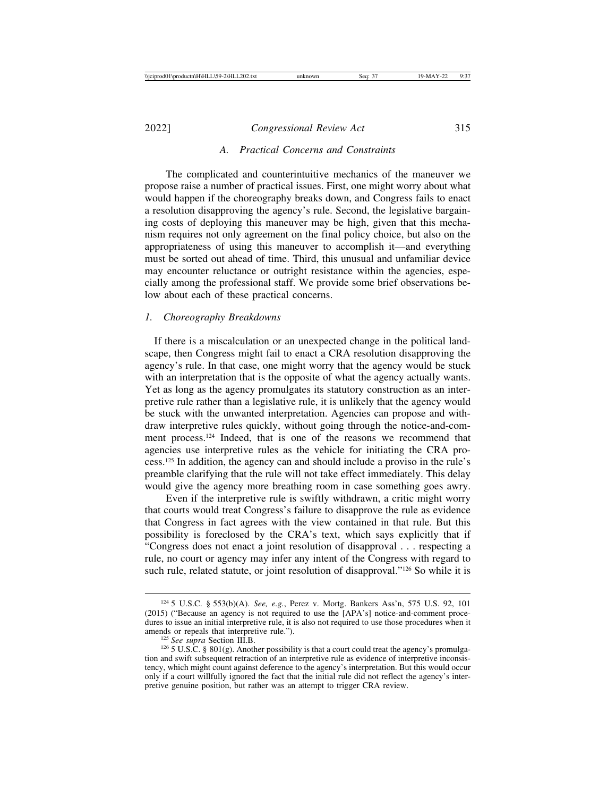## *A. Practical Concerns and Constraints*

The complicated and counterintuitive mechanics of the maneuver we propose raise a number of practical issues. First, one might worry about what would happen if the choreography breaks down, and Congress fails to enact a resolution disapproving the agency's rule. Second, the legislative bargaining costs of deploying this maneuver may be high, given that this mechanism requires not only agreement on the final policy choice, but also on the appropriateness of using this maneuver to accomplish it—and everything must be sorted out ahead of time. Third, this unusual and unfamiliar device may encounter reluctance or outright resistance within the agencies, especially among the professional staff. We provide some brief observations below about each of these practical concerns.

#### *1. Choreography Breakdowns*

 If there is a miscalculation or an unexpected change in the political landscape, then Congress might fail to enact a CRA resolution disapproving the agency's rule. In that case, one might worry that the agency would be stuck with an interpretation that is the opposite of what the agency actually wants. Yet as long as the agency promulgates its statutory construction as an interpretive rule rather than a legislative rule, it is unlikely that the agency would be stuck with the unwanted interpretation. Agencies can propose and withdraw interpretive rules quickly, without going through the notice-and-comment process.124 Indeed, that is one of the reasons we recommend that agencies use interpretive rules as the vehicle for initiating the CRA process.125 In addition, the agency can and should include a proviso in the rule's preamble clarifying that the rule will not take effect immediately. This delay would give the agency more breathing room in case something goes awry.

Even if the interpretive rule is swiftly withdrawn, a critic might worry that courts would treat Congress's failure to disapprove the rule as evidence that Congress in fact agrees with the view contained in that rule. But this possibility is foreclosed by the CRA's text, which says explicitly that if "Congress does not enact a joint resolution of disapproval . . . respecting a rule, no court or agency may infer any intent of the Congress with regard to such rule, related statute, or joint resolution of disapproval."<sup>126</sup> So while it is

<sup>124</sup> 5 U.S.C. § 553(b)(A). *See, e.g.*, Perez v. Mortg. Bankers Ass'n, 575 U.S. 92, 101 (2015) ("Because an agency is not required to use the [APA's] notice-and-comment procedures to issue an initial interpretive rule, it is also not required to use those procedures when it amends or repeals that interpretive rule.").

<sup>&</sup>lt;sup>125</sup> *See supra* Section III.B. **126**   $126$  **SU.S.C.** § 801(g). Another possibility is that a court could treat the agency's promulgation and swift subsequent retraction of an interpretive rule as evidence of interpretive inconsistency, which might count against deference to the agency's interpretation. But this would occur only if a court willfully ignored the fact that the initial rule did not reflect the agency's interpretive genuine position, but rather was an attempt to trigger CRA review.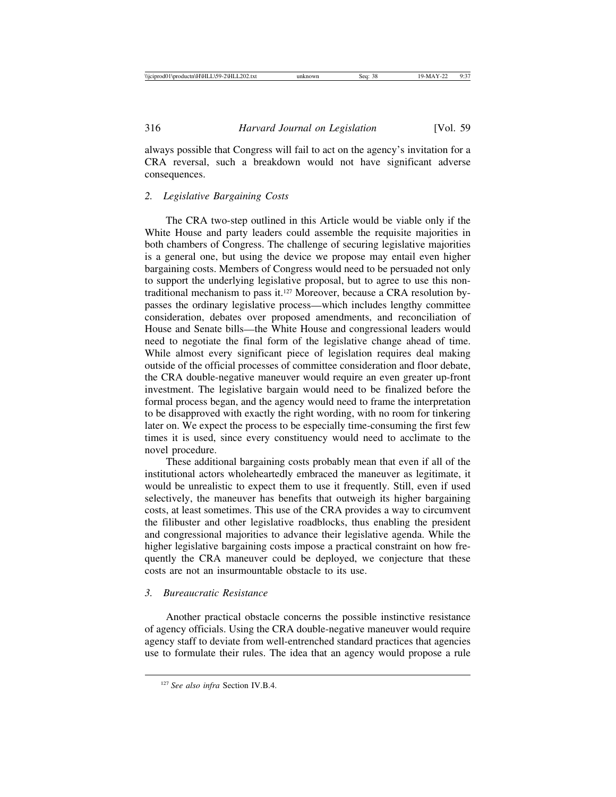always possible that Congress will fail to act on the agency's invitation for a CRA reversal, such a breakdown would not have significant adverse consequences.

## *2. Legislative Bargaining Costs*

The CRA two-step outlined in this Article would be viable only if the White House and party leaders could assemble the requisite majorities in both chambers of Congress. The challenge of securing legislative majorities is a general one, but using the device we propose may entail even higher bargaining costs. Members of Congress would need to be persuaded not only to support the underlying legislative proposal, but to agree to use this nontraditional mechanism to pass it.127 Moreover, because a CRA resolution bypasses the ordinary legislative process—which includes lengthy committee consideration, debates over proposed amendments, and reconciliation of House and Senate bills—the White House and congressional leaders would need to negotiate the final form of the legislative change ahead of time. While almost every significant piece of legislation requires deal making outside of the official processes of committee consideration and floor debate, the CRA double-negative maneuver would require an even greater up-front investment. The legislative bargain would need to be finalized before the formal process began, and the agency would need to frame the interpretation to be disapproved with exactly the right wording, with no room for tinkering later on. We expect the process to be especially time-consuming the first few times it is used, since every constituency would need to acclimate to the novel procedure.

These additional bargaining costs probably mean that even if all of the institutional actors wholeheartedly embraced the maneuver as legitimate, it would be unrealistic to expect them to use it frequently. Still, even if used selectively, the maneuver has benefits that outweigh its higher bargaining costs, at least sometimes. This use of the CRA provides a way to circumvent the filibuster and other legislative roadblocks, thus enabling the president and congressional majorities to advance their legislative agenda. While the higher legislative bargaining costs impose a practical constraint on how frequently the CRA maneuver could be deployed, we conjecture that these costs are not an insurmountable obstacle to its use.

## *3. Bureaucratic Resistance*

Another practical obstacle concerns the possible instinctive resistance of agency officials. Using the CRA double-negative maneuver would require agency staff to deviate from well-entrenched standard practices that agencies use to formulate their rules. The idea that an agency would propose a rule

<sup>127</sup> *See also infra* Section IV.B.4.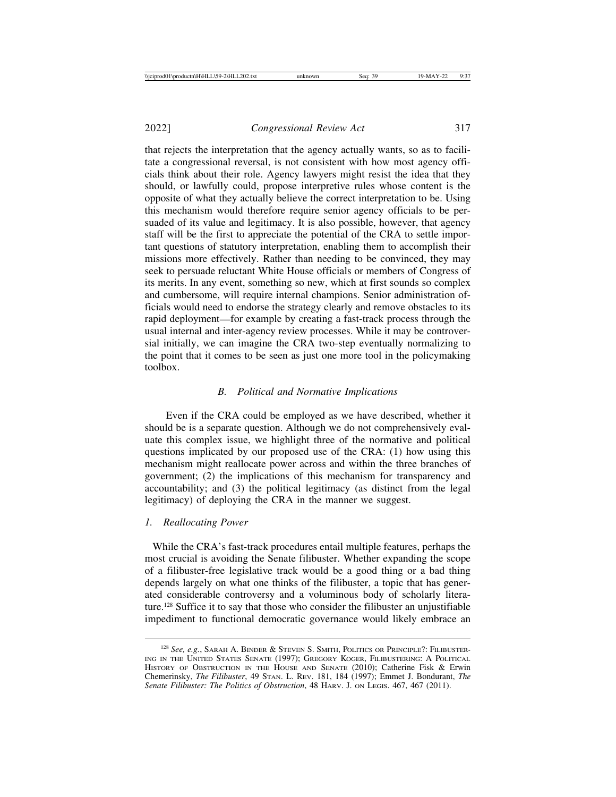that rejects the interpretation that the agency actually wants, so as to facilitate a congressional reversal, is not consistent with how most agency officials think about their role. Agency lawyers might resist the idea that they should, or lawfully could, propose interpretive rules whose content is the opposite of what they actually believe the correct interpretation to be. Using this mechanism would therefore require senior agency officials to be persuaded of its value and legitimacy. It is also possible, however, that agency staff will be the first to appreciate the potential of the CRA to settle important questions of statutory interpretation, enabling them to accomplish their missions more effectively. Rather than needing to be convinced, they may seek to persuade reluctant White House officials or members of Congress of its merits. In any event, something so new, which at first sounds so complex and cumbersome, will require internal champions. Senior administration officials would need to endorse the strategy clearly and remove obstacles to its rapid deployment—for example by creating a fast-track process through the usual internal and inter-agency review processes. While it may be controversial initially, we can imagine the CRA two-step eventually normalizing to the point that it comes to be seen as just one more tool in the policymaking toolbox.

#### *B. Political and Normative Implications*

Even if the CRA could be employed as we have described, whether it should be is a separate question. Although we do not comprehensively evaluate this complex issue, we highlight three of the normative and political questions implicated by our proposed use of the CRA: (1) how using this mechanism might reallocate power across and within the three branches of government; (2) the implications of this mechanism for transparency and accountability; and (3) the political legitimacy (as distinct from the legal legitimacy) of deploying the CRA in the manner we suggest.

#### *1. Reallocating Power*

 While the CRA's fast-track procedures entail multiple features, perhaps the most crucial is avoiding the Senate filibuster. Whether expanding the scope of a filibuster-free legislative track would be a good thing or a bad thing depends largely on what one thinks of the filibuster, a topic that has generated considerable controversy and a voluminous body of scholarly literature.128 Suffice it to say that those who consider the filibuster an unjustifiable impediment to functional democratic governance would likely embrace an

<sup>128</sup> *See, e.g.*, SARAH A. BINDER & STEVEN S. SMITH, POLITICS OR PRINCIPLE?: FILIBUSTER-ING IN THE UNITED STATES SENATE (1997); GREGORY KOGER, FILIBUSTERING: A POLITICAL HISTORY OF OBSTRUCTION IN THE HOUSE AND SENATE (2010); Catherine Fisk & Erwin Chemerinsky, *The Filibuster*, 49 STAN. L. REV. 181, 184 (1997); Emmet J. Bondurant, *The Senate Filibuster: The Politics of Obstruction*, 48 HARV. J. ON LEGIS. 467, 467 (2011).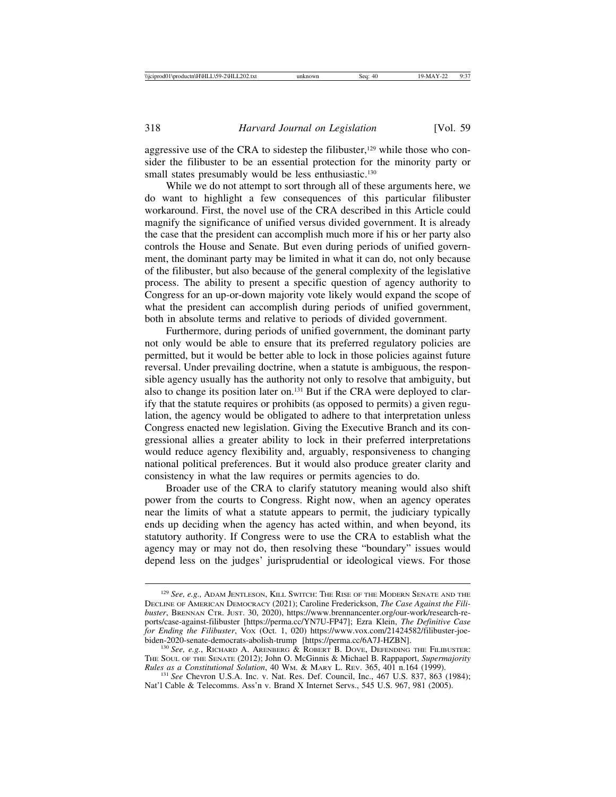aggressive use of the CRA to sidestep the filibuster, $129$  while those who consider the filibuster to be an essential protection for the minority party or small states presumably would be less enthusiastic.<sup>130</sup>

While we do not attempt to sort through all of these arguments here, we do want to highlight a few consequences of this particular filibuster workaround. First, the novel use of the CRA described in this Article could magnify the significance of unified versus divided government. It is already the case that the president can accomplish much more if his or her party also controls the House and Senate. But even during periods of unified government, the dominant party may be limited in what it can do, not only because of the filibuster, but also because of the general complexity of the legislative process. The ability to present a specific question of agency authority to Congress for an up-or-down majority vote likely would expand the scope of what the president can accomplish during periods of unified government, both in absolute terms and relative to periods of divided government.

Furthermore, during periods of unified government, the dominant party not only would be able to ensure that its preferred regulatory policies are permitted, but it would be better able to lock in those policies against future reversal. Under prevailing doctrine, when a statute is ambiguous, the responsible agency usually has the authority not only to resolve that ambiguity, but also to change its position later on.131 But if the CRA were deployed to clarify that the statute requires or prohibits (as opposed to permits) a given regulation, the agency would be obligated to adhere to that interpretation unless Congress enacted new legislation. Giving the Executive Branch and its congressional allies a greater ability to lock in their preferred interpretations would reduce agency flexibility and, arguably, responsiveness to changing national political preferences. But it would also produce greater clarity and consistency in what the law requires or permits agencies to do.

Broader use of the CRA to clarify statutory meaning would also shift power from the courts to Congress. Right now, when an agency operates near the limits of what a statute appears to permit, the judiciary typically ends up deciding when the agency has acted within, and when beyond, its statutory authority. If Congress were to use the CRA to establish what the agency may or may not do, then resolving these "boundary" issues would depend less on the judges' jurisprudential or ideological views. For those

<sup>129</sup> *See, e.g.,* ADAM JENTLESON, KILL SWITCH: THE RISE OF THE MODERN SENATE AND THE DECLINE OF AMERICAN DEMOCRACY (2021); Caroline Frederickson, *The Case Against the Filibuster*, BRENNAN CTR. JUST. 30, 2020), https://www.brennancenter.org/our-work/research-reports/case-against-filibuster [https://perma.cc/YN7U-FP47]; Ezra Klein, *The Definitive Case for Ending the Filibuster*, VOX (Oct. 1, 020) https://www.vox.com/21424582/filibuster-joebiden-2020-senate-democrats-abolish-trump [https://perma.cc/6A7J-HZBN]. <sup>130</sup> *See, e.g.*, RICHARD A. ARENBERG & ROBERT B. DOVE, DEFENDING THE FILIBUSTER:

THE SOUL OF THE SENATE (2012); John O. McGinnis & Michael B. Rappaport, *Supermajority*

<sup>&</sup>lt;sup>131</sup> *See* Chevron U.S.A. Inc. v. Nat. Res. Def. Council, Inc., 467 U.S. 837, 863 (1984); Nat'l Cable & Telecomms. Ass'n v. Brand X Internet Servs., 545 U.S. 967, 981 (2005).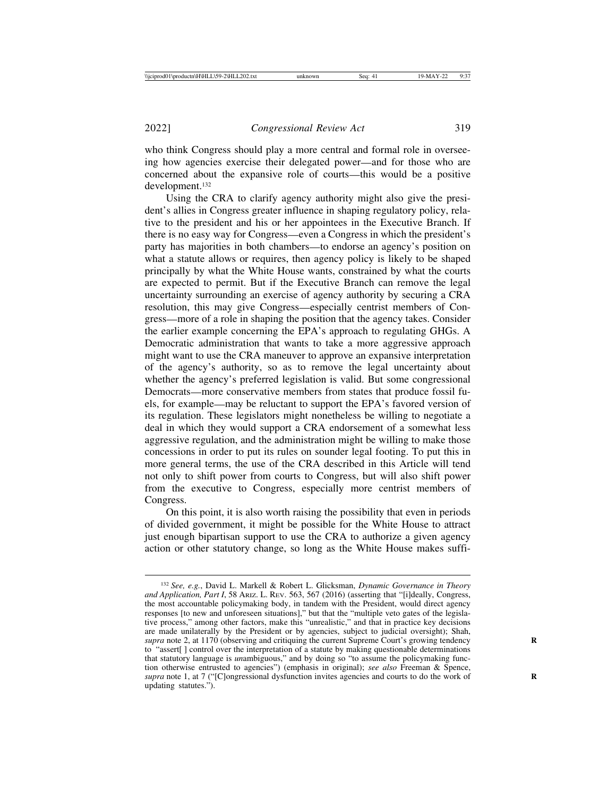who think Congress should play a more central and formal role in overseeing how agencies exercise their delegated power—and for those who are concerned about the expansive role of courts—this would be a positive development.132

Using the CRA to clarify agency authority might also give the president's allies in Congress greater influence in shaping regulatory policy, relative to the president and his or her appointees in the Executive Branch. If there is no easy way for Congress—even a Congress in which the president's party has majorities in both chambers—to endorse an agency's position on what a statute allows or requires, then agency policy is likely to be shaped principally by what the White House wants, constrained by what the courts are expected to permit. But if the Executive Branch can remove the legal uncertainty surrounding an exercise of agency authority by securing a CRA resolution, this may give Congress—especially centrist members of Congress—more of a role in shaping the position that the agency takes. Consider the earlier example concerning the EPA's approach to regulating GHGs. A Democratic administration that wants to take a more aggressive approach might want to use the CRA maneuver to approve an expansive interpretation of the agency's authority, so as to remove the legal uncertainty about whether the agency's preferred legislation is valid. But some congressional Democrats—more conservative members from states that produce fossil fuels, for example—may be reluctant to support the EPA's favored version of its regulation. These legislators might nonetheless be willing to negotiate a deal in which they would support a CRA endorsement of a somewhat less aggressive regulation, and the administration might be willing to make those concessions in order to put its rules on sounder legal footing. To put this in more general terms, the use of the CRA described in this Article will tend not only to shift power from courts to Congress, but will also shift power from the executive to Congress, especially more centrist members of Congress.

On this point, it is also worth raising the possibility that even in periods of divided government, it might be possible for the White House to attract just enough bipartisan support to use the CRA to authorize a given agency action or other statutory change, so long as the White House makes suffi-

<sup>132</sup> *See, e.g.*, David L. Markell & Robert L. Glicksman, *Dynamic Governance in Theory and Application, Part I*, 58 ARIZ. L. REV. 563, 567 (2016) (asserting that "[i]deally, Congress, the most accountable policymaking body, in tandem with the President, would direct agency responses [to new and unforeseen situations]," but that the "multiple veto gates of the legislative process," among other factors, make this "unrealistic," and that in practice key decisions are made unilaterally by the President or by agencies, subject to judicial oversight); Shah, *supra* note 2, at 1170 (observing and critiquing the current Supreme Court's growing tendency **R** to "assert[ ] control over the interpretation of a statute by making questionable determinations that statutory language is *un*ambiguous," and by doing so "to assume the policymaking function otherwise entrusted to agencies") (emphasis in original); *see also* Freeman & Spence, *supra* note 1, at 7 ("[C]ongressional dysfunction invites agencies and courts to do the work of **R** updating statutes.").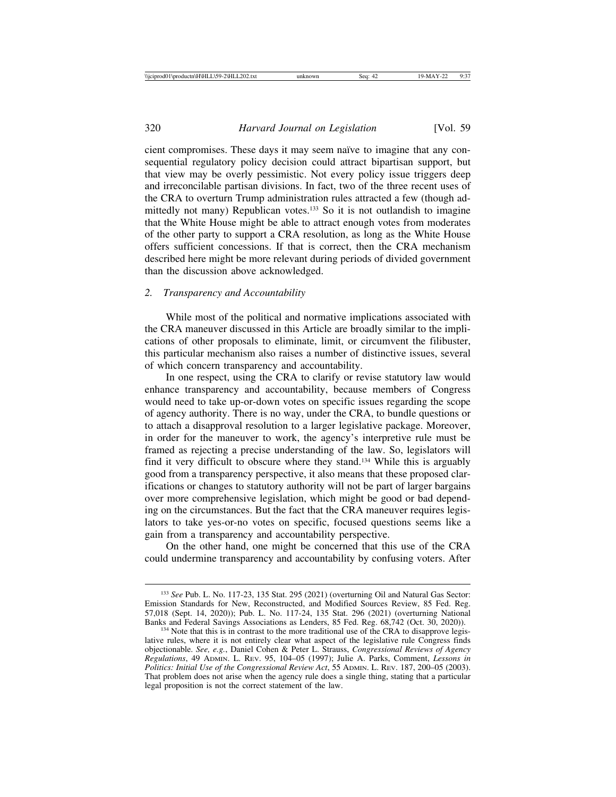cient compromises. These days it may seem naïve to imagine that any consequential regulatory policy decision could attract bipartisan support, but that view may be overly pessimistic. Not every policy issue triggers deep and irreconcilable partisan divisions. In fact, two of the three recent uses of the CRA to overturn Trump administration rules attracted a few (though admittedly not many) Republican votes.<sup>133</sup> So it is not outlandish to imagine that the White House might be able to attract enough votes from moderates of the other party to support a CRA resolution, as long as the White House offers sufficient concessions. If that is correct, then the CRA mechanism described here might be more relevant during periods of divided government than the discussion above acknowledged.

#### *2. Transparency and Accountability*

While most of the political and normative implications associated with the CRA maneuver discussed in this Article are broadly similar to the implications of other proposals to eliminate, limit, or circumvent the filibuster, this particular mechanism also raises a number of distinctive issues, several of which concern transparency and accountability.

In one respect, using the CRA to clarify or revise statutory law would enhance transparency and accountability, because members of Congress would need to take up-or-down votes on specific issues regarding the scope of agency authority. There is no way, under the CRA, to bundle questions or to attach a disapproval resolution to a larger legislative package. Moreover, in order for the maneuver to work, the agency's interpretive rule must be framed as rejecting a precise understanding of the law. So, legislators will find it very difficult to obscure where they stand.134 While this is arguably good from a transparency perspective, it also means that these proposed clarifications or changes to statutory authority will not be part of larger bargains over more comprehensive legislation, which might be good or bad depending on the circumstances. But the fact that the CRA maneuver requires legislators to take yes-or-no votes on specific, focused questions seems like a gain from a transparency and accountability perspective.

On the other hand, one might be concerned that this use of the CRA could undermine transparency and accountability by confusing voters. After

<sup>133</sup> *See* Pub. L. No. 117-23, 135 Stat. 295 (2021) (overturning Oil and Natural Gas Sector: Emission Standards for New, Reconstructed, and Modified Sources Review, 85 Fed. Reg. 57,018 (Sept. 14, 2020)); Pub. L. No. 117-24, 135 Stat. 296 (2021) (overturning National

 $^{134}$  Note that this is in contrast to the more traditional use of the CRA to disapprove legislative rules, where it is not entirely clear what aspect of the legislative rule Congress finds objectionable. *See, e.g.*, Daniel Cohen & Peter L. Strauss, *Congressional Reviews of Agency Regulations*, 49 ADMIN. L. REV. 95, 104–05 (1997); Julie A. Parks, Comment, *Lessons in Politics: Initial Use of the Congressional Review Act*, 55 ADMIN. L. REV. 187, 200–05 (2003). That problem does not arise when the agency rule does a single thing, stating that a particular legal proposition is not the correct statement of the law.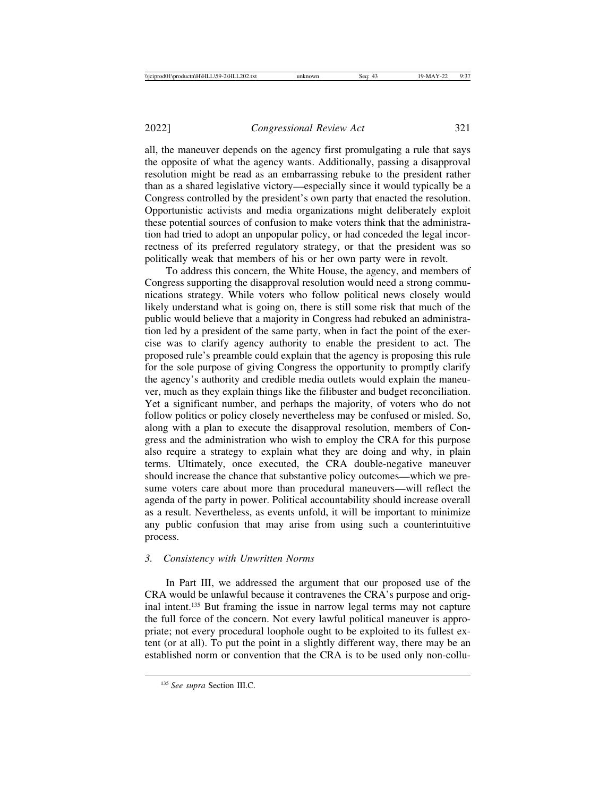all, the maneuver depends on the agency first promulgating a rule that says the opposite of what the agency wants. Additionally, passing a disapproval resolution might be read as an embarrassing rebuke to the president rather than as a shared legislative victory—especially since it would typically be a Congress controlled by the president's own party that enacted the resolution. Opportunistic activists and media organizations might deliberately exploit these potential sources of confusion to make voters think that the administration had tried to adopt an unpopular policy, or had conceded the legal incorrectness of its preferred regulatory strategy, or that the president was so politically weak that members of his or her own party were in revolt.

To address this concern, the White House, the agency, and members of Congress supporting the disapproval resolution would need a strong communications strategy. While voters who follow political news closely would likely understand what is going on, there is still some risk that much of the public would believe that a majority in Congress had rebuked an administration led by a president of the same party, when in fact the point of the exercise was to clarify agency authority to enable the president to act. The proposed rule's preamble could explain that the agency is proposing this rule for the sole purpose of giving Congress the opportunity to promptly clarify the agency's authority and credible media outlets would explain the maneuver, much as they explain things like the filibuster and budget reconciliation. Yet a significant number, and perhaps the majority, of voters who do not follow politics or policy closely nevertheless may be confused or misled. So, along with a plan to execute the disapproval resolution, members of Congress and the administration who wish to employ the CRA for this purpose also require a strategy to explain what they are doing and why, in plain terms. Ultimately, once executed, the CRA double-negative maneuver should increase the chance that substantive policy outcomes—which we presume voters care about more than procedural maneuvers—will reflect the agenda of the party in power. Political accountability should increase overall as a result. Nevertheless, as events unfold, it will be important to minimize any public confusion that may arise from using such a counterintuitive process.

## *3. Consistency with Unwritten Norms*

In Part III, we addressed the argument that our proposed use of the CRA would be unlawful because it contravenes the CRA's purpose and original intent.135 But framing the issue in narrow legal terms may not capture the full force of the concern. Not every lawful political maneuver is appropriate; not every procedural loophole ought to be exploited to its fullest extent (or at all). To put the point in a slightly different way, there may be an established norm or convention that the CRA is to be used only non-collu-

<sup>135</sup> *See supra* Section III.C.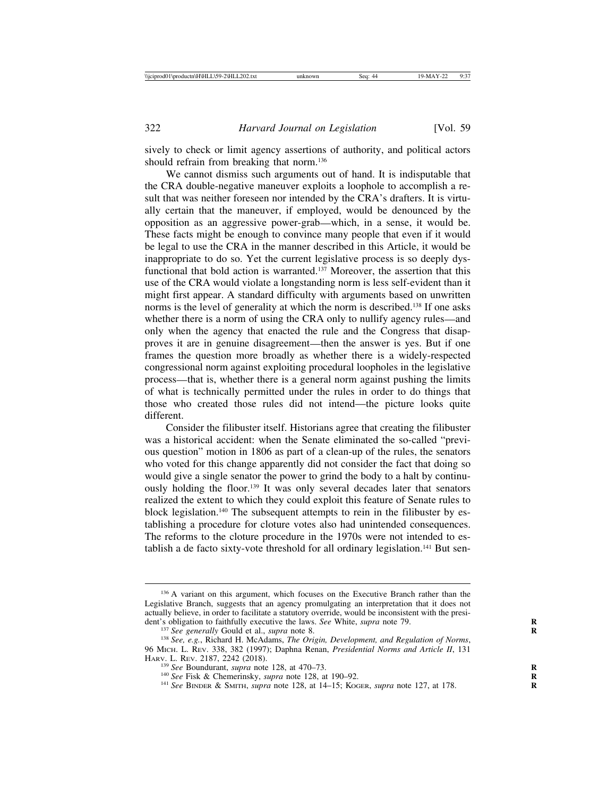sively to check or limit agency assertions of authority, and political actors should refrain from breaking that norm.<sup>136</sup>

We cannot dismiss such arguments out of hand. It is indisputable that the CRA double-negative maneuver exploits a loophole to accomplish a result that was neither foreseen nor intended by the CRA's drafters. It is virtually certain that the maneuver, if employed, would be denounced by the opposition as an aggressive power-grab—which, in a sense, it would be. These facts might be enough to convince many people that even if it would be legal to use the CRA in the manner described in this Article, it would be inappropriate to do so. Yet the current legislative process is so deeply dysfunctional that bold action is warranted.137 Moreover, the assertion that this use of the CRA would violate a longstanding norm is less self-evident than it might first appear. A standard difficulty with arguments based on unwritten norms is the level of generality at which the norm is described.<sup>138</sup> If one asks whether there is a norm of using the CRA only to nullify agency rules—and only when the agency that enacted the rule and the Congress that disapproves it are in genuine disagreement—then the answer is yes. But if one frames the question more broadly as whether there is a widely-respected congressional norm against exploiting procedural loopholes in the legislative process—that is, whether there is a general norm against pushing the limits of what is technically permitted under the rules in order to do things that those who created those rules did not intend—the picture looks quite different.

Consider the filibuster itself. Historians agree that creating the filibuster was a historical accident: when the Senate eliminated the so-called "previous question" motion in 1806 as part of a clean-up of the rules, the senators who voted for this change apparently did not consider the fact that doing so would give a single senator the power to grind the body to a halt by continuously holding the floor.139 It was only several decades later that senators realized the extent to which they could exploit this feature of Senate rules to block legislation.140 The subsequent attempts to rein in the filibuster by establishing a procedure for cloture votes also had unintended consequences. The reforms to the cloture procedure in the 1970s were not intended to establish a de facto sixty-vote threshold for all ordinary legislation.<sup>141</sup> But sen-

<sup>&</sup>lt;sup>136</sup> A variant on this argument, which focuses on the Executive Branch rather than the Legislative Branch, suggests that an agency promulgating an interpretation that it does not actually believe, in order to facilitate a statutory override, would be inconsistent with the presi-<br>dent's obligation to faithfully executive the laws. See White, *supra* note 79.

<sup>&</sup>lt;sup>137</sup> See generally Gould et al., *supra* note 8.<br><sup>138</sup> See, e.g., Richard H. McAdams, *The Origin, Development, and Regulation of Norms*, 96 MICH. L. REV. 338, 382 (1997); Daphna Renan, *Presidential Norms and Article II*, 131

<sup>&</sup>lt;sup>139</sup> See Boundurant, *supra* note 128, at 470–73.<br><sup>140</sup> See Fisk & Chemerinsky, *supra* note 128, at 190–92.<br><sup>141</sup> See BINDER & SMITH, *supra* note 128, at 14–15; KOGER, *supra* note 127, at 178.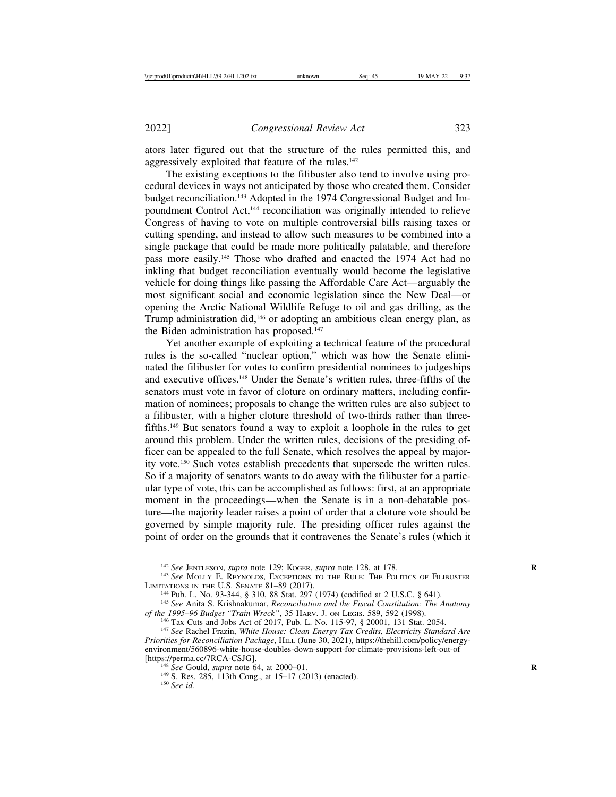ators later figured out that the structure of the rules permitted this, and aggressively exploited that feature of the rules.<sup>142</sup>

The existing exceptions to the filibuster also tend to involve using procedural devices in ways not anticipated by those who created them. Consider budget reconciliation.143 Adopted in the 1974 Congressional Budget and Impoundment Control Act,144 reconciliation was originally intended to relieve Congress of having to vote on multiple controversial bills raising taxes or cutting spending, and instead to allow such measures to be combined into a single package that could be made more politically palatable, and therefore pass more easily.145 Those who drafted and enacted the 1974 Act had no inkling that budget reconciliation eventually would become the legislative vehicle for doing things like passing the Affordable Care Act—arguably the most significant social and economic legislation since the New Deal—or opening the Arctic National Wildlife Refuge to oil and gas drilling, as the Trump administration did,146 or adopting an ambitious clean energy plan, as the Biden administration has proposed.147

Yet another example of exploiting a technical feature of the procedural rules is the so-called "nuclear option," which was how the Senate eliminated the filibuster for votes to confirm presidential nominees to judgeships and executive offices.148 Under the Senate's written rules, three-fifths of the senators must vote in favor of cloture on ordinary matters, including confirmation of nominees; proposals to change the written rules are also subject to a filibuster, with a higher cloture threshold of two-thirds rather than threefifths.149 But senators found a way to exploit a loophole in the rules to get around this problem. Under the written rules, decisions of the presiding officer can be appealed to the full Senate, which resolves the appeal by majority vote.150 Such votes establish precedents that supersede the written rules. So if a majority of senators wants to do away with the filibuster for a particular type of vote, this can be accomplished as follows: first, at an appropriate moment in the proceedings—when the Senate is in a non-debatable posture—the majority leader raises a point of order that a cloture vote should be governed by simple majority rule. The presiding officer rules against the point of order on the grounds that it contravenes the Senate's rules (which it

<sup>&</sup>lt;sup>142</sup> *See* JENTLESON, *supra* note 129; KOGER, *supra* note 128, at 178.<br><sup>143</sup> *See* MOLLY E. REYNOLDS, EXCEPTIONS TO THE RULE: THE POLITICS OF FILIBUSTER<br>LIMITATIONS IN THE U.S. SENATE 81–89 (2017).

<sup>&</sup>lt;sup>144</sup> Pub. L. No. 93-344, § 310, 88 Stat. 297 (1974) (codified at 2 U.S.C. § 641).<br><sup>145</sup> See Anita S. Krishnakumar, *Reconciliation and the Fiscal Constitution: The Anatomy* of the 1995–96 Budget "Train Wreck", 35 HARV. J

<sup>&</sup>lt;sup>146</sup> Tax Cuts and Jobs Act of 2017, Pub. L. No. 115-97, § 20001, 131 Stat. 2054.<br><sup>147</sup> See Rachel Frazin, White House: Clean Energy Tax Credits, Electricity Standard Are

*Priorities for Reconciliation Package*, HILL (June 30, 2021), https://thehill.com/policy/energyenvironment/560896-white-house-doubles-down-support-for-climate-provisions-left-out-of

<sup>&</sup>lt;sup>148</sup> *See* Gould, *supra* note 64, at 2000–01.<br><sup>149</sup> S. Res. 285, 113th Cong., at 15–17 (2013) (enacted). <sup>150</sup> *See id.*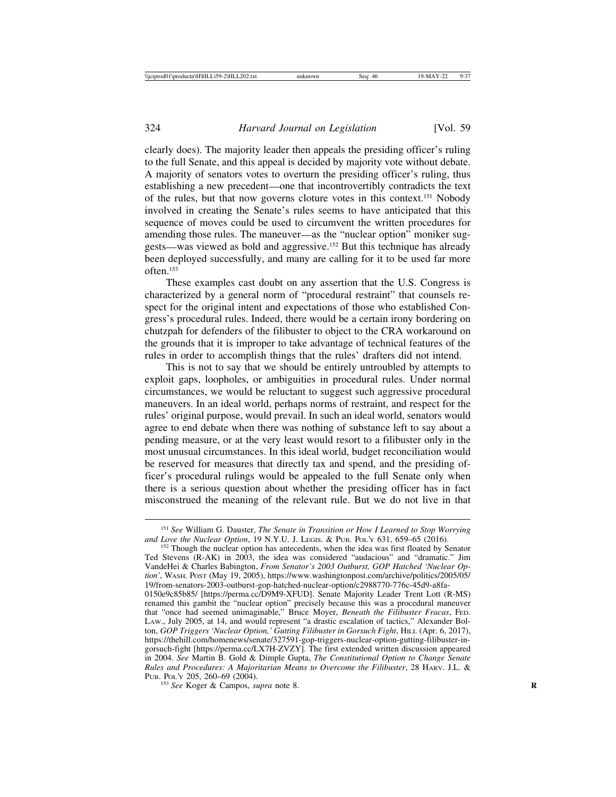clearly does). The majority leader then appeals the presiding officer's ruling to the full Senate, and this appeal is decided by majority vote without debate. A majority of senators votes to overturn the presiding officer's ruling, thus establishing a new precedent—one that incontrovertibly contradicts the text of the rules, but that now governs cloture votes in this context.151 Nobody involved in creating the Senate's rules seems to have anticipated that this sequence of moves could be used to circumvent the written procedures for amending those rules. The maneuver—as the "nuclear option" moniker suggests—was viewed as bold and aggressive.152 But this technique has already been deployed successfully, and many are calling for it to be used far more often $153$ 

These examples cast doubt on any assertion that the U.S. Congress is characterized by a general norm of "procedural restraint" that counsels respect for the original intent and expectations of those who established Congress's procedural rules. Indeed, there would be a certain irony bordering on chutzpah for defenders of the filibuster to object to the CRA workaround on the grounds that it is improper to take advantage of technical features of the rules in order to accomplish things that the rules' drafters did not intend.

This is not to say that we should be entirely untroubled by attempts to exploit gaps, loopholes, or ambiguities in procedural rules. Under normal circumstances, we would be reluctant to suggest such aggressive procedural maneuvers. In an ideal world, perhaps norms of restraint, and respect for the rules' original purpose, would prevail. In such an ideal world, senators would agree to end debate when there was nothing of substance left to say about a pending measure, or at the very least would resort to a filibuster only in the most unusual circumstances. In this ideal world, budget reconciliation would be reserved for measures that directly tax and spend, and the presiding officer's procedural rulings would be appealed to the full Senate only when there is a serious question about whether the presiding officer has in fact misconstrued the meaning of the relevant rule. But we do not live in that

<sup>153</sup> See Koger & Campos, *supra* note 8.

<sup>151</sup> *See* William G. Dauster, *The Senate in Transition or How I Learned to Stop Worrying*

<sup>&</sup>lt;sup>152</sup> Though the nuclear option has antecedents, when the idea was first floated by Senator Ted Stevens (R-AK) in 2003, the idea was considered "audacious" and "dramatic." Jim VandeHei & Charles Babington, *From Senator's 2003 Outburst, GOP Hatched 'Nuclear Option'*, WASH. POST (May 19, 2005), https://www.washingtonpost.com/archive/politics/2005/05/ 19/from-senators-2003-outburst-gop-hatched-nuclear-option/c2988770-776c-45d9-a8fa-

<sup>0150</sup>e9c85b85/ [https://perma.cc/D9M9-XFUD]. Senate Majority Leader Trent Lott (R-MS) renamed this gambit the "nuclear option" precisely because this was a procedural maneuver that "once had seemed unimaginable," Bruce Moyer, *Beneath the Filibuster Fracas*, FED. LAW., July 2005, at 14, and would represent "a drastic escalation of tactics," Alexander Bolton, *GOP Triggers 'Nuclear Option,' Gutting Filibuster in Gorsuch Fight*, HILL (Apr. 6, 2017), https://thehill.com/homenews/senate/327591-gop-triggers-nuclear-option-gutting-filibuster-ingorsuch-fight [https://perma.cc/LX7H-ZVZY]. The first extended written discussion appeared in 2004. *See* Martin B. Gold & Dimple Gupta, *The Constitutional Option to Change Senate Rules and Procedures: A Majoritarian Means to Overcome the Filibuster*, 28 HARV. J.L. &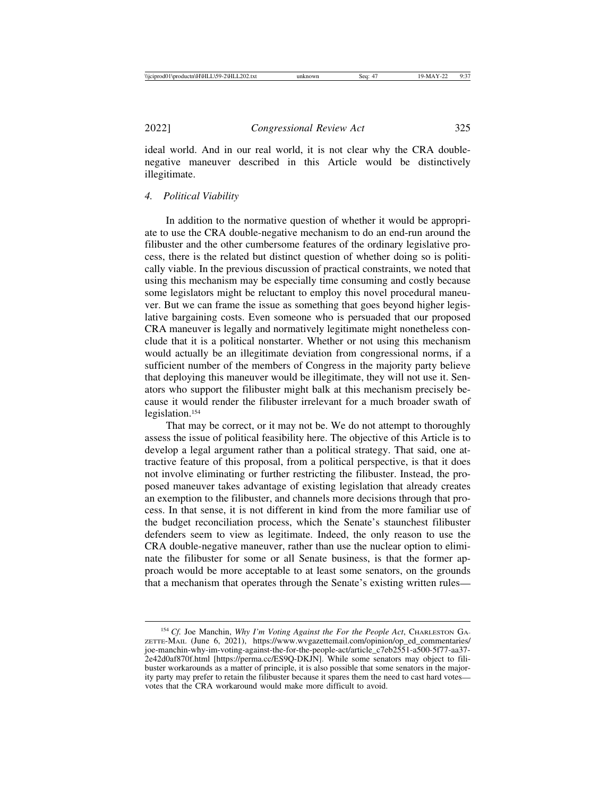ideal world. And in our real world, it is not clear why the CRA doublenegative maneuver described in this Article would be distinctively illegitimate.

## *4. Political Viability*

In addition to the normative question of whether it would be appropriate to use the CRA double-negative mechanism to do an end-run around the filibuster and the other cumbersome features of the ordinary legislative process, there is the related but distinct question of whether doing so is politically viable. In the previous discussion of practical constraints, we noted that using this mechanism may be especially time consuming and costly because some legislators might be reluctant to employ this novel procedural maneuver. But we can frame the issue as something that goes beyond higher legislative bargaining costs. Even someone who is persuaded that our proposed CRA maneuver is legally and normatively legitimate might nonetheless conclude that it is a political nonstarter. Whether or not using this mechanism would actually be an illegitimate deviation from congressional norms, if a sufficient number of the members of Congress in the majority party believe that deploying this maneuver would be illegitimate, they will not use it. Senators who support the filibuster might balk at this mechanism precisely because it would render the filibuster irrelevant for a much broader swath of legislation.154

That may be correct, or it may not be. We do not attempt to thoroughly assess the issue of political feasibility here. The objective of this Article is to develop a legal argument rather than a political strategy. That said, one attractive feature of this proposal, from a political perspective, is that it does not involve eliminating or further restricting the filibuster. Instead, the proposed maneuver takes advantage of existing legislation that already creates an exemption to the filibuster, and channels more decisions through that process. In that sense, it is not different in kind from the more familiar use of the budget reconciliation process, which the Senate's staunchest filibuster defenders seem to view as legitimate. Indeed, the only reason to use the CRA double-negative maneuver, rather than use the nuclear option to eliminate the filibuster for some or all Senate business, is that the former approach would be more acceptable to at least some senators, on the grounds that a mechanism that operates through the Senate's existing written rules—

<sup>&</sup>lt;sup>154</sup> *Cf.* Joe Manchin, *Why I'm Voting Against the For the People Act*, CHARLESTON GA-ZETTE-MAIL (June 6, 2021), https://www.wvgazettemail.com/opinion/op\_ed\_commentaries/ joe-manchin-why-im-voting-against-the-for-the-people-act/article\_c7eb2551-a500-5f77-aa37- 2e42d0af870f.html [https://perma.cc/ES9Q-DKJN]. While some senators may object to filibuster workarounds as a matter of principle, it is also possible that some senators in the majority party may prefer to retain the filibuster because it spares them the need to cast hard votes votes that the CRA workaround would make more difficult to avoid.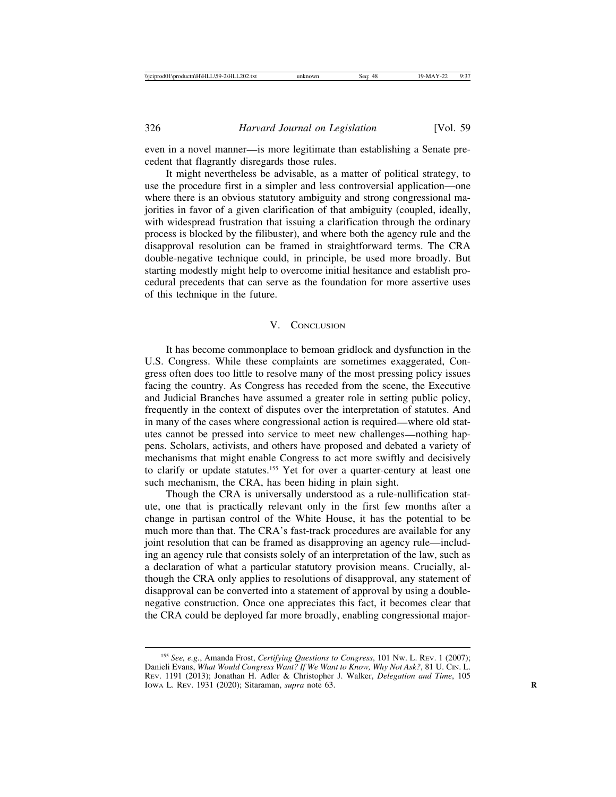even in a novel manner—is more legitimate than establishing a Senate precedent that flagrantly disregards those rules.

It might nevertheless be advisable, as a matter of political strategy, to use the procedure first in a simpler and less controversial application—one where there is an obvious statutory ambiguity and strong congressional majorities in favor of a given clarification of that ambiguity (coupled, ideally, with widespread frustration that issuing a clarification through the ordinary process is blocked by the filibuster), and where both the agency rule and the disapproval resolution can be framed in straightforward terms. The CRA double-negative technique could, in principle, be used more broadly. But starting modestly might help to overcome initial hesitance and establish procedural precedents that can serve as the foundation for more assertive uses of this technique in the future.

#### V. CONCLUSION

It has become commonplace to bemoan gridlock and dysfunction in the U.S. Congress. While these complaints are sometimes exaggerated, Congress often does too little to resolve many of the most pressing policy issues facing the country. As Congress has receded from the scene, the Executive and Judicial Branches have assumed a greater role in setting public policy, frequently in the context of disputes over the interpretation of statutes. And in many of the cases where congressional action is required—where old statutes cannot be pressed into service to meet new challenges—nothing happens. Scholars, activists, and others have proposed and debated a variety of mechanisms that might enable Congress to act more swiftly and decisively to clarify or update statutes.155 Yet for over a quarter-century at least one such mechanism, the CRA, has been hiding in plain sight.

Though the CRA is universally understood as a rule-nullification statute, one that is practically relevant only in the first few months after a change in partisan control of the White House, it has the potential to be much more than that. The CRA's fast-track procedures are available for any joint resolution that can be framed as disapproving an agency rule—including an agency rule that consists solely of an interpretation of the law, such as a declaration of what a particular statutory provision means. Crucially, although the CRA only applies to resolutions of disapproval, any statement of disapproval can be converted into a statement of approval by using a doublenegative construction. Once one appreciates this fact, it becomes clear that the CRA could be deployed far more broadly, enabling congressional major-

<sup>155</sup> *See, e.g.*, Amanda Frost, *Certifying Questions to Congress*, 101 NW. L. REV. 1 (2007); Danieli Evans, *What Would Congress Want? If We Want to Know, Why Not Ask?*, 81 U. CIN. L. REV. 1191 (2013); Jonathan H. Adler & Christopher J. Walker, *Delegation and Time*, 105 IOWA L. REV. 1931 (2020); Sitaraman, *supra* note 63. **R**